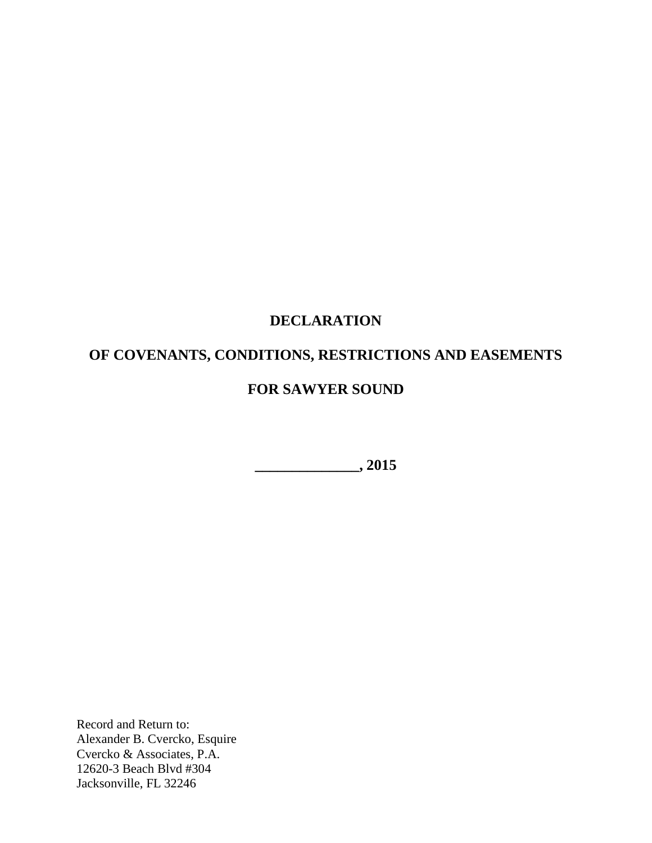# **DECLARATION**

# **OF COVENANTS, CONDITIONS, RESTRICTIONS AND EASEMENTS**

# **FOR SAWYER SOUND**

**\_\_\_\_\_\_\_\_\_\_\_\_\_\_, 2015**

Record and Return to: Alexander B. Cvercko, Esquire Cvercko & Associates, P.A. 12620-3 Beach Blvd #304 Jacksonville, FL 32246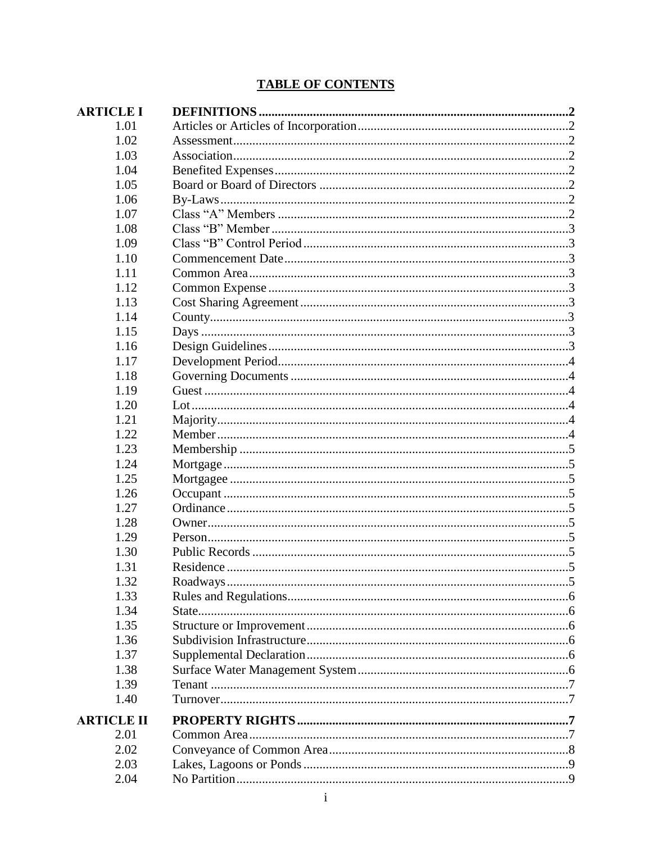## **TABLE OF CONTENTS**

| <b>ARTICLE I</b>  |  |
|-------------------|--|
| 1.01              |  |
| 1.02              |  |
| 1.03              |  |
| 1.04              |  |
| 1.05              |  |
| 1.06              |  |
| 1.07              |  |
| 1.08              |  |
| 1.09              |  |
| 1.10              |  |
| 1.11              |  |
| 1.12              |  |
| 1.13              |  |
| 1.14              |  |
| 1.15              |  |
| 1.16              |  |
| 1.17              |  |
| 1.18              |  |
| 1.19              |  |
| 1.20              |  |
| 1.21              |  |
| 1.22              |  |
| 1.23              |  |
| 1.24              |  |
| 1.25              |  |
| 1.26              |  |
| 1.27              |  |
| 1.28              |  |
| 1.29              |  |
| 1.30              |  |
| 1.31              |  |
| 1.32              |  |
| 1.33              |  |
| 1.34              |  |
| 1.35              |  |
| 1.36              |  |
| 1.37              |  |
| 1.38              |  |
| 1.39              |  |
| 1.40              |  |
| <b>ARTICLE II</b> |  |
| 2.01              |  |
| 2.02              |  |
| 2.03              |  |
| 2.04              |  |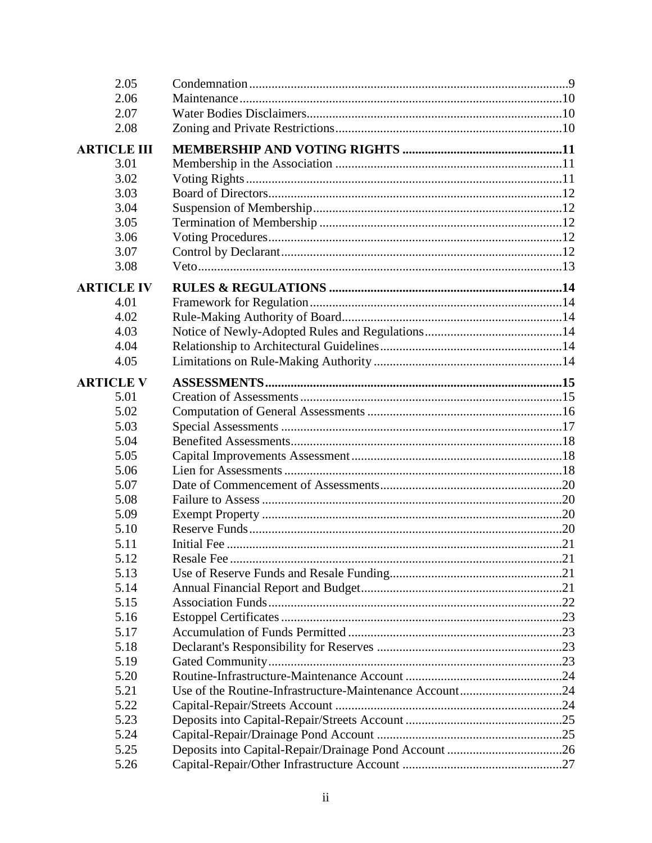| 2.05               |                                                         |  |
|--------------------|---------------------------------------------------------|--|
| 2.06               |                                                         |  |
| 2.07               |                                                         |  |
| 2.08               |                                                         |  |
| <b>ARTICLE III</b> |                                                         |  |
| 3.01               |                                                         |  |
| 3.02               |                                                         |  |
| 3.03               |                                                         |  |
| 3.04               |                                                         |  |
| 3.05               |                                                         |  |
| 3.06               |                                                         |  |
| 3.07               |                                                         |  |
| 3.08               |                                                         |  |
| <b>ARTICLE IV</b>  |                                                         |  |
| 4.01               |                                                         |  |
| 4.02               |                                                         |  |
| 4.03               |                                                         |  |
| 4.04               |                                                         |  |
| 4.05               |                                                         |  |
|                    |                                                         |  |
| <b>ARTICLE V</b>   |                                                         |  |
| 5.01               |                                                         |  |
| 5.02               |                                                         |  |
| 5.03               |                                                         |  |
| 5.04               |                                                         |  |
| 5.05               |                                                         |  |
| 5.06               |                                                         |  |
| 5.07               |                                                         |  |
| 5.08               |                                                         |  |
| 5.09               |                                                         |  |
| 5.10               |                                                         |  |
| 5.11               |                                                         |  |
| 5.12               |                                                         |  |
| 5.13<br>5.14       |                                                         |  |
| 5.15               |                                                         |  |
| 5.16               |                                                         |  |
| 5.17               |                                                         |  |
| 5.18               |                                                         |  |
| 5.19               |                                                         |  |
| 5.20               |                                                         |  |
| 5.21               | Use of the Routine-Infrastructure-Maintenance Account24 |  |
| 5.22               |                                                         |  |
| 5.23               |                                                         |  |
| 5.24               |                                                         |  |
| 5.25               |                                                         |  |
| 5.26               |                                                         |  |
|                    |                                                         |  |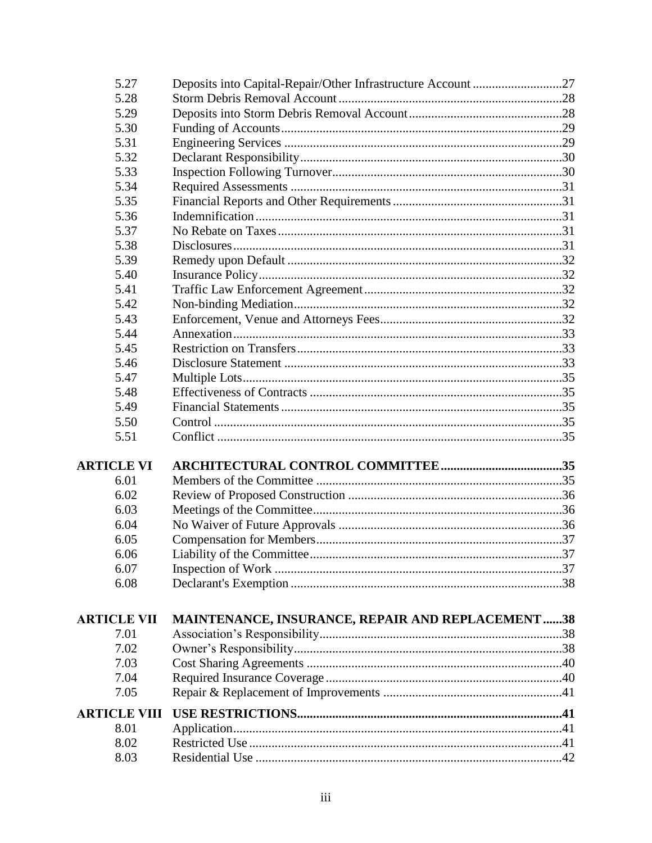| 5.27                | Deposits into Capital-Repair/Other Infrastructure Account 27 |     |
|---------------------|--------------------------------------------------------------|-----|
| 5.28                |                                                              |     |
| 5.29                |                                                              |     |
| 5.30                |                                                              |     |
| 5.31                |                                                              |     |
| 5.32                |                                                              |     |
| 5.33                |                                                              |     |
| 5.34                |                                                              |     |
| 5.35                |                                                              |     |
| 5.36                |                                                              |     |
| 5.37                |                                                              |     |
| 5.38                |                                                              |     |
| 5.39                |                                                              |     |
| 5.40                |                                                              |     |
| 5.41                |                                                              |     |
| 5.42                |                                                              |     |
| 5.43                |                                                              |     |
| 5.44                |                                                              |     |
| 5.45                |                                                              |     |
| 5.46                |                                                              |     |
| 5.47                |                                                              |     |
| 5.48                |                                                              |     |
| 5.49                |                                                              |     |
| 5.50                |                                                              |     |
| 5.51                |                                                              |     |
|                     |                                                              |     |
| <b>ARTICLE VI</b>   |                                                              |     |
| 6.01                |                                                              |     |
| 6.02                |                                                              |     |
| 6.03                |                                                              |     |
| 6.04                |                                                              |     |
| 6.05                |                                                              |     |
| 6.06                | Liability of the Committee                                   | .37 |
| 6.07                |                                                              |     |
| 6.08                |                                                              |     |
| <b>ARTICLE VII</b>  | <b>MAINTENANCE, INSURANCE, REPAIR AND REPLACEMENT38</b>      |     |
| 7.01                |                                                              |     |
| 7.02                |                                                              |     |
| 7.03                |                                                              |     |
| 7.04                |                                                              |     |
| 7.05                |                                                              |     |
| <b>ARTICLE VIII</b> |                                                              |     |
| 8.01                |                                                              |     |
| 8.02                |                                                              |     |
| 8.03                |                                                              | .42 |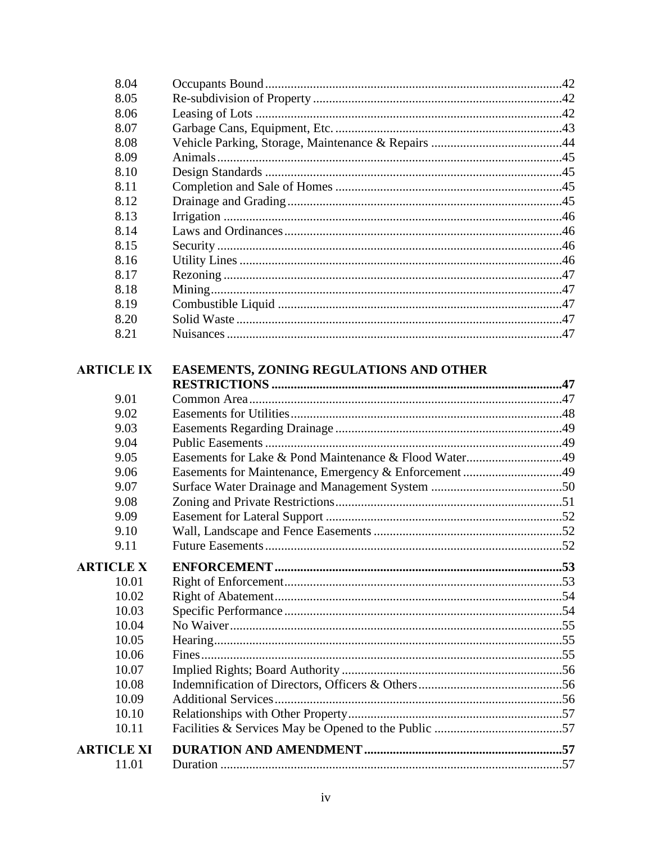| 8.04              |                                                       |  |
|-------------------|-------------------------------------------------------|--|
| 8.05              |                                                       |  |
| 8.06              |                                                       |  |
| 8.07              |                                                       |  |
| 8.08              |                                                       |  |
| 8.09              |                                                       |  |
| 8.10              |                                                       |  |
| 8.11              |                                                       |  |
| 8.12              |                                                       |  |
| 8.13              |                                                       |  |
| 8.14              |                                                       |  |
| 8.15              |                                                       |  |
| 8.16              |                                                       |  |
| 8.17              |                                                       |  |
| 8.18              |                                                       |  |
| 8.19              |                                                       |  |
| 8.20              |                                                       |  |
| 8.21              |                                                       |  |
| <b>ARTICLE IX</b> | EASEMENTS, ZONING REGULATIONS AND OTHER               |  |
|                   |                                                       |  |
| 9.01              |                                                       |  |
| 9.02              |                                                       |  |
| 9.03              |                                                       |  |
| 9.04              |                                                       |  |
| 9.05              | Easements for Lake & Pond Maintenance & Flood Water49 |  |
| 9.06              | Easements for Maintenance, Emergency & Enforcement 49 |  |
| 9.07              |                                                       |  |
| 9.08              |                                                       |  |
| 9.09              |                                                       |  |
| 9.10              |                                                       |  |
| 9.11              |                                                       |  |
| <b>ARTICLE X</b>  |                                                       |  |
| 10.01             |                                                       |  |
| 10.02             |                                                       |  |
| 10.03             |                                                       |  |
| 10.04             |                                                       |  |
| 10.05             |                                                       |  |
| 10.06             |                                                       |  |
| 10.07             |                                                       |  |
| 10.08             |                                                       |  |
| 10.09             |                                                       |  |
| 10.10             |                                                       |  |
| 10.11             |                                                       |  |
| <b>ARTICLE XI</b> |                                                       |  |
| 11.01             |                                                       |  |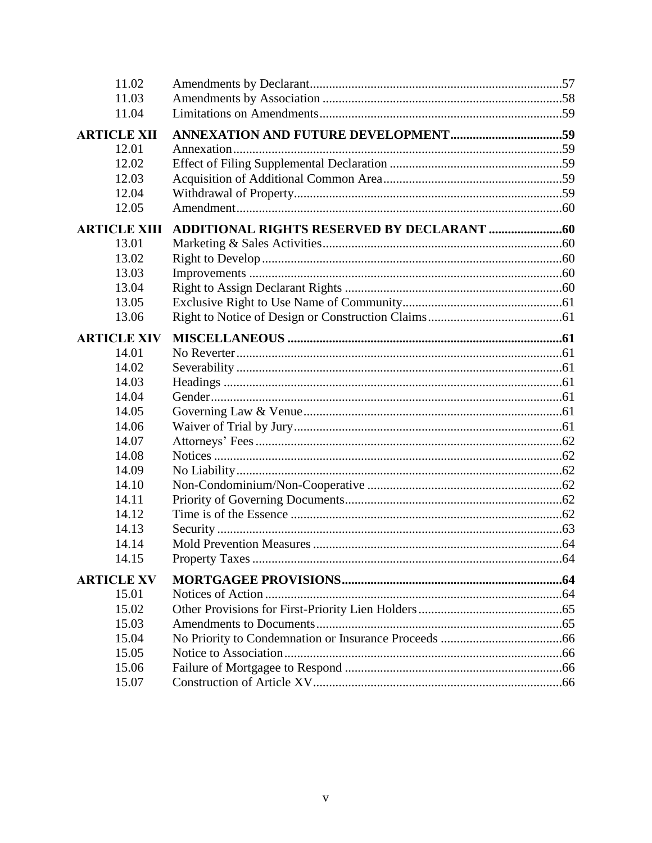| 11.02               |  |
|---------------------|--|
| 11.03               |  |
| 11.04               |  |
| <b>ARTICLE XII</b>  |  |
| 12.01               |  |
| 12.02               |  |
| 12.03               |  |
| 12.04               |  |
| 12.05               |  |
| <b>ARTICLE XIII</b> |  |
| 13.01               |  |
| 13.02               |  |
| 13.03               |  |
| 13.04               |  |
| 13.05               |  |
| 13.06               |  |
|                     |  |
| <b>ARTICLE XIV</b>  |  |
| 14.01               |  |
| 14.02               |  |
| 14.03               |  |
| 14.04               |  |
| 14.05               |  |
| 14.06               |  |
| 14.07               |  |
| 14.08               |  |
| 14.09               |  |
| 14.10<br>14.11      |  |
| 14.12               |  |
| 14.13               |  |
| 14.14               |  |
|                     |  |
| 14.15               |  |
| <b>ARTICLE XV</b>   |  |
| 15.01               |  |
| 15.02               |  |
| 15.03               |  |
| 15.04               |  |
| 15.05               |  |
| 15.06               |  |
| 15.07               |  |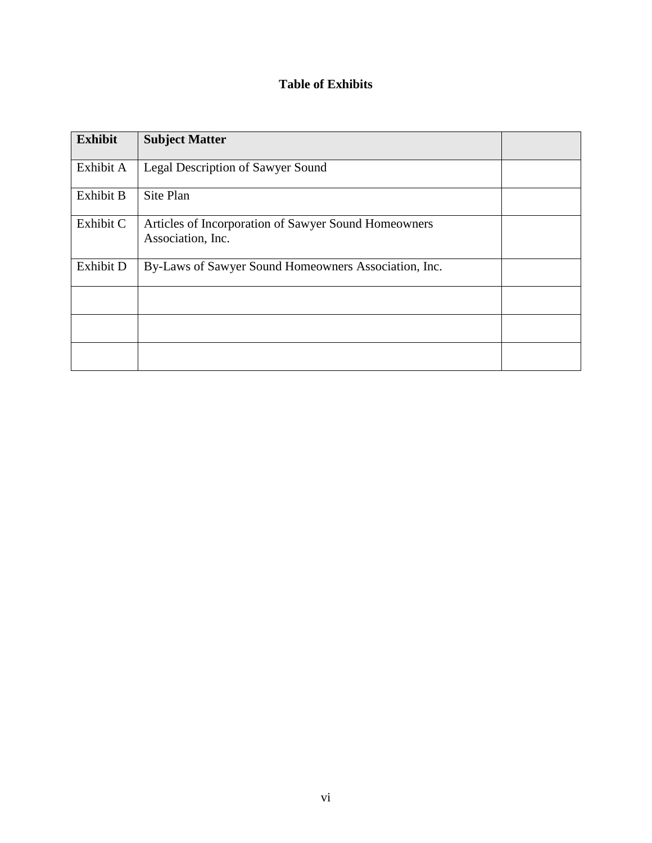## **Table of Exhibits**

| <b>Exhibit</b> | <b>Subject Matter</b>                                                     |  |
|----------------|---------------------------------------------------------------------------|--|
| Exhibit A      | Legal Description of Sawyer Sound                                         |  |
| Exhibit B      | Site Plan                                                                 |  |
| Exhibit C      | Articles of Incorporation of Sawyer Sound Homeowners<br>Association, Inc. |  |
| Exhibit D      | By-Laws of Sawyer Sound Homeowners Association, Inc.                      |  |
|                |                                                                           |  |
|                |                                                                           |  |
|                |                                                                           |  |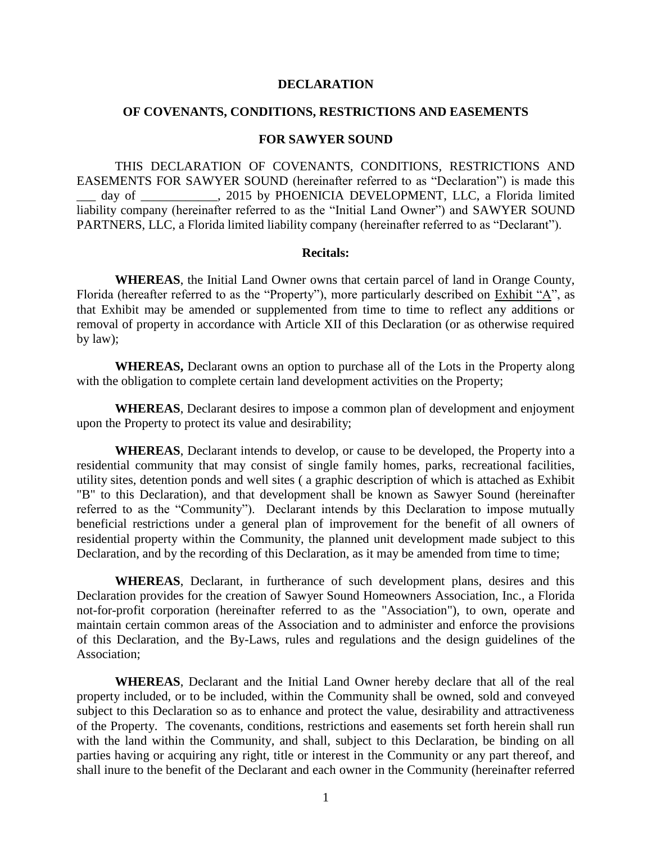#### **DECLARATION**

#### **OF COVENANTS, CONDITIONS, RESTRICTIONS AND EASEMENTS**

#### **FOR SAWYER SOUND**

THIS DECLARATION OF COVENANTS, CONDITIONS, RESTRICTIONS AND EASEMENTS FOR SAWYER SOUND (hereinafter referred to as "Declaration") is made this day of 2015 by PHOENICIA DEVELOPMENT, LLC, a Florida limited liability company (hereinafter referred to as the "Initial Land Owner") and SAWYER SOUND PARTNERS, LLC, a Florida limited liability company (hereinafter referred to as "Declarant").

#### **Recitals:**

**WHEREAS**, the Initial Land Owner owns that certain parcel of land in Orange County, Florida (hereafter referred to as the "Property"), more particularly described on Exhibit "A", as that Exhibit may be amended or supplemented from time to time to reflect any additions or removal of property in accordance with Article XII of this Declaration (or as otherwise required by law);

**WHEREAS,** Declarant owns an option to purchase all of the Lots in the Property along with the obligation to complete certain land development activities on the Property;

**WHEREAS**, Declarant desires to impose a common plan of development and enjoyment upon the Property to protect its value and desirability;

**WHEREAS**, Declarant intends to develop, or cause to be developed, the Property into a residential community that may consist of single family homes, parks, recreational facilities, utility sites, detention ponds and well sites ( a graphic description of which is attached as Exhibit "B" to this Declaration), and that development shall be known as Sawyer Sound (hereinafter referred to as the "Community"). Declarant intends by this Declaration to impose mutually beneficial restrictions under a general plan of improvement for the benefit of all owners of residential property within the Community, the planned unit development made subject to this Declaration, and by the recording of this Declaration, as it may be amended from time to time;

**WHEREAS**, Declarant, in furtherance of such development plans, desires and this Declaration provides for the creation of Sawyer Sound Homeowners Association, Inc., a Florida not-for-profit corporation (hereinafter referred to as the "Association"), to own, operate and maintain certain common areas of the Association and to administer and enforce the provisions of this Declaration, and the By-Laws, rules and regulations and the design guidelines of the Association;

**WHEREAS**, Declarant and the Initial Land Owner hereby declare that all of the real property included, or to be included, within the Community shall be owned, sold and conveyed subject to this Declaration so as to enhance and protect the value, desirability and attractiveness of the Property. The covenants, conditions, restrictions and easements set forth herein shall run with the land within the Community, and shall, subject to this Declaration, be binding on all parties having or acquiring any right, title or interest in the Community or any part thereof, and shall inure to the benefit of the Declarant and each owner in the Community (hereinafter referred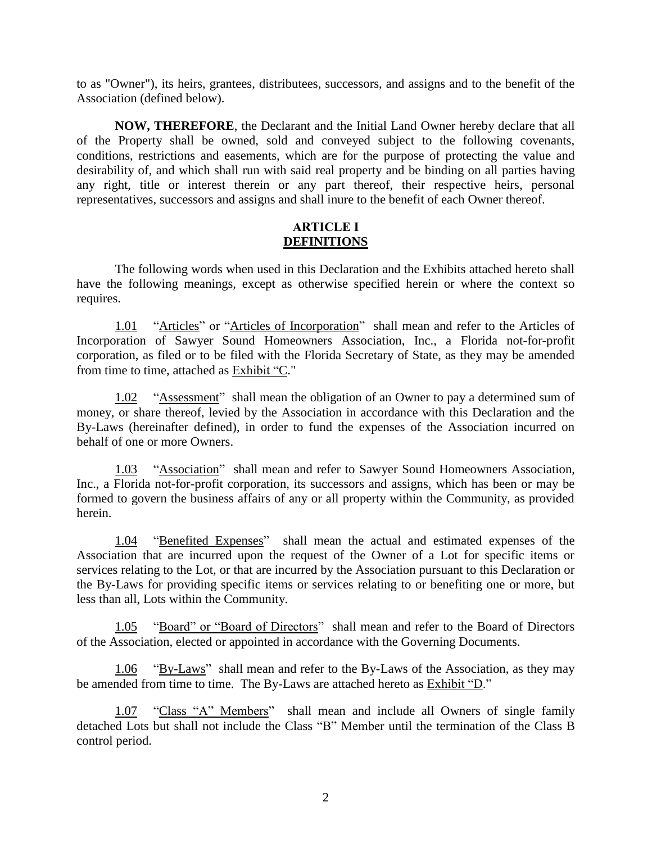to as "Owner"), its heirs, grantees, distributees, successors, and assigns and to the benefit of the Association (defined below).

**NOW, THEREFORE**, the Declarant and the Initial Land Owner hereby declare that all of the Property shall be owned, sold and conveyed subject to the following covenants, conditions, restrictions and easements, which are for the purpose of protecting the value and desirability of, and which shall run with said real property and be binding on all parties having any right, title or interest therein or any part thereof, their respective heirs, personal representatives, successors and assigns and shall inure to the benefit of each Owner thereof.

#### <span id="page-8-1"></span><span id="page-8-0"></span>**ARTICLE I DEFINITIONS**

The following words when used in this Declaration and the Exhibits attached hereto shall have the following meanings, except as otherwise specified herein or where the context so requires.

1.01 "Articles" or "Articles of Incorporation" shall mean and refer to the Articles of Incorporation of Sawyer Sound Homeowners Association, Inc., a Florida not-for-profit corporation, as filed or to be filed with the Florida Secretary of State, as they may be amended from time to time, attached as Exhibit "C."

<span id="page-8-2"></span>1.02 "Assessment" shall mean the obligation of an Owner to pay a determined sum of money, or share thereof, levied by the Association in accordance with this Declaration and the By-Laws (hereinafter defined), in order to fund the expenses of the Association incurred on behalf of one or more Owners.

<span id="page-8-3"></span>1.03 "Association" shall mean and refer to Sawyer Sound Homeowners Association, Inc., a Florida not-for-profit corporation, its successors and assigns, which has been or may be formed to govern the business affairs of any or all property within the Community, as provided herein.

<span id="page-8-4"></span>1.04 "Benefited Expenses" shall mean the actual and estimated expenses of the Association that are incurred upon the request of the Owner of a Lot for specific items or services relating to the Lot, or that are incurred by the Association pursuant to this Declaration or the By-Laws for providing specific items or services relating to or benefiting one or more, but less than all, Lots within the Community.

<span id="page-8-5"></span>1.05 "Board" or "Board of Directors" shall mean and refer to the Board of Directors of the Association, elected or appointed in accordance with the Governing Documents.

<span id="page-8-6"></span>1.06 "By-Laws" shall mean and refer to the By-Laws of the Association, as they may be amended from time to time. The By-Laws are attached hereto as Exhibit "D."

1.07 "Class "A" Members" shall mean and include all Owners of single family detached Lots but shall not include the Class "B" Member until the termination of the Class B control period.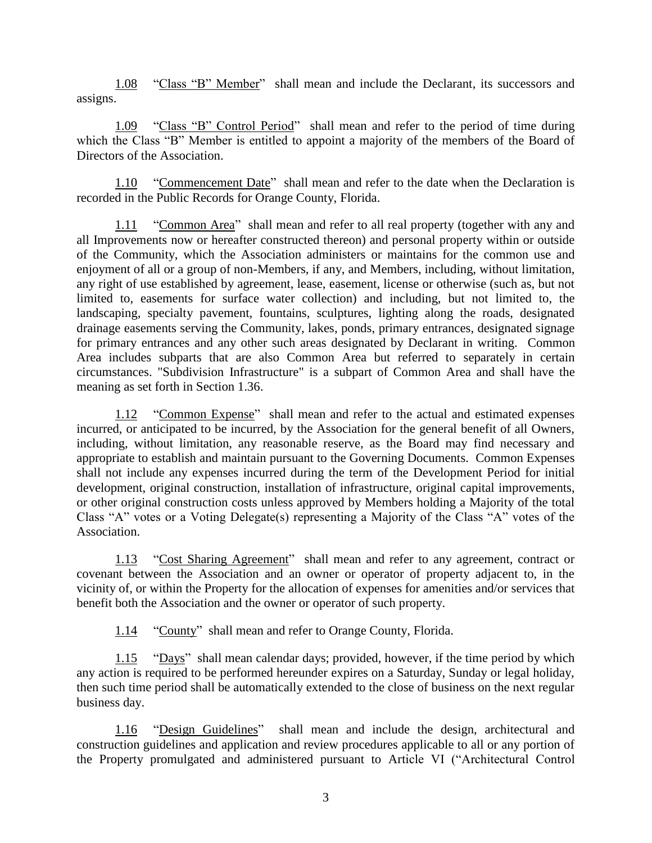<span id="page-9-0"></span>1.08 "Class "B" Member" shall mean and include the Declarant, its successors and assigns.

<span id="page-9-1"></span>1.09 "Class "B" Control Period" shall mean and refer to the period of time during which the Class "B" Member is entitled to appoint a majority of the members of the Board of Directors of the Association.

<span id="page-9-2"></span>1.10 "Commencement Date" shall mean and refer to the date when the Declaration is recorded in the Public Records for Orange County, Florida.

<span id="page-9-3"></span>1.11 "Common Area" shall mean and refer to all real property (together with any and all Improvements now or hereafter constructed thereon) and personal property within or outside of the Community, which the Association administers or maintains for the common use and enjoyment of all or a group of non-Members, if any, and Members, including, without limitation, any right of use established by agreement, lease, easement, license or otherwise (such as, but not limited to, easements for surface water collection) and including, but not limited to, the landscaping, specialty pavement, fountains, sculptures, lighting along the roads, designated drainage easements serving the Community, lakes, ponds, primary entrances, designated signage for primary entrances and any other such areas designated by Declarant in writing. Common Area includes subparts that are also Common Area but referred to separately in certain circumstances. "Subdivision Infrastructure" is a subpart of Common Area and shall have the meaning as set forth in Section 1.36.

<span id="page-9-4"></span>1.12 "Common Expense" shall mean and refer to the actual and estimated expenses incurred, or anticipated to be incurred, by the Association for the general benefit of all Owners, including, without limitation, any reasonable reserve, as the Board may find necessary and appropriate to establish and maintain pursuant to the Governing Documents. Common Expenses shall not include any expenses incurred during the term of the Development Period for initial development, original construction, installation of infrastructure, original capital improvements, or other original construction costs unless approved by Members holding a Majority of the total Class "A" votes or a Voting Delegate(s) representing a Majority of the Class "A" votes of the Association.

1.13 "Cost Sharing Agreement" shall mean and refer to any agreement, contract or covenant between the Association and an owner or operator of property adjacent to, in the vicinity of, or within the Property for the allocation of expenses for amenities and/or services that benefit both the Association and the owner or operator of such property.

<span id="page-9-6"></span><span id="page-9-5"></span>1.14 "County" shall mean and refer to Orange County, Florida.

1.15 "Days" shall mean calendar days; provided, however, if the time period by which any action is required to be performed hereunder expires on a Saturday, Sunday or legal holiday, then such time period shall be automatically extended to the close of business on the next regular business day.

1.16 "Design Guidelines" shall mean and include the design, architectural and construction guidelines and application and review procedures applicable to all or any portion of the Property promulgated and administered pursuant to Article VI ("Architectural Control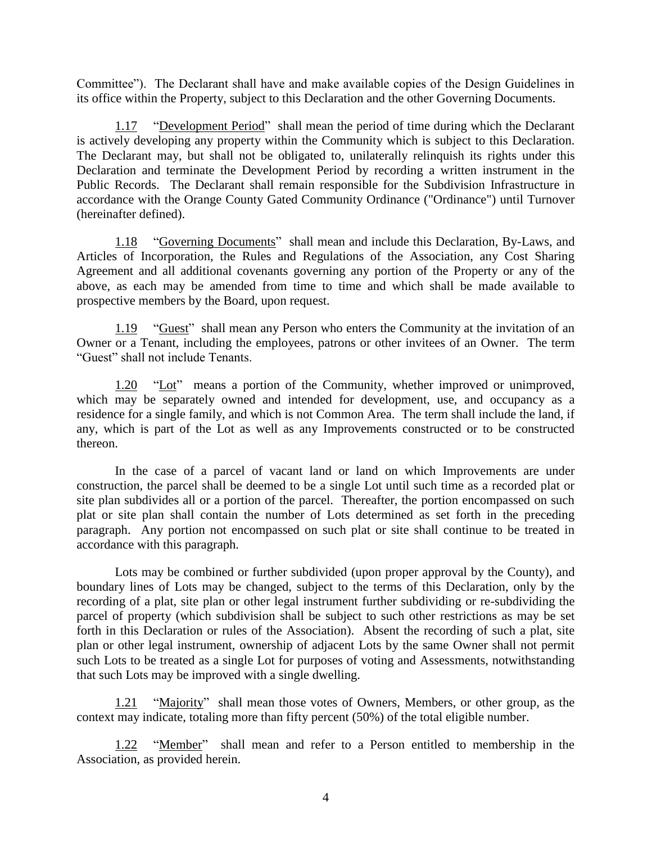Committee"). The Declarant shall have and make available copies of the Design Guidelines in its office within the Property, subject to this Declaration and the other Governing Documents.

<span id="page-10-0"></span>1.17 "Development Period" shall mean the period of time during which the Declarant is actively developing any property within the Community which is subject to this Declaration. The Declarant may, but shall not be obligated to, unilaterally relinquish its rights under this Declaration and terminate the Development Period by recording a written instrument in the Public Records. The Declarant shall remain responsible for the Subdivision Infrastructure in accordance with the Orange County Gated Community Ordinance ("Ordinance") until Turnover (hereinafter defined).

<span id="page-10-1"></span>1.18 "Governing Documents" shall mean and include this Declaration, By-Laws, and Articles of Incorporation, the Rules and Regulations of the Association, any Cost Sharing Agreement and all additional covenants governing any portion of the Property or any of the above, as each may be amended from time to time and which shall be made available to prospective members by the Board, upon request.

<span id="page-10-2"></span>1.19 "Guest" shall mean any Person who enters the Community at the invitation of an Owner or a Tenant, including the employees, patrons or other invitees of an Owner. The term "Guest" shall not include Tenants.

<span id="page-10-3"></span>1.20 "Lot" means a portion of the Community, whether improved or unimproved, which  $\overline{\text{may}}$  be separately owned and intended for development, use, and occupancy as a residence for a single family, and which is not Common Area. The term shall include the land, if any, which is part of the Lot as well as any Improvements constructed or to be constructed thereon.

In the case of a parcel of vacant land or land on which Improvements are under construction, the parcel shall be deemed to be a single Lot until such time as a recorded plat or site plan subdivides all or a portion of the parcel. Thereafter, the portion encompassed on such plat or site plan shall contain the number of Lots determined as set forth in the preceding paragraph. Any portion not encompassed on such plat or site shall continue to be treated in accordance with this paragraph.

Lots may be combined or further subdivided (upon proper approval by the County), and boundary lines of Lots may be changed, subject to the terms of this Declaration, only by the recording of a plat, site plan or other legal instrument further subdividing or re-subdividing the parcel of property (which subdivision shall be subject to such other restrictions as may be set forth in this Declaration or rules of the Association). Absent the recording of such a plat, site plan or other legal instrument, ownership of adjacent Lots by the same Owner shall not permit such Lots to be treated as a single Lot for purposes of voting and Assessments, notwithstanding that such Lots may be improved with a single dwelling.

<span id="page-10-4"></span>1.21 "Majority" shall mean those votes of Owners, Members, or other group, as the context may indicate, totaling more than fifty percent (50%) of the total eligible number.

1.22 "Member" shall mean and refer to a Person entitled to membership in the Association, as provided herein.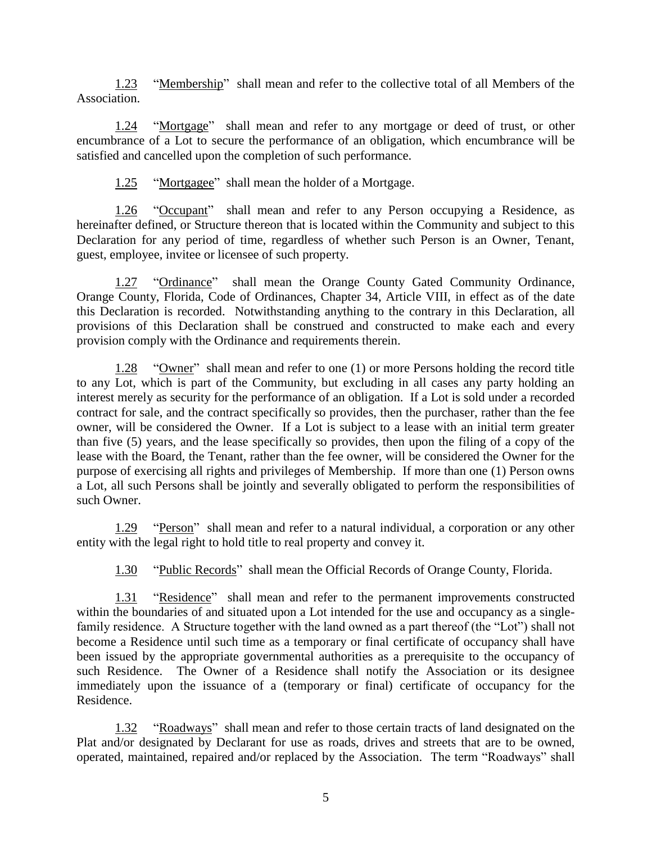1.23 "Membership" shall mean and refer to the collective total of all Members of the Association.

1.24 "Mortgage" shall mean and refer to any mortgage or deed of trust, or other encumbrance of a Lot to secure the performance of an obligation, which encumbrance will be satisfied and cancelled upon the completion of such performance.

<span id="page-11-3"></span><span id="page-11-2"></span><span id="page-11-1"></span><span id="page-11-0"></span>1.25 "Mortgagee" shall mean the holder of a Mortgage.

1.26 "Occupant" shall mean and refer to any Person occupying a Residence, as hereinafter defined, or Structure thereon that is located within the Community and subject to this Declaration for any period of time, regardless of whether such Person is an Owner, Tenant, guest, employee, invitee or licensee of such property.

1.27 "Ordinance" shall mean the Orange County Gated Community Ordinance, Orange County, Florida, Code of Ordinances, Chapter 34, Article VIII, in effect as of the date this Declaration is recorded. Notwithstanding anything to the contrary in this Declaration, all provisions of this Declaration shall be construed and constructed to make each and every provision comply with the Ordinance and requirements therein.

<span id="page-11-4"></span>1.28 "Owner" shall mean and refer to one (1) or more Persons holding the record title to any Lot, which is part of the Community, but excluding in all cases any party holding an interest merely as security for the performance of an obligation. If a Lot is sold under a recorded contract for sale, and the contract specifically so provides, then the purchaser, rather than the fee owner, will be considered the Owner. If a Lot is subject to a lease with an initial term greater than five (5) years, and the lease specifically so provides, then upon the filing of a copy of the lease with the Board, the Tenant, rather than the fee owner, will be considered the Owner for the purpose of exercising all rights and privileges of Membership. If more than one (1) Person owns a Lot, all such Persons shall be jointly and severally obligated to perform the responsibilities of such Owner.

1.29 "Person" shall mean and refer to a natural individual, a corporation or any other entity with the legal right to hold title to real property and convey it.

<span id="page-11-7"></span><span id="page-11-6"></span><span id="page-11-5"></span>1.30 "Public Records" shall mean the Official Records of Orange County, Florida.

1.31 "Residence" shall mean and refer to the permanent improvements constructed within the boundaries of and situated upon a Lot intended for the use and occupancy as a singlefamily residence. A Structure together with the land owned as a part thereof (the "Lot") shall not become a Residence until such time as a temporary or final certificate of occupancy shall have been issued by the appropriate governmental authorities as a prerequisite to the occupancy of such Residence. The Owner of a Residence shall notify the Association or its designee immediately upon the issuance of a (temporary or final) certificate of occupancy for the Residence.

1.32 "Roadways" shall mean and refer to those certain tracts of land designated on the Plat and/or designated by Declarant for use as roads, drives and streets that are to be owned, operated, maintained, repaired and/or replaced by the Association. The term "Roadways" shall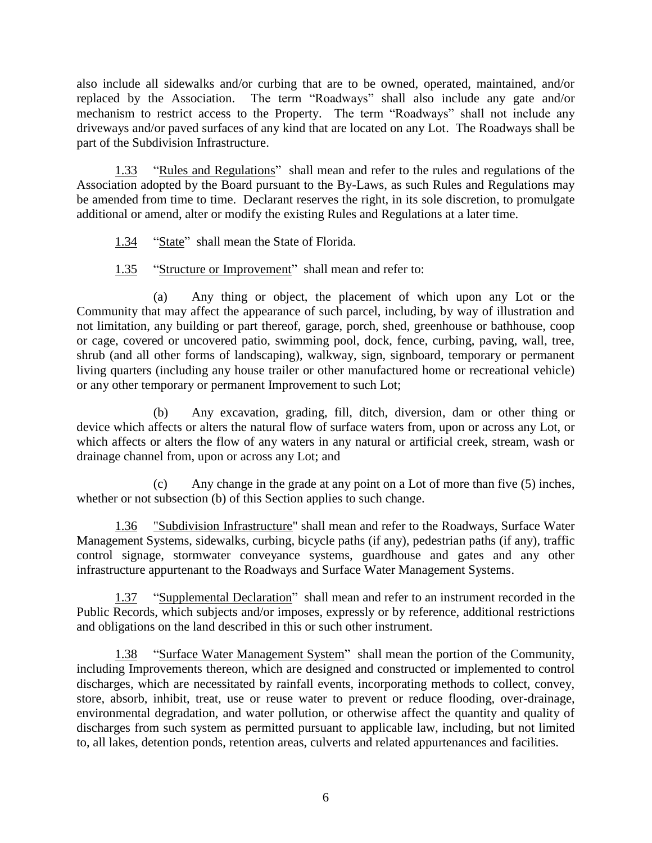also include all sidewalks and/or curbing that are to be owned, operated, maintained, and/or replaced by the Association. The term "Roadways" shall also include any gate and/or mechanism to restrict access to the Property. The term "Roadways" shall not include any driveways and/or paved surfaces of any kind that are located on any Lot. The Roadways shall be part of the Subdivision Infrastructure.

1.33 "Rules and Regulations" shall mean and refer to the rules and regulations of the Association adopted by the Board pursuant to the By-Laws, as such Rules and Regulations may be amended from time to time. Declarant reserves the right, in its sole discretion, to promulgate additional or amend, alter or modify the existing Rules and Regulations at a later time.

- <span id="page-12-1"></span><span id="page-12-0"></span>1.34 "State" shall mean the State of Florida.
- <span id="page-12-2"></span>1.35 "Structure or Improvement" shall mean and refer to:

(a) Any thing or object, the placement of which upon any Lot or the Community that may affect the appearance of such parcel, including, by way of illustration and not limitation, any building or part thereof, garage, porch, shed, greenhouse or bathhouse, coop or cage, covered or uncovered patio, swimming pool, dock, fence, curbing, paving, wall, tree, shrub (and all other forms of landscaping), walkway, sign, signboard, temporary or permanent living quarters (including any house trailer or other manufactured home or recreational vehicle) or any other temporary or permanent Improvement to such Lot;

(b) Any excavation, grading, fill, ditch, diversion, dam or other thing or device which affects or alters the natural flow of surface waters from, upon or across any Lot, or which affects or alters the flow of any waters in any natural or artificial creek, stream, wash or drainage channel from, upon or across any Lot; and

(c) Any change in the grade at any point on a Lot of more than five (5) inches, whether or not subsection (b) of this Section applies to such change.

1.36 "Subdivision Infrastructure" shall mean and refer to the Roadways, Surface Water Management Systems, sidewalks, curbing, bicycle paths (if any), pedestrian paths (if any), traffic control signage, stormwater conveyance systems, guardhouse and gates and any other infrastructure appurtenant to the Roadways and Surface Water Management Systems.

<span id="page-12-3"></span>1.37 "Supplemental Declaration" shall mean and refer to an instrument recorded in the Public Records, which subjects and/or imposes, expressly or by reference, additional restrictions and obligations on the land described in this or such other instrument.

<span id="page-12-4"></span>1.38 "Surface Water Management System" shall mean the portion of the Community, including Improvements thereon, which are designed and constructed or implemented to control discharges, which are necessitated by rainfall events, incorporating methods to collect, convey, store, absorb, inhibit, treat, use or reuse water to prevent or reduce flooding, over-drainage, environmental degradation, and water pollution, or otherwise affect the quantity and quality of discharges from such system as permitted pursuant to applicable law, including, but not limited to, all lakes, detention ponds, retention areas, culverts and related appurtenances and facilities.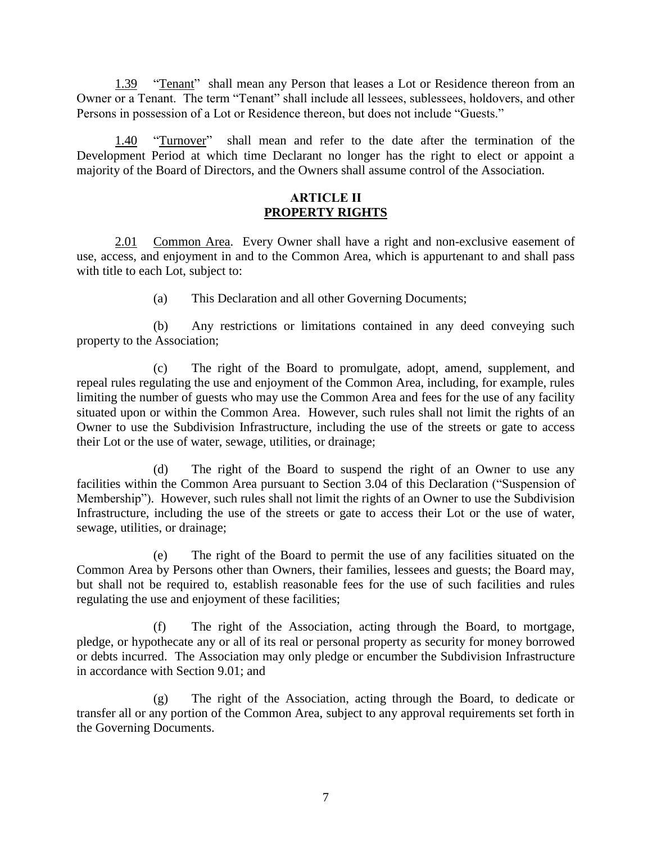<span id="page-13-0"></span>1.39 "Tenant" shall mean any Person that leases a Lot or Residence thereon from an Owner or a Tenant. The term "Tenant" shall include all lessees, sublessees, holdovers, and other Persons in possession of a Lot or Residence thereon, but does not include "Guests."

1.40 "Turnover" shall mean and refer to the date after the termination of the Development Period at which time Declarant no longer has the right to elect or appoint a majority of the Board of Directors, and the Owners shall assume control of the Association.

## <span id="page-13-3"></span><span id="page-13-2"></span><span id="page-13-1"></span>**ARTICLE II PROPERTY RIGHTS**

2.01 Common Area. Every Owner shall have a right and non-exclusive easement of use, access, and enjoyment in and to the Common Area, which is appurtenant to and shall pass with title to each Lot, subject to:

(a) This Declaration and all other Governing Documents;

(b) Any restrictions or limitations contained in any deed conveying such property to the Association;

(c) The right of the Board to promulgate, adopt, amend, supplement, and repeal rules regulating the use and enjoyment of the Common Area, including, for example, rules limiting the number of guests who may use the Common Area and fees for the use of any facility situated upon or within the Common Area. However, such rules shall not limit the rights of an Owner to use the Subdivision Infrastructure, including the use of the streets or gate to access their Lot or the use of water, sewage, utilities, or drainage;

(d) The right of the Board to suspend the right of an Owner to use any facilities within the Common Area pursuant to Section 3.04 of this Declaration ("Suspension of Membership"). However, such rules shall not limit the rights of an Owner to use the Subdivision Infrastructure, including the use of the streets or gate to access their Lot or the use of water, sewage, utilities, or drainage;

(e) The right of the Board to permit the use of any facilities situated on the Common Area by Persons other than Owners, their families, lessees and guests; the Board may, but shall not be required to, establish reasonable fees for the use of such facilities and rules regulating the use and enjoyment of these facilities;

(f) The right of the Association, acting through the Board, to mortgage, pledge, or hypothecate any or all of its real or personal property as security for money borrowed or debts incurred. The Association may only pledge or encumber the Subdivision Infrastructure in accordance with Section 9.01; and

(g) The right of the Association, acting through the Board, to dedicate or transfer all or any portion of the Common Area, subject to any approval requirements set forth in the Governing Documents.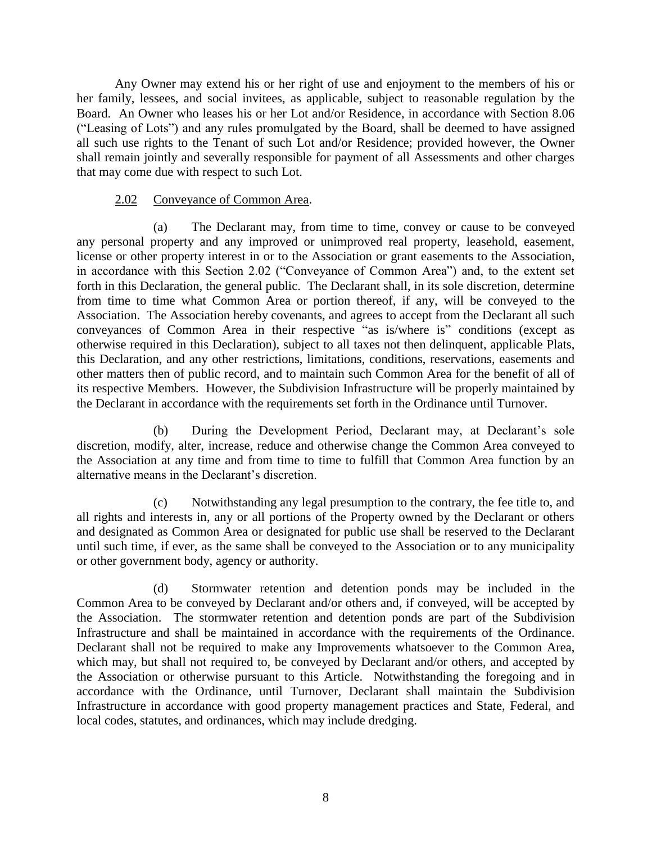Any Owner may extend his or her right of use and enjoyment to the members of his or her family, lessees, and social invitees, as applicable, subject to reasonable regulation by the Board. An Owner who leases his or her Lot and/or Residence, in accordance with Section 8.06 ("Leasing of Lots") and any rules promulgated by the Board, shall be deemed to have assigned all such use rights to the Tenant of such Lot and/or Residence; provided however, the Owner shall remain jointly and severally responsible for payment of all Assessments and other charges that may come due with respect to such Lot.

## <span id="page-14-0"></span>2.02 Conveyance of Common Area.

(a) The Declarant may, from time to time, convey or cause to be conveyed any personal property and any improved or unimproved real property, leasehold, easement, license or other property interest in or to the Association or grant easements to the Association, in accordance with this Section 2.02 ("Conveyance of Common Area") and, to the extent set forth in this Declaration, the general public. The Declarant shall, in its sole discretion, determine from time to time what Common Area or portion thereof, if any, will be conveyed to the Association. The Association hereby covenants, and agrees to accept from the Declarant all such conveyances of Common Area in their respective "as is/where is" conditions (except as otherwise required in this Declaration), subject to all taxes not then delinquent, applicable Plats, this Declaration, and any other restrictions, limitations, conditions, reservations, easements and other matters then of public record, and to maintain such Common Area for the benefit of all of its respective Members. However, the Subdivision Infrastructure will be properly maintained by the Declarant in accordance with the requirements set forth in the Ordinance until Turnover.

(b) During the Development Period, Declarant may, at Declarant's sole discretion, modify, alter, increase, reduce and otherwise change the Common Area conveyed to the Association at any time and from time to time to fulfill that Common Area function by an alternative means in the Declarant's discretion.

(c) Notwithstanding any legal presumption to the contrary, the fee title to, and all rights and interests in, any or all portions of the Property owned by the Declarant or others and designated as Common Area or designated for public use shall be reserved to the Declarant until such time, if ever, as the same shall be conveyed to the Association or to any municipality or other government body, agency or authority.

(d) Stormwater retention and detention ponds may be included in the Common Area to be conveyed by Declarant and/or others and, if conveyed, will be accepted by the Association. The stormwater retention and detention ponds are part of the Subdivision Infrastructure and shall be maintained in accordance with the requirements of the Ordinance. Declarant shall not be required to make any Improvements whatsoever to the Common Area, which may, but shall not required to, be conveyed by Declarant and/or others, and accepted by the Association or otherwise pursuant to this Article. Notwithstanding the foregoing and in accordance with the Ordinance, until Turnover, Declarant shall maintain the Subdivision Infrastructure in accordance with good property management practices and State, Federal, and local codes, statutes, and ordinances, which may include dredging.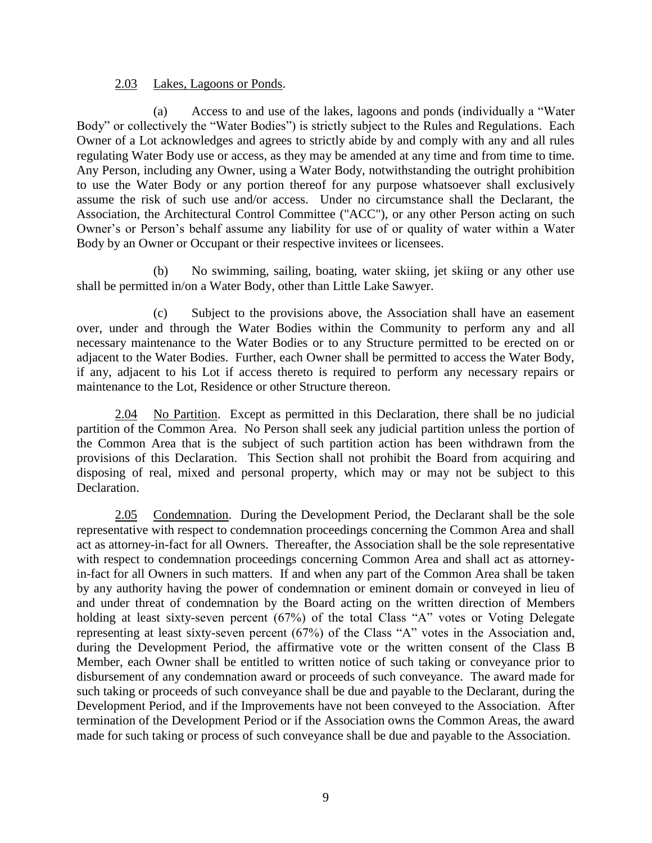#### <span id="page-15-0"></span>2.03 Lakes, Lagoons or Ponds.

(a) Access to and use of the lakes, lagoons and ponds (individually a "Water Body" or collectively the "Water Bodies") is strictly subject to the Rules and Regulations. Each Owner of a Lot acknowledges and agrees to strictly abide by and comply with any and all rules regulating Water Body use or access, as they may be amended at any time and from time to time. Any Person, including any Owner, using a Water Body, notwithstanding the outright prohibition to use the Water Body or any portion thereof for any purpose whatsoever shall exclusively assume the risk of such use and/or access. Under no circumstance shall the Declarant, the Association, the Architectural Control Committee ("ACC"), or any other Person acting on such Owner's or Person's behalf assume any liability for use of or quality of water within a Water Body by an Owner or Occupant or their respective invitees or licensees.

(b) No swimming, sailing, boating, water skiing, jet skiing or any other use shall be permitted in/on a Water Body, other than Little Lake Sawyer.

(c) Subject to the provisions above, the Association shall have an easement over, under and through the Water Bodies within the Community to perform any and all necessary maintenance to the Water Bodies or to any Structure permitted to be erected on or adjacent to the Water Bodies. Further, each Owner shall be permitted to access the Water Body, if any, adjacent to his Lot if access thereto is required to perform any necessary repairs or maintenance to the Lot, Residence or other Structure thereon.

<span id="page-15-1"></span>2.04 No Partition. Except as permitted in this Declaration, there shall be no judicial partition of the Common Area. No Person shall seek any judicial partition unless the portion of the Common Area that is the subject of such partition action has been withdrawn from the provisions of this Declaration. This Section shall not prohibit the Board from acquiring and disposing of real, mixed and personal property, which may or may not be subject to this Declaration.

<span id="page-15-2"></span>2.05 Condemnation. During the Development Period, the Declarant shall be the sole representative with respect to condemnation proceedings concerning the Common Area and shall act as attorney-in-fact for all Owners. Thereafter, the Association shall be the sole representative with respect to condemnation proceedings concerning Common Area and shall act as attorneyin-fact for all Owners in such matters. If and when any part of the Common Area shall be taken by any authority having the power of condemnation or eminent domain or conveyed in lieu of and under threat of condemnation by the Board acting on the written direction of Members holding at least sixty-seven percent (67%) of the total Class "A" votes or Voting Delegate representing at least sixty-seven percent (67%) of the Class "A" votes in the Association and, during the Development Period, the affirmative vote or the written consent of the Class B Member, each Owner shall be entitled to written notice of such taking or conveyance prior to disbursement of any condemnation award or proceeds of such conveyance. The award made for such taking or proceeds of such conveyance shall be due and payable to the Declarant, during the Development Period, and if the Improvements have not been conveyed to the Association. After termination of the Development Period or if the Association owns the Common Areas, the award made for such taking or process of such conveyance shall be due and payable to the Association.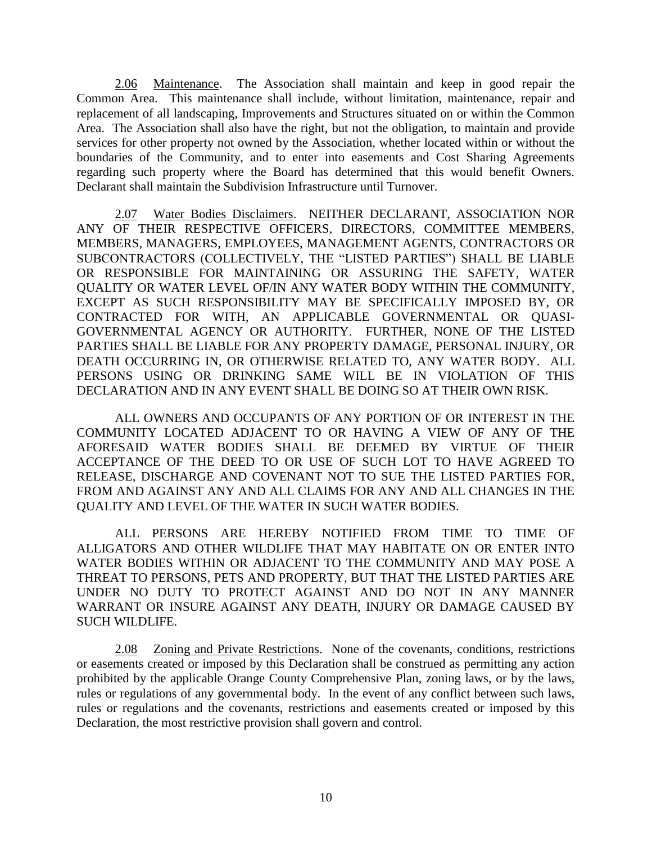<span id="page-16-0"></span>2.06 Maintenance. The Association shall maintain and keep in good repair the Common Area. This maintenance shall include, without limitation, maintenance, repair and replacement of all landscaping, Improvements and Structures situated on or within the Common Area. The Association shall also have the right, but not the obligation, to maintain and provide services for other property not owned by the Association, whether located within or without the boundaries of the Community, and to enter into easements and Cost Sharing Agreements regarding such property where the Board has determined that this would benefit Owners. Declarant shall maintain the Subdivision Infrastructure until Turnover.

2.07 Water Bodies Disclaimers.NEITHER DECLARANT, ASSOCIATION NOR ANY OF THEIR RESPECTIVE OFFICERS, DIRECTORS, COMMITTEE MEMBERS, MEMBERS, MANAGERS, EMPLOYEES, MANAGEMENT AGENTS, CONTRACTORS OR SUBCONTRACTORS (COLLECTIVELY, THE "LISTED PARTIES") SHALL BE LIABLE OR RESPONSIBLE FOR MAINTAINING OR ASSURING THE SAFETY, WATER QUALITY OR WATER LEVEL OF/IN ANY WATER BODY WITHIN THE COMMUNITY, EXCEPT AS SUCH RESPONSIBILITY MAY BE SPECIFICALLY IMPOSED BY, OR CONTRACTED FOR WITH, AN APPLICABLE GOVERNMENTAL OR QUASI-GOVERNMENTAL AGENCY OR AUTHORITY. FURTHER, NONE OF THE LISTED PARTIES SHALL BE LIABLE FOR ANY PROPERTY DAMAGE, PERSONAL INJURY, OR DEATH OCCURRING IN, OR OTHERWISE RELATED TO, ANY WATER BODY. ALL PERSONS USING OR DRINKING SAME WILL BE IN VIOLATION OF THIS DECLARATION AND IN ANY EVENT SHALL BE DOING SO AT THEIR OWN RISK.

ALL OWNERS AND OCCUPANTS OF ANY PORTION OF OR INTEREST IN THE COMMUNITY LOCATED ADJACENT TO OR HAVING A VIEW OF ANY OF THE AFORESAID WATER BODIES SHALL BE DEEMED BY VIRTUE OF THEIR ACCEPTANCE OF THE DEED TO OR USE OF SUCH LOT TO HAVE AGREED TO RELEASE, DISCHARGE AND COVENANT NOT TO SUE THE LISTED PARTIES FOR, FROM AND AGAINST ANY AND ALL CLAIMS FOR ANY AND ALL CHANGES IN THE QUALITY AND LEVEL OF THE WATER IN SUCH WATER BODIES.

ALL PERSONS ARE HEREBY NOTIFIED FROM TIME TO TIME OF ALLIGATORS AND OTHER WILDLIFE THAT MAY HABITATE ON OR ENTER INTO WATER BODIES WITHIN OR ADJACENT TO THE COMMUNITY AND MAY POSE A THREAT TO PERSONS, PETS AND PROPERTY, BUT THAT THE LISTED PARTIES ARE UNDER NO DUTY TO PROTECT AGAINST AND DO NOT IN ANY MANNER WARRANT OR INSURE AGAINST ANY DEATH, INJURY OR DAMAGE CAUSED BY SUCH WILDLIFE.

<span id="page-16-1"></span>2.08 Zoning and Private Restrictions. None of the covenants, conditions, restrictions or easements created or imposed by this Declaration shall be construed as permitting any action prohibited by the applicable Orange County Comprehensive Plan, zoning laws, or by the laws, rules or regulations of any governmental body. In the event of any conflict between such laws, rules or regulations and the covenants, restrictions and easements created or imposed by this Declaration, the most restrictive provision shall govern and control.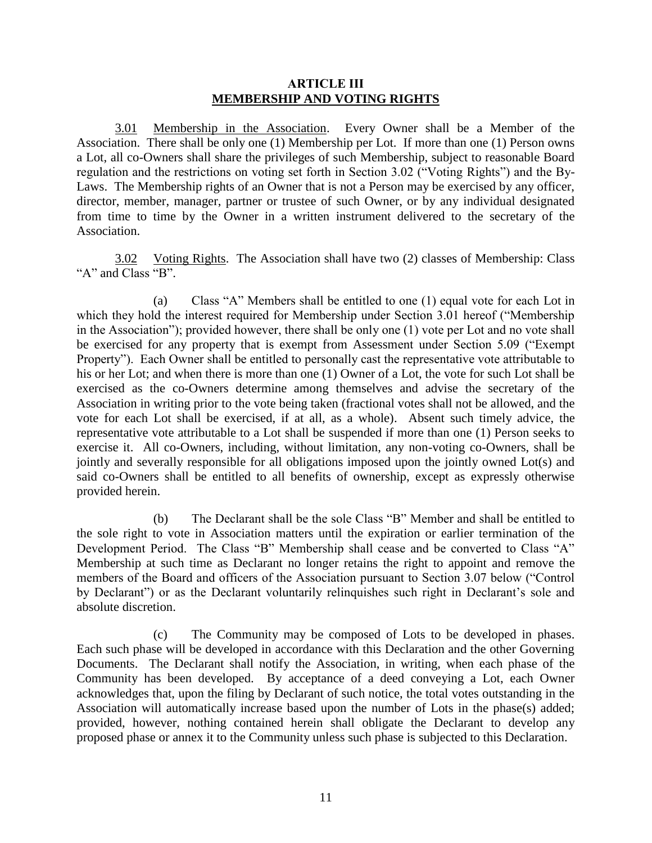### <span id="page-17-1"></span><span id="page-17-0"></span>**ARTICLE III MEMBERSHIP AND VOTING RIGHTS**

3.01 Membership in the Association. Every Owner shall be a Member of the Association. There shall be only one (1) Membership per Lot. If more than one (1) Person owns a Lot, all co-Owners shall share the privileges of such Membership, subject to reasonable Board regulation and the restrictions on voting set forth in Section 3.02 ("Voting Rights") and the By-Laws. The Membership rights of an Owner that is not a Person may be exercised by any officer, director, member, manager, partner or trustee of such Owner, or by any individual designated from time to time by the Owner in a written instrument delivered to the secretary of the Association.

<span id="page-17-2"></span>3.02 Voting Rights. The Association shall have two (2) classes of Membership: Class "A" and Class "B".

(a) Class "A" Members shall be entitled to one (1) equal vote for each Lot in which they hold the interest required for Membership under Section 3.01 hereof ("Membership in the Association"); provided however, there shall be only one (1) vote per Lot and no vote shall be exercised for any property that is exempt from Assessment under Section 5.09 ("Exempt Property"). Each Owner shall be entitled to personally cast the representative vote attributable to his or her Lot; and when there is more than one (1) Owner of a Lot, the vote for such Lot shall be exercised as the co-Owners determine among themselves and advise the secretary of the Association in writing prior to the vote being taken (fractional votes shall not be allowed, and the vote for each Lot shall be exercised, if at all, as a whole). Absent such timely advice, the representative vote attributable to a Lot shall be suspended if more than one (1) Person seeks to exercise it. All co-Owners, including, without limitation, any non-voting co-Owners, shall be jointly and severally responsible for all obligations imposed upon the jointly owned Lot(s) and said co-Owners shall be entitled to all benefits of ownership, except as expressly otherwise provided herein.

(b) The Declarant shall be the sole Class "B" Member and shall be entitled to the sole right to vote in Association matters until the expiration or earlier termination of the Development Period. The Class "B" Membership shall cease and be converted to Class "A" Membership at such time as Declarant no longer retains the right to appoint and remove the members of the Board and officers of the Association pursuant to Section 3.07 below ("Control by Declarant") or as the Declarant voluntarily relinquishes such right in Declarant's sole and absolute discretion.

(c) The Community may be composed of Lots to be developed in phases. Each such phase will be developed in accordance with this Declaration and the other Governing Documents. The Declarant shall notify the Association, in writing, when each phase of the Community has been developed. By acceptance of a deed conveying a Lot, each Owner acknowledges that, upon the filing by Declarant of such notice, the total votes outstanding in the Association will automatically increase based upon the number of Lots in the phase(s) added; provided, however, nothing contained herein shall obligate the Declarant to develop any proposed phase or annex it to the Community unless such phase is subjected to this Declaration.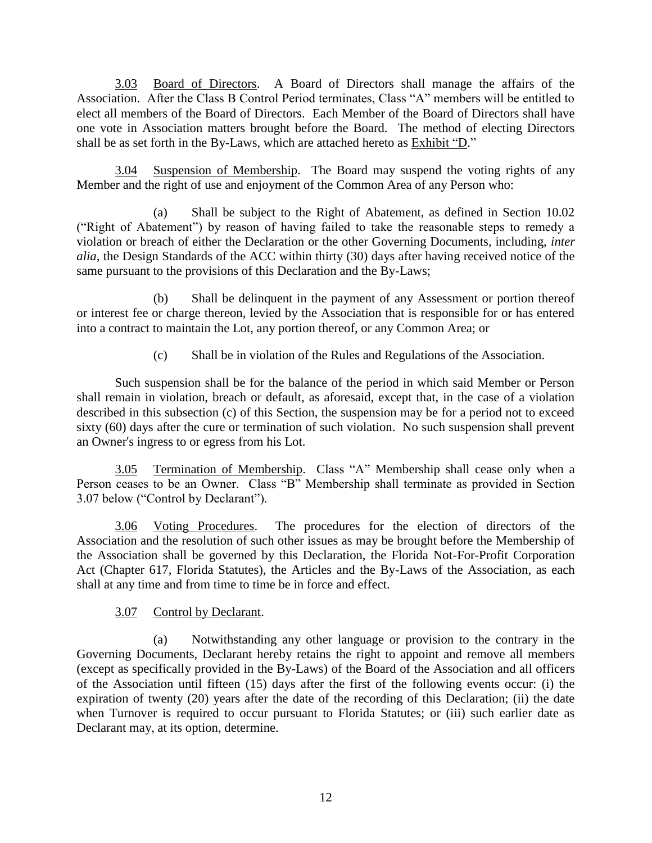<span id="page-18-0"></span>3.03 Board of Directors. A Board of Directors shall manage the affairs of the Association. After the Class B Control Period terminates, Class "A" members will be entitled to elect all members of the Board of Directors. Each Member of the Board of Directors shall have one vote in Association matters brought before the Board. The method of electing Directors shall be as set forth in the By-Laws, which are attached hereto as Exhibit "D."

<span id="page-18-1"></span>3.04 Suspension of Membership. The Board may suspend the voting rights of any Member and the right of use and enjoyment of the Common Area of any Person who:

(a) Shall be subject to the Right of Abatement, as defined in Section 10.02 ("Right of Abatement") by reason of having failed to take the reasonable steps to remedy a violation or breach of either the Declaration or the other Governing Documents, including, *inter alia*, the Design Standards of the ACC within thirty (30) days after having received notice of the same pursuant to the provisions of this Declaration and the By-Laws;

(b) Shall be delinquent in the payment of any Assessment or portion thereof or interest fee or charge thereon, levied by the Association that is responsible for or has entered into a contract to maintain the Lot, any portion thereof, or any Common Area; or

<span id="page-18-2"></span>(c) Shall be in violation of the Rules and Regulations of the Association.

Such suspension shall be for the balance of the period in which said Member or Person shall remain in violation, breach or default, as aforesaid, except that, in the case of a violation described in this subsection (c) of this Section, the suspension may be for a period not to exceed sixty (60) days after the cure or termination of such violation. No such suspension shall prevent an Owner's ingress to or egress from his Lot.

3.05 Termination of Membership. Class "A" Membership shall cease only when a Person ceases to be an Owner. Class "B" Membership shall terminate as provided in Section 3.07 below ("Control by Declarant").

3.06 Voting Procedures. The procedures for the election of directors of the Association and the resolution of such other issues as may be brought before the Membership of the Association shall be governed by this Declaration, the Florida Not-For-Profit Corporation Act (Chapter 617, Florida Statutes), the Articles and the By-Laws of the Association, as each shall at any time and from time to time be in force and effect.

## <span id="page-18-4"></span><span id="page-18-3"></span>3.07 Control by Declarant.

(a) Notwithstanding any other language or provision to the contrary in the Governing Documents, Declarant hereby retains the right to appoint and remove all members (except as specifically provided in the By-Laws) of the Board of the Association and all officers of the Association until fifteen (15) days after the first of the following events occur: (i) the expiration of twenty (20) years after the date of the recording of this Declaration; (ii) the date when Turnover is required to occur pursuant to Florida Statutes; or (iii) such earlier date as Declarant may, at its option, determine.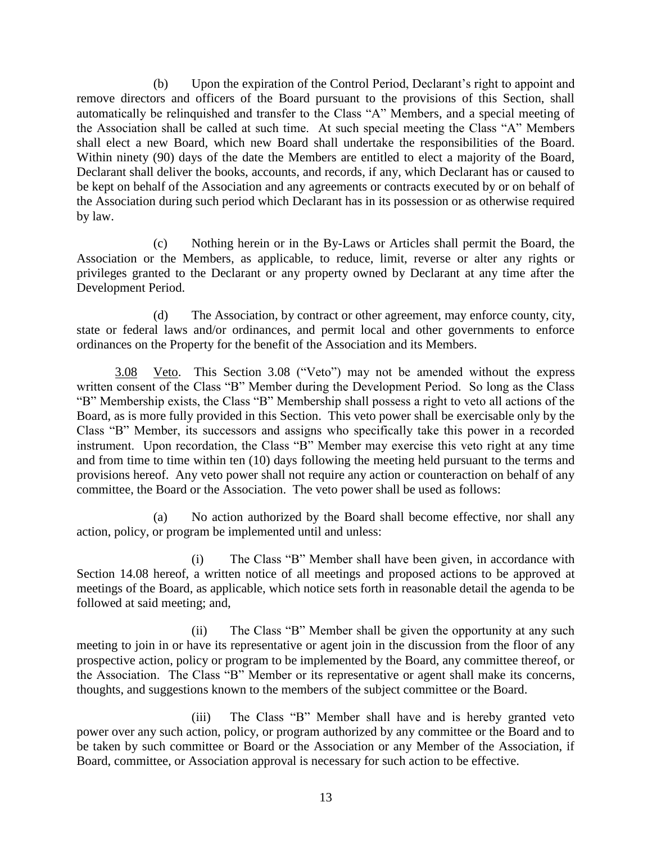(b) Upon the expiration of the Control Period, Declarant's right to appoint and remove directors and officers of the Board pursuant to the provisions of this Section, shall automatically be relinquished and transfer to the Class "A" Members, and a special meeting of the Association shall be called at such time. At such special meeting the Class "A" Members shall elect a new Board, which new Board shall undertake the responsibilities of the Board. Within ninety (90) days of the date the Members are entitled to elect a majority of the Board, Declarant shall deliver the books, accounts, and records, if any, which Declarant has or caused to be kept on behalf of the Association and any agreements or contracts executed by or on behalf of the Association during such period which Declarant has in its possession or as otherwise required by law.

(c) Nothing herein or in the By-Laws or Articles shall permit the Board, the Association or the Members, as applicable, to reduce, limit, reverse or alter any rights or privileges granted to the Declarant or any property owned by Declarant at any time after the Development Period.

(d) The Association, by contract or other agreement, may enforce county, city, state or federal laws and/or ordinances, and permit local and other governments to enforce ordinances on the Property for the benefit of the Association and its Members.

<span id="page-19-0"></span>3.08 Veto. This Section 3.08 ("Veto") may not be amended without the express written consent of the Class "B" Member during the Development Period. So long as the Class "B" Membership exists, the Class "B" Membership shall possess a right to veto all actions of the Board, as is more fully provided in this Section. This veto power shall be exercisable only by the Class "B" Member, its successors and assigns who specifically take this power in a recorded instrument. Upon recordation, the Class "B" Member may exercise this veto right at any time and from time to time within ten (10) days following the meeting held pursuant to the terms and provisions hereof. Any veto power shall not require any action or counteraction on behalf of any committee, the Board or the Association. The veto power shall be used as follows:

(a) No action authorized by the Board shall become effective, nor shall any action, policy, or program be implemented until and unless:

(i) The Class "B" Member shall have been given, in accordance with Section 14.08 hereof, a written notice of all meetings and proposed actions to be approved at meetings of the Board, as applicable, which notice sets forth in reasonable detail the agenda to be followed at said meeting; and,

(ii) The Class "B" Member shall be given the opportunity at any such meeting to join in or have its representative or agent join in the discussion from the floor of any prospective action, policy or program to be implemented by the Board, any committee thereof, or the Association. The Class "B" Member or its representative or agent shall make its concerns, thoughts, and suggestions known to the members of the subject committee or the Board.

(iii) The Class "B" Member shall have and is hereby granted veto power over any such action, policy, or program authorized by any committee or the Board and to be taken by such committee or Board or the Association or any Member of the Association, if Board, committee, or Association approval is necessary for such action to be effective.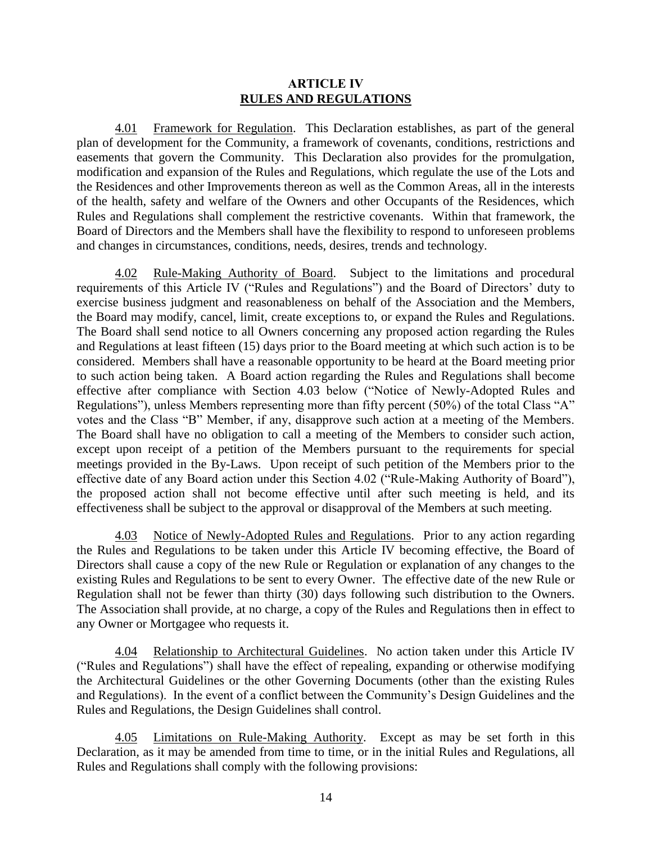#### <span id="page-20-2"></span><span id="page-20-1"></span><span id="page-20-0"></span>**ARTICLE IV RULES AND REGULATIONS**

4.01 Framework for Regulation. This Declaration establishes, as part of the general plan of development for the Community, a framework of covenants, conditions, restrictions and easements that govern the Community. This Declaration also provides for the promulgation, modification and expansion of the Rules and Regulations, which regulate the use of the Lots and the Residences and other Improvements thereon as well as the Common Areas, all in the interests of the health, safety and welfare of the Owners and other Occupants of the Residences, which Rules and Regulations shall complement the restrictive covenants. Within that framework, the Board of Directors and the Members shall have the flexibility to respond to unforeseen problems and changes in circumstances, conditions, needs, desires, trends and technology.

4.02 Rule-Making Authority of Board. Subject to the limitations and procedural requirements of this Article IV ("Rules and Regulations") and the Board of Directors' duty to exercise business judgment and reasonableness on behalf of the Association and the Members, the Board may modify, cancel, limit, create exceptions to, or expand the Rules and Regulations. The Board shall send notice to all Owners concerning any proposed action regarding the Rules and Regulations at least fifteen (15) days prior to the Board meeting at which such action is to be considered. Members shall have a reasonable opportunity to be heard at the Board meeting prior to such action being taken. A Board action regarding the Rules and Regulations shall become effective after compliance with Section 4.03 below ("Notice of Newly-Adopted Rules and Regulations"), unless Members representing more than fifty percent (50%) of the total Class "A" votes and the Class "B" Member, if any, disapprove such action at a meeting of the Members. The Board shall have no obligation to call a meeting of the Members to consider such action, except upon receipt of a petition of the Members pursuant to the requirements for special meetings provided in the By-Laws. Upon receipt of such petition of the Members prior to the effective date of any Board action under this Section 4.02 ("Rule-Making Authority of Board"), the proposed action shall not become effective until after such meeting is held, and its effectiveness shall be subject to the approval or disapproval of the Members at such meeting.

<span id="page-20-3"></span>4.03 Notice of Newly-Adopted Rules and Regulations. Prior to any action regarding the Rules and Regulations to be taken under this Article IV becoming effective, the Board of Directors shall cause a copy of the new Rule or Regulation or explanation of any changes to the existing Rules and Regulations to be sent to every Owner. The effective date of the new Rule or Regulation shall not be fewer than thirty (30) days following such distribution to the Owners. The Association shall provide, at no charge, a copy of the Rules and Regulations then in effect to any Owner or Mortgagee who requests it.

<span id="page-20-4"></span>4.04 Relationship to Architectural Guidelines. No action taken under this Article IV ("Rules and Regulations") shall have the effect of repealing, expanding or otherwise modifying the Architectural Guidelines or the other Governing Documents (other than the existing Rules and Regulations). In the event of a conflict between the Community's Design Guidelines and the Rules and Regulations, the Design Guidelines shall control.

<span id="page-20-5"></span>4.05 Limitations on Rule-Making Authority. Except as may be set forth in this Declaration, as it may be amended from time to time, or in the initial Rules and Regulations, all Rules and Regulations shall comply with the following provisions: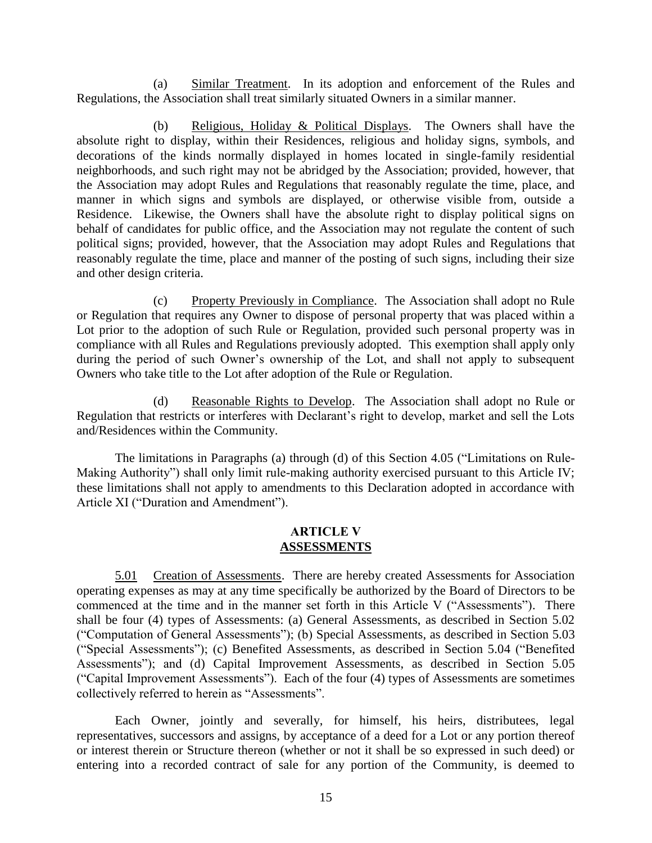(a) Similar Treatment. In its adoption and enforcement of the Rules and Regulations, the Association shall treat similarly situated Owners in a similar manner.

(b) Religious, Holiday & Political Displays. The Owners shall have the absolute right to display, within their Residences, religious and holiday signs, symbols, and decorations of the kinds normally displayed in homes located in single-family residential neighborhoods, and such right may not be abridged by the Association; provided, however, that the Association may adopt Rules and Regulations that reasonably regulate the time, place, and manner in which signs and symbols are displayed, or otherwise visible from, outside a Residence. Likewise, the Owners shall have the absolute right to display political signs on behalf of candidates for public office, and the Association may not regulate the content of such political signs; provided, however, that the Association may adopt Rules and Regulations that reasonably regulate the time, place and manner of the posting of such signs, including their size and other design criteria.

(c) Property Previously in Compliance. The Association shall adopt no Rule or Regulation that requires any Owner to dispose of personal property that was placed within a Lot prior to the adoption of such Rule or Regulation, provided such personal property was in compliance with all Rules and Regulations previously adopted. This exemption shall apply only during the period of such Owner's ownership of the Lot, and shall not apply to subsequent Owners who take title to the Lot after adoption of the Rule or Regulation.

Reasonable Rights to Develop. The Association shall adopt no Rule or Regulation that restricts or interferes with Declarant's right to develop, market and sell the Lots and/Residences within the Community.

The limitations in Paragraphs (a) through (d) of this Section 4.05 ("Limitations on Rule-Making Authority") shall only limit rule-making authority exercised pursuant to this Article IV; these limitations shall not apply to amendments to this Declaration adopted in accordance with Article XI ("Duration and Amendment").

### <span id="page-21-1"></span><span id="page-21-0"></span>**ARTICLE V ASSESSMENTS**

5.01 Creation of Assessments. There are hereby created Assessments for Association operating expenses as may at any time specifically be authorized by the Board of Directors to be commenced at the time and in the manner set forth in this Article V ("Assessments"). There shall be four (4) types of Assessments: (a) General Assessments, as described in Section 5.02 ("Computation of General Assessments"); (b) Special Assessments, as described in Section 5.03 ("Special Assessments"); (c) Benefited Assessments, as described in Section 5.04 ("Benefited Assessments"); and (d) Capital Improvement Assessments, as described in Section 5.05 ("Capital Improvement Assessments"). Each of the four (4) types of Assessments are sometimes collectively referred to herein as "Assessments".

Each Owner, jointly and severally, for himself, his heirs, distributees, legal representatives, successors and assigns, by acceptance of a deed for a Lot or any portion thereof or interest therein or Structure thereon (whether or not it shall be so expressed in such deed) or entering into a recorded contract of sale for any portion of the Community, is deemed to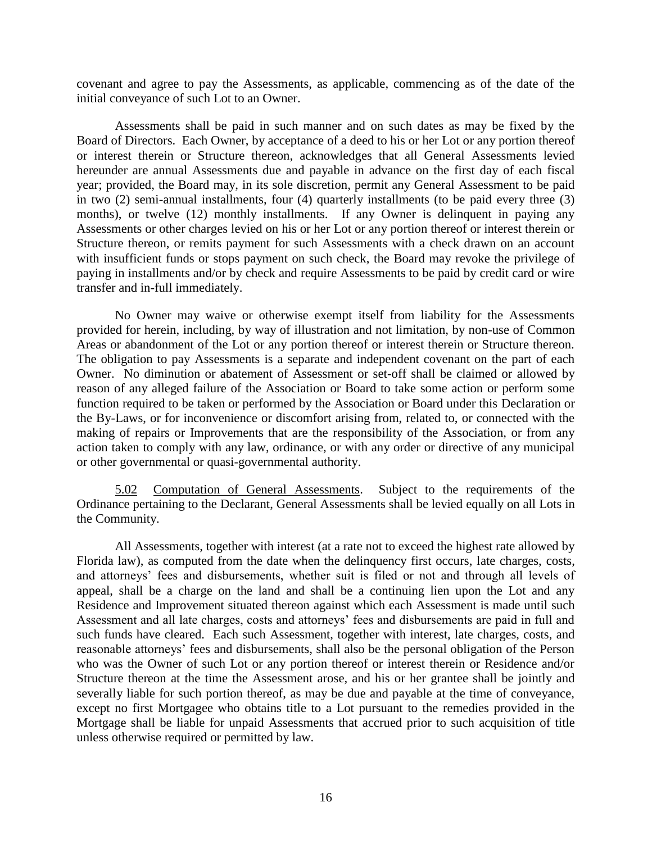covenant and agree to pay the Assessments, as applicable, commencing as of the date of the initial conveyance of such Lot to an Owner.

Assessments shall be paid in such manner and on such dates as may be fixed by the Board of Directors. Each Owner, by acceptance of a deed to his or her Lot or any portion thereof or interest therein or Structure thereon, acknowledges that all General Assessments levied hereunder are annual Assessments due and payable in advance on the first day of each fiscal year; provided, the Board may, in its sole discretion, permit any General Assessment to be paid in two (2) semi-annual installments, four (4) quarterly installments (to be paid every three (3) months), or twelve (12) monthly installments. If any Owner is delinquent in paying any Assessments or other charges levied on his or her Lot or any portion thereof or interest therein or Structure thereon, or remits payment for such Assessments with a check drawn on an account with insufficient funds or stops payment on such check, the Board may revoke the privilege of paying in installments and/or by check and require Assessments to be paid by credit card or wire transfer and in-full immediately.

No Owner may waive or otherwise exempt itself from liability for the Assessments provided for herein, including, by way of illustration and not limitation, by non-use of Common Areas or abandonment of the Lot or any portion thereof or interest therein or Structure thereon. The obligation to pay Assessments is a separate and independent covenant on the part of each Owner. No diminution or abatement of Assessment or set-off shall be claimed or allowed by reason of any alleged failure of the Association or Board to take some action or perform some function required to be taken or performed by the Association or Board under this Declaration or the By-Laws, or for inconvenience or discomfort arising from, related to, or connected with the making of repairs or Improvements that are the responsibility of the Association, or from any action taken to comply with any law, ordinance, or with any order or directive of any municipal or other governmental or quasi-governmental authority.

<span id="page-22-0"></span>5.02 Computation of General Assessments. Subject to the requirements of the Ordinance pertaining to the Declarant, General Assessments shall be levied equally on all Lots in the Community.

All Assessments, together with interest (at a rate not to exceed the highest rate allowed by Florida law), as computed from the date when the delinquency first occurs, late charges, costs, and attorneys' fees and disbursements, whether suit is filed or not and through all levels of appeal, shall be a charge on the land and shall be a continuing lien upon the Lot and any Residence and Improvement situated thereon against which each Assessment is made until such Assessment and all late charges, costs and attorneys' fees and disbursements are paid in full and such funds have cleared. Each such Assessment, together with interest, late charges, costs, and reasonable attorneys' fees and disbursements, shall also be the personal obligation of the Person who was the Owner of such Lot or any portion thereof or interest therein or Residence and/or Structure thereon at the time the Assessment arose, and his or her grantee shall be jointly and severally liable for such portion thereof, as may be due and payable at the time of conveyance, except no first Mortgagee who obtains title to a Lot pursuant to the remedies provided in the Mortgage shall be liable for unpaid Assessments that accrued prior to such acquisition of title unless otherwise required or permitted by law.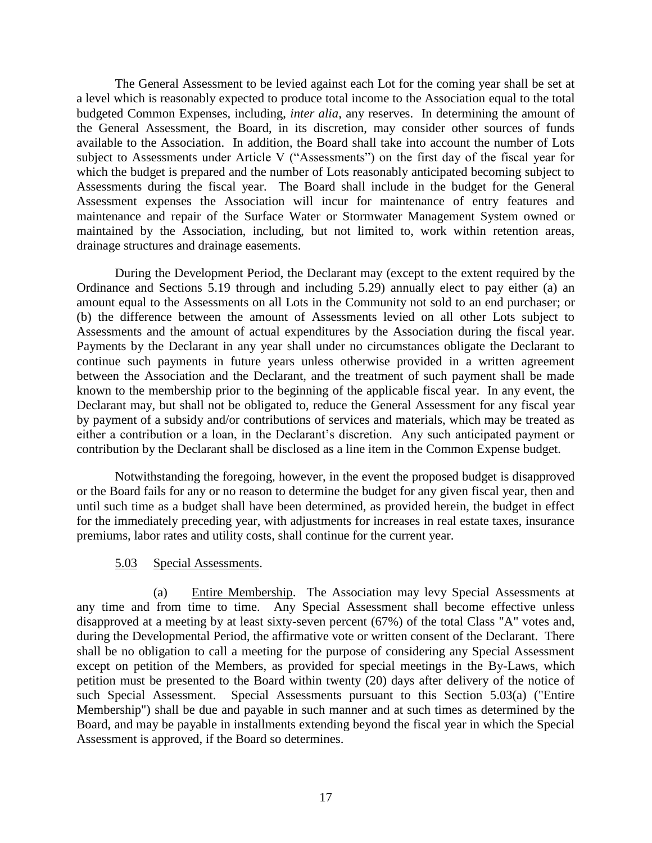The General Assessment to be levied against each Lot for the coming year shall be set at a level which is reasonably expected to produce total income to the Association equal to the total budgeted Common Expenses, including, *inter alia*, any reserves. In determining the amount of the General Assessment, the Board, in its discretion, may consider other sources of funds available to the Association. In addition, the Board shall take into account the number of Lots subject to Assessments under Article V ("Assessments") on the first day of the fiscal year for which the budget is prepared and the number of Lots reasonably anticipated becoming subject to Assessments during the fiscal year. The Board shall include in the budget for the General Assessment expenses the Association will incur for maintenance of entry features and maintenance and repair of the Surface Water or Stormwater Management System owned or maintained by the Association, including, but not limited to, work within retention areas, drainage structures and drainage easements.

During the Development Period, the Declarant may (except to the extent required by the Ordinance and Sections 5.19 through and including 5.29) annually elect to pay either (a) an amount equal to the Assessments on all Lots in the Community not sold to an end purchaser; or (b) the difference between the amount of Assessments levied on all other Lots subject to Assessments and the amount of actual expenditures by the Association during the fiscal year. Payments by the Declarant in any year shall under no circumstances obligate the Declarant to continue such payments in future years unless otherwise provided in a written agreement between the Association and the Declarant, and the treatment of such payment shall be made known to the membership prior to the beginning of the applicable fiscal year. In any event, the Declarant may, but shall not be obligated to, reduce the General Assessment for any fiscal year by payment of a subsidy and/or contributions of services and materials, which may be treated as either a contribution or a loan, in the Declarant's discretion. Any such anticipated payment or contribution by the Declarant shall be disclosed as a line item in the Common Expense budget.

Notwithstanding the foregoing, however, in the event the proposed budget is disapproved or the Board fails for any or no reason to determine the budget for any given fiscal year, then and until such time as a budget shall have been determined, as provided herein, the budget in effect for the immediately preceding year, with adjustments for increases in real estate taxes, insurance premiums, labor rates and utility costs, shall continue for the current year.

### 5.03 Special Assessments.

(a) Entire Membership. The Association may levy Special Assessments at any time and from time to time. Any Special Assessment shall become effective unless disapproved at a meeting by at least sixty-seven percent (67%) of the total Class "A" votes and, during the Developmental Period, the affirmative vote or written consent of the Declarant. There shall be no obligation to call a meeting for the purpose of considering any Special Assessment except on petition of the Members, as provided for special meetings in the By-Laws, which petition must be presented to the Board within twenty (20) days after delivery of the notice of such Special Assessment. Special Assessments pursuant to this Section 5.03(a) ("Entire Membership") shall be due and payable in such manner and at such times as determined by the Board, and may be payable in installments extending beyond the fiscal year in which the Special Assessment is approved, if the Board so determines.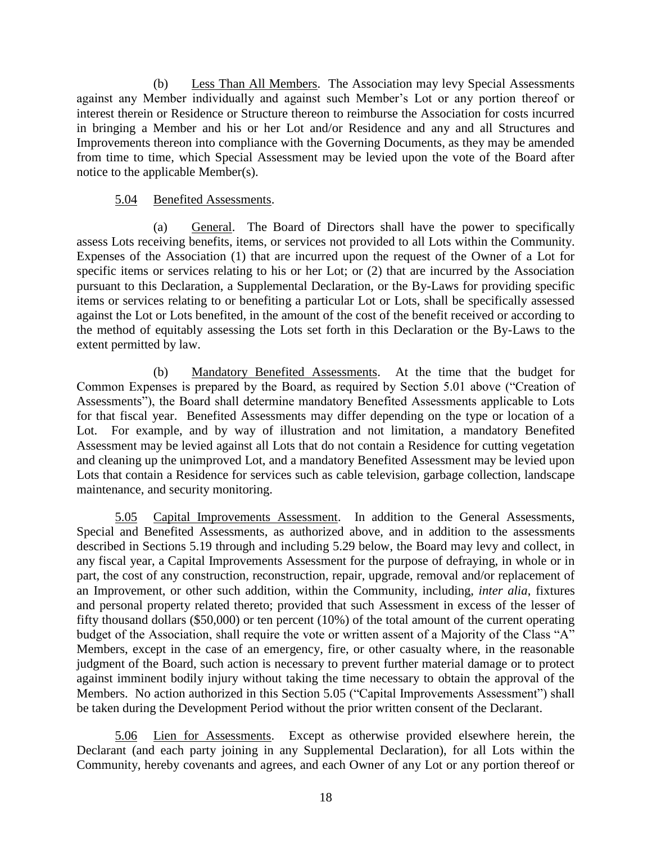(b) Less Than All Members. The Association may levy Special Assessments against any Member individually and against such Member's Lot or any portion thereof or interest therein or Residence or Structure thereon to reimburse the Association for costs incurred in bringing a Member and his or her Lot and/or Residence and any and all Structures and Improvements thereon into compliance with the Governing Documents, as they may be amended from time to time, which Special Assessment may be levied upon the vote of the Board after notice to the applicable Member(s).

## <span id="page-24-0"></span>5.04 Benefited Assessments.

(a) General. The Board of Directors shall have the power to specifically assess Lots receiving benefits, items, or services not provided to all Lots within the Community. Expenses of the Association (1) that are incurred upon the request of the Owner of a Lot for specific items or services relating to his or her Lot; or (2) that are incurred by the Association pursuant to this Declaration, a Supplemental Declaration, or the By-Laws for providing specific items or services relating to or benefiting a particular Lot or Lots, shall be specifically assessed against the Lot or Lots benefited, in the amount of the cost of the benefit received or according to the method of equitably assessing the Lots set forth in this Declaration or the By-Laws to the extent permitted by law.

(b) Mandatory Benefited Assessments. At the time that the budget for Common Expenses is prepared by the Board, as required by Section 5.01 above ("Creation of Assessments"), the Board shall determine mandatory Benefited Assessments applicable to Lots for that fiscal year. Benefited Assessments may differ depending on the type or location of a Lot. For example, and by way of illustration and not limitation, a mandatory Benefited Assessment may be levied against all Lots that do not contain a Residence for cutting vegetation and cleaning up the unimproved Lot, and a mandatory Benefited Assessment may be levied upon Lots that contain a Residence for services such as cable television, garbage collection, landscape maintenance, and security monitoring.

<span id="page-24-1"></span>5.05 Capital Improvements Assessment. In addition to the General Assessments, Special and Benefited Assessments, as authorized above, and in addition to the assessments described in Sections 5.19 through and including 5.29 below, the Board may levy and collect, in any fiscal year, a Capital Improvements Assessment for the purpose of defraying, in whole or in part, the cost of any construction, reconstruction, repair, upgrade, removal and/or replacement of an Improvement, or other such addition, within the Community, including, *inter alia*, fixtures and personal property related thereto; provided that such Assessment in excess of the lesser of fifty thousand dollars (\$50,000) or ten percent (10%) of the total amount of the current operating budget of the Association, shall require the vote or written assent of a Majority of the Class "A" Members, except in the case of an emergency, fire, or other casualty where, in the reasonable judgment of the Board, such action is necessary to prevent further material damage or to protect against imminent bodily injury without taking the time necessary to obtain the approval of the Members. No action authorized in this Section 5.05 ("Capital Improvements Assessment") shall be taken during the Development Period without the prior written consent of the Declarant.

<span id="page-24-2"></span>5.06 Lien for Assessments. Except as otherwise provided elsewhere herein, the Declarant (and each party joining in any Supplemental Declaration), for all Lots within the Community, hereby covenants and agrees, and each Owner of any Lot or any portion thereof or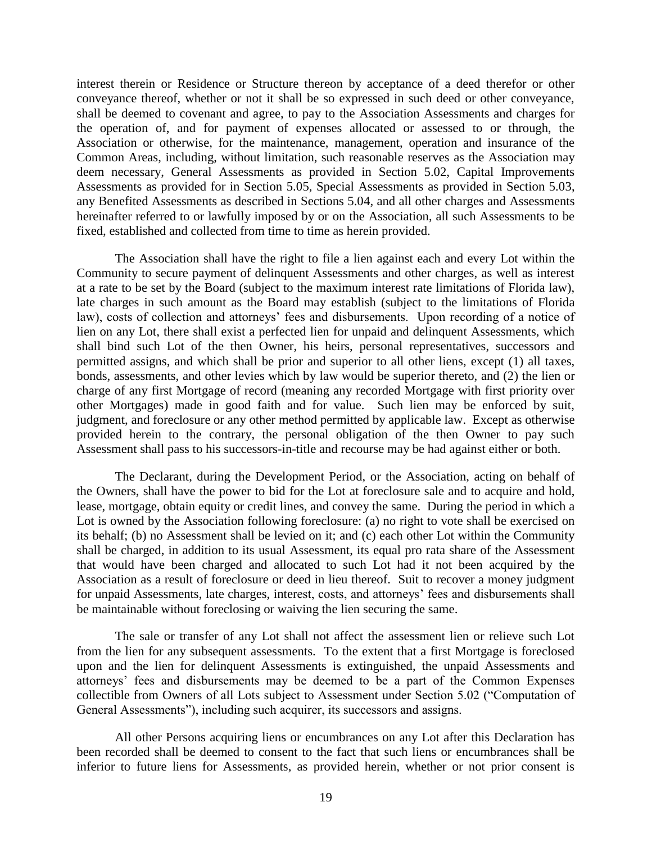interest therein or Residence or Structure thereon by acceptance of a deed therefor or other conveyance thereof, whether or not it shall be so expressed in such deed or other conveyance, shall be deemed to covenant and agree, to pay to the Association Assessments and charges for the operation of, and for payment of expenses allocated or assessed to or through, the Association or otherwise, for the maintenance, management, operation and insurance of the Common Areas, including, without limitation, such reasonable reserves as the Association may deem necessary, General Assessments as provided in Section 5.02, Capital Improvements Assessments as provided for in Section 5.05, Special Assessments as provided in Section 5.03, any Benefited Assessments as described in Sections 5.04, and all other charges and Assessments hereinafter referred to or lawfully imposed by or on the Association, all such Assessments to be fixed, established and collected from time to time as herein provided.

The Association shall have the right to file a lien against each and every Lot within the Community to secure payment of delinquent Assessments and other charges, as well as interest at a rate to be set by the Board (subject to the maximum interest rate limitations of Florida law), late charges in such amount as the Board may establish (subject to the limitations of Florida law), costs of collection and attorneys' fees and disbursements. Upon recording of a notice of lien on any Lot, there shall exist a perfected lien for unpaid and delinquent Assessments, which shall bind such Lot of the then Owner, his heirs, personal representatives, successors and permitted assigns, and which shall be prior and superior to all other liens, except (1) all taxes, bonds, assessments, and other levies which by law would be superior thereto, and (2) the lien or charge of any first Mortgage of record (meaning any recorded Mortgage with first priority over other Mortgages) made in good faith and for value. Such lien may be enforced by suit, judgment, and foreclosure or any other method permitted by applicable law. Except as otherwise provided herein to the contrary, the personal obligation of the then Owner to pay such Assessment shall pass to his successors-in-title and recourse may be had against either or both.

The Declarant, during the Development Period, or the Association, acting on behalf of the Owners, shall have the power to bid for the Lot at foreclosure sale and to acquire and hold, lease, mortgage, obtain equity or credit lines, and convey the same. During the period in which a Lot is owned by the Association following foreclosure: (a) no right to vote shall be exercised on its behalf; (b) no Assessment shall be levied on it; and (c) each other Lot within the Community shall be charged, in addition to its usual Assessment, its equal pro rata share of the Assessment that would have been charged and allocated to such Lot had it not been acquired by the Association as a result of foreclosure or deed in lieu thereof. Suit to recover a money judgment for unpaid Assessments, late charges, interest, costs, and attorneys' fees and disbursements shall be maintainable without foreclosing or waiving the lien securing the same.

The sale or transfer of any Lot shall not affect the assessment lien or relieve such Lot from the lien for any subsequent assessments. To the extent that a first Mortgage is foreclosed upon and the lien for delinquent Assessments is extinguished, the unpaid Assessments and attorneys' fees and disbursements may be deemed to be a part of the Common Expenses collectible from Owners of all Lots subject to Assessment under Section 5.02 ("Computation of General Assessments"), including such acquirer, its successors and assigns.

All other Persons acquiring liens or encumbrances on any Lot after this Declaration has been recorded shall be deemed to consent to the fact that such liens or encumbrances shall be inferior to future liens for Assessments, as provided herein, whether or not prior consent is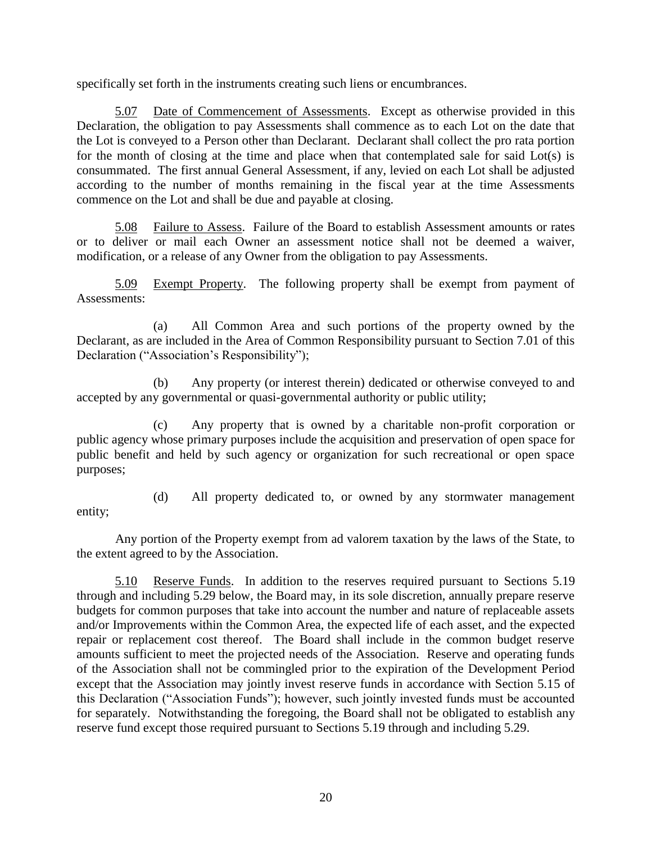specifically set forth in the instruments creating such liens or encumbrances.

<span id="page-26-0"></span>5.07 Date of Commencement of Assessments. Except as otherwise provided in this Declaration, the obligation to pay Assessments shall commence as to each Lot on the date that the Lot is conveyed to a Person other than Declarant. Declarant shall collect the pro rata portion for the month of closing at the time and place when that contemplated sale for said Lot(s) is consummated. The first annual General Assessment, if any, levied on each Lot shall be adjusted according to the number of months remaining in the fiscal year at the time Assessments commence on the Lot and shall be due and payable at closing.

<span id="page-26-1"></span>5.08 Failure to Assess. Failure of the Board to establish Assessment amounts or rates or to deliver or mail each Owner an assessment notice shall not be deemed a waiver, modification, or a release of any Owner from the obligation to pay Assessments.

<span id="page-26-2"></span>5.09 Exempt Property. The following property shall be exempt from payment of Assessments:

(a) All Common Area and such portions of the property owned by the Declarant, as are included in the Area of Common Responsibility pursuant to Section 7.01 of this Declaration ("Association's Responsibility");

(b) Any property (or interest therein) dedicated or otherwise conveyed to and accepted by any governmental or quasi-governmental authority or public utility;

(c) Any property that is owned by a charitable non-profit corporation or public agency whose primary purposes include the acquisition and preservation of open space for public benefit and held by such agency or organization for such recreational or open space purposes;

entity;

<span id="page-26-3"></span>(d) All property dedicated to, or owned by any stormwater management

Any portion of the Property exempt from ad valorem taxation by the laws of the State, to the extent agreed to by the Association.

5.10 Reserve Funds. In addition to the reserves required pursuant to Sections 5.19 through and including 5.29 below, the Board may, in its sole discretion, annually prepare reserve budgets for common purposes that take into account the number and nature of replaceable assets and/or Improvements within the Common Area, the expected life of each asset, and the expected repair or replacement cost thereof. The Board shall include in the common budget reserve amounts sufficient to meet the projected needs of the Association. Reserve and operating funds of the Association shall not be commingled prior to the expiration of the Development Period except that the Association may jointly invest reserve funds in accordance with Section 5.15 of this Declaration ("Association Funds"); however, such jointly invested funds must be accounted for separately. Notwithstanding the foregoing, the Board shall not be obligated to establish any reserve fund except those required pursuant to Sections 5.19 through and including 5.29.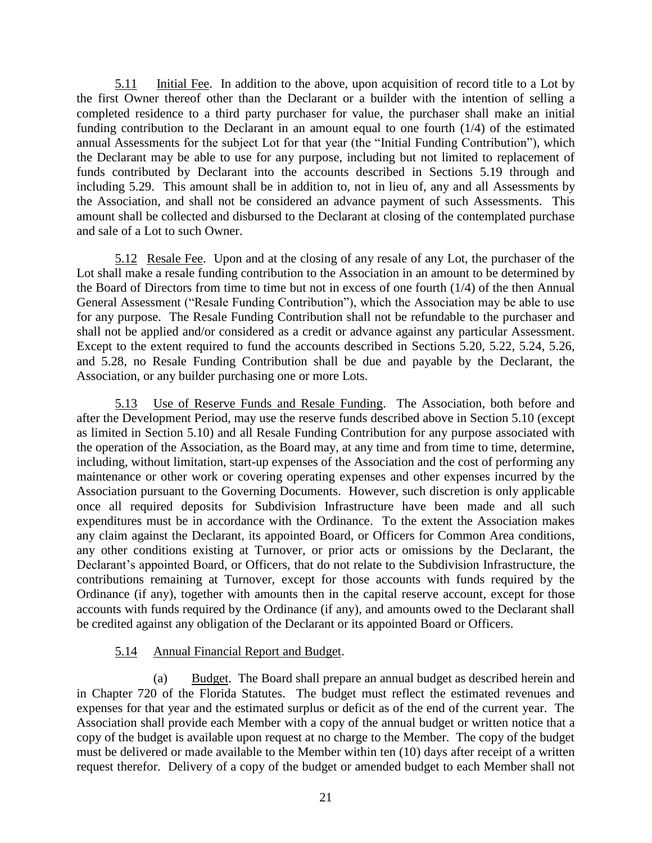5.11 Initial Fee. In addition to the above, upon acquisition of record title to a Lot by the first Owner thereof other than the Declarant or a builder with the intention of selling a completed residence to a third party purchaser for value, the purchaser shall make an initial funding contribution to the Declarant in an amount equal to one fourth (1/4) of the estimated annual Assessments for the subject Lot for that year (the "Initial Funding Contribution"), which the Declarant may be able to use for any purpose, including but not limited to replacement of funds contributed by Declarant into the accounts described in Sections 5.19 through and including 5.29. This amount shall be in addition to, not in lieu of, any and all Assessments by the Association, and shall not be considered an advance payment of such Assessments. This amount shall be collected and disbursed to the Declarant at closing of the contemplated purchase and sale of a Lot to such Owner.

5.12 Resale Fee. Upon and at the closing of any resale of any Lot, the purchaser of the Lot shall make a resale funding contribution to the Association in an amount to be determined by the Board of Directors from time to time but not in excess of one fourth (1/4) of the then Annual General Assessment ("Resale Funding Contribution"), which the Association may be able to use for any purpose. The Resale Funding Contribution shall not be refundable to the purchaser and shall not be applied and/or considered as a credit or advance against any particular Assessment. Except to the extent required to fund the accounts described in Sections 5.20, 5.22, 5.24, 5.26, and 5.28, no Resale Funding Contribution shall be due and payable by the Declarant, the Association, or any builder purchasing one or more Lots.

5.13 Use of Reserve Funds and Resale Funding. The Association, both before and after the Development Period, may use the reserve funds described above in Section 5.10 (except as limited in Section 5.10) and all Resale Funding Contribution for any purpose associated with the operation of the Association, as the Board may, at any time and from time to time, determine, including, without limitation, start-up expenses of the Association and the cost of performing any maintenance or other work or covering operating expenses and other expenses incurred by the Association pursuant to the Governing Documents. However, such discretion is only applicable once all required deposits for Subdivision Infrastructure have been made and all such expenditures must be in accordance with the Ordinance. To the extent the Association makes any claim against the Declarant, its appointed Board, or Officers for Common Area conditions, any other conditions existing at Turnover, or prior acts or omissions by the Declarant, the Declarant's appointed Board, or Officers, that do not relate to the Subdivision Infrastructure, the contributions remaining at Turnover, except for those accounts with funds required by the Ordinance (if any), together with amounts then in the capital reserve account, except for those accounts with funds required by the Ordinance (if any), and amounts owed to the Declarant shall be credited against any obligation of the Declarant or its appointed Board or Officers.

### <span id="page-27-0"></span>5.14 Annual Financial Report and Budget.

(a) Budget. The Board shall prepare an annual budget as described herein and in Chapter 720 of the Florida Statutes. The budget must reflect the estimated revenues and expenses for that year and the estimated surplus or deficit as of the end of the current year. The Association shall provide each Member with a copy of the annual budget or written notice that a copy of the budget is available upon request at no charge to the Member. The copy of the budget must be delivered or made available to the Member within ten (10) days after receipt of a written request therefor. Delivery of a copy of the budget or amended budget to each Member shall not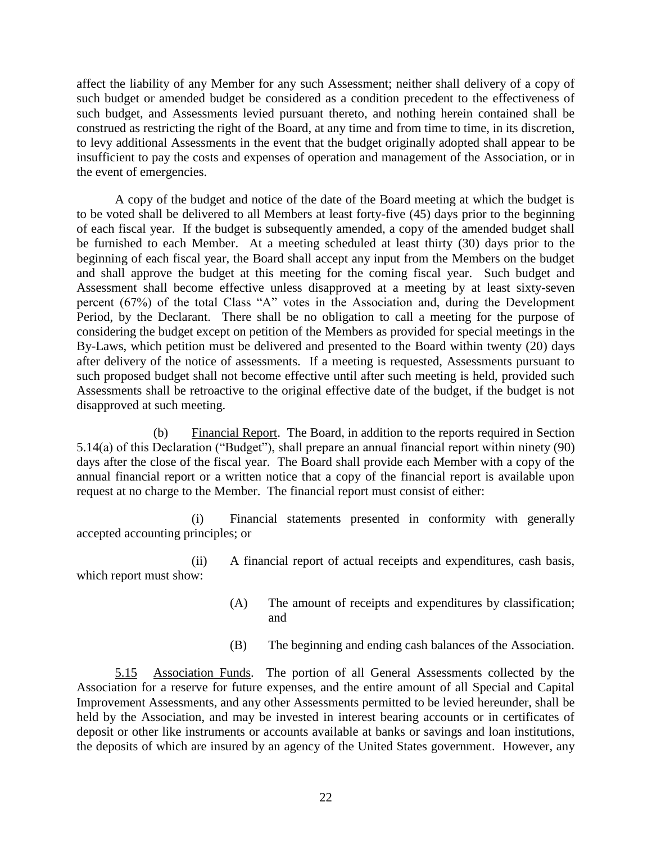affect the liability of any Member for any such Assessment; neither shall delivery of a copy of such budget or amended budget be considered as a condition precedent to the effectiveness of such budget, and Assessments levied pursuant thereto, and nothing herein contained shall be construed as restricting the right of the Board, at any time and from time to time, in its discretion, to levy additional Assessments in the event that the budget originally adopted shall appear to be insufficient to pay the costs and expenses of operation and management of the Association, or in the event of emergencies.

A copy of the budget and notice of the date of the Board meeting at which the budget is to be voted shall be delivered to all Members at least forty-five (45) days prior to the beginning of each fiscal year. If the budget is subsequently amended, a copy of the amended budget shall be furnished to each Member. At a meeting scheduled at least thirty (30) days prior to the beginning of each fiscal year, the Board shall accept any input from the Members on the budget and shall approve the budget at this meeting for the coming fiscal year. Such budget and Assessment shall become effective unless disapproved at a meeting by at least sixty-seven percent (67%) of the total Class "A" votes in the Association and, during the Development Period, by the Declarant. There shall be no obligation to call a meeting for the purpose of considering the budget except on petition of the Members as provided for special meetings in the By-Laws, which petition must be delivered and presented to the Board within twenty (20) days after delivery of the notice of assessments. If a meeting is requested, Assessments pursuant to such proposed budget shall not become effective until after such meeting is held, provided such Assessments shall be retroactive to the original effective date of the budget, if the budget is not disapproved at such meeting.

(b) Financial Report. The Board, in addition to the reports required in Section 5.14(a) of this Declaration ("Budget"), shall prepare an annual financial report within ninety (90) days after the close of the fiscal year. The Board shall provide each Member with a copy of the annual financial report or a written notice that a copy of the financial report is available upon request at no charge to the Member. The financial report must consist of either:

(i) Financial statements presented in conformity with generally accepted accounting principles; or

(ii) A financial report of actual receipts and expenditures, cash basis, which report must show:

- (A) The amount of receipts and expenditures by classification; and
- <span id="page-28-0"></span>(B) The beginning and ending cash balances of the Association.

5.15 Association Funds. The portion of all General Assessments collected by the Association for a reserve for future expenses, and the entire amount of all Special and Capital Improvement Assessments, and any other Assessments permitted to be levied hereunder, shall be held by the Association, and may be invested in interest bearing accounts or in certificates of deposit or other like instruments or accounts available at banks or savings and loan institutions, the deposits of which are insured by an agency of the United States government. However, any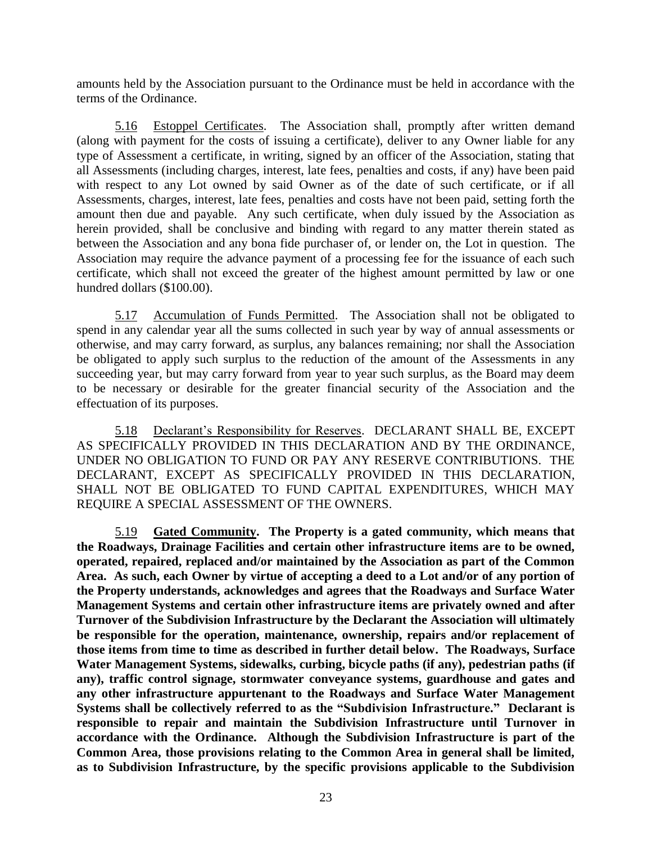amounts held by the Association pursuant to the Ordinance must be held in accordance with the terms of the Ordinance.

<span id="page-29-0"></span>5.16 Estoppel Certificates. The Association shall, promptly after written demand (along with payment for the costs of issuing a certificate), deliver to any Owner liable for any type of Assessment a certificate, in writing, signed by an officer of the Association, stating that all Assessments (including charges, interest, late fees, penalties and costs, if any) have been paid with respect to any Lot owned by said Owner as of the date of such certificate, or if all Assessments, charges, interest, late fees, penalties and costs have not been paid, setting forth the amount then due and payable. Any such certificate, when duly issued by the Association as herein provided, shall be conclusive and binding with regard to any matter therein stated as between the Association and any bona fide purchaser of, or lender on, the Lot in question. The Association may require the advance payment of a processing fee for the issuance of each such certificate, which shall not exceed the greater of the highest amount permitted by law or one hundred dollars (\$100.00).

<span id="page-29-1"></span>5.17 Accumulation of Funds Permitted. The Association shall not be obligated to spend in any calendar year all the sums collected in such year by way of annual assessments or otherwise, and may carry forward, as surplus, any balances remaining; nor shall the Association be obligated to apply such surplus to the reduction of the amount of the Assessments in any succeeding year, but may carry forward from year to year such surplus, as the Board may deem to be necessary or desirable for the greater financial security of the Association and the effectuation of its purposes.

5.18 Declarant's Responsibility for Reserves. DECLARANT SHALL BE, EXCEPT AS SPECIFICALLY PROVIDED IN THIS DECLARATION AND BY THE ORDINANCE, UNDER NO OBLIGATION TO FUND OR PAY ANY RESERVE CONTRIBUTIONS. THE DECLARANT, EXCEPT AS SPECIFICALLY PROVIDED IN THIS DECLARATION, SHALL NOT BE OBLIGATED TO FUND CAPITAL EXPENDITURES, WHICH MAY REQUIRE A SPECIAL ASSESSMENT OF THE OWNERS.

5.19 **Gated Community. The Property is a gated community, which means that the Roadways, Drainage Facilities and certain other infrastructure items are to be owned, operated, repaired, replaced and/or maintained by the Association as part of the Common Area. As such, each Owner by virtue of accepting a deed to a Lot and/or of any portion of the Property understands, acknowledges and agrees that the Roadways and Surface Water Management Systems and certain other infrastructure items are privately owned and after Turnover of the Subdivision Infrastructure by the Declarant the Association will ultimately be responsible for the operation, maintenance, ownership, repairs and/or replacement of those items from time to time as described in further detail below. The Roadways, Surface Water Management Systems, sidewalks, curbing, bicycle paths (if any), pedestrian paths (if any), traffic control signage, stormwater conveyance systems, guardhouse and gates and any other infrastructure appurtenant to the Roadways and Surface Water Management Systems shall be collectively referred to as the "Subdivision Infrastructure." Declarant is responsible to repair and maintain the Subdivision Infrastructure until Turnover in accordance with the Ordinance. Although the Subdivision Infrastructure is part of the Common Area, those provisions relating to the Common Area in general shall be limited, as to Subdivision Infrastructure, by the specific provisions applicable to the Subdivision**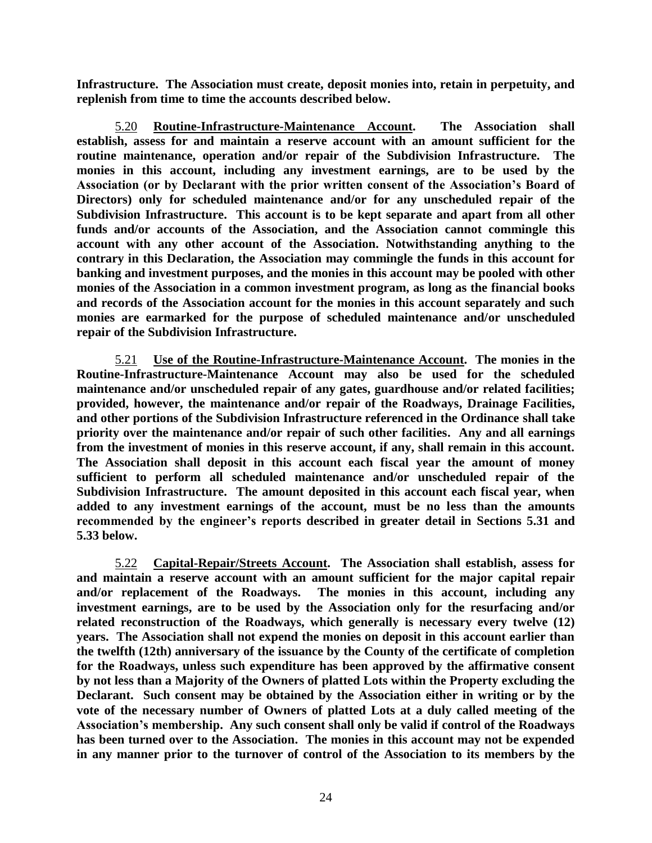**Infrastructure. The Association must create, deposit monies into, retain in perpetuity, and replenish from time to time the accounts described below.**

5.20 **Routine-Infrastructure-Maintenance Account. The Association shall establish, assess for and maintain a reserve account with an amount sufficient for the routine maintenance, operation and/or repair of the Subdivision Infrastructure. The monies in this account, including any investment earnings, are to be used by the Association (or by Declarant with the prior written consent of the Association's Board of Directors) only for scheduled maintenance and/or for any unscheduled repair of the Subdivision Infrastructure. This account is to be kept separate and apart from all other funds and/or accounts of the Association, and the Association cannot commingle this account with any other account of the Association. Notwithstanding anything to the contrary in this Declaration, the Association may commingle the funds in this account for banking and investment purposes, and the monies in this account may be pooled with other monies of the Association in a common investment program, as long as the financial books and records of the Association account for the monies in this account separately and such monies are earmarked for the purpose of scheduled maintenance and/or unscheduled repair of the Subdivision Infrastructure.**

5.21 **Use of the Routine-Infrastructure-Maintenance Account. The monies in the Routine-Infrastructure-Maintenance Account may also be used for the scheduled maintenance and/or unscheduled repair of any gates, guardhouse and/or related facilities; provided, however, the maintenance and/or repair of the Roadways, Drainage Facilities, and other portions of the Subdivision Infrastructure referenced in the Ordinance shall take priority over the maintenance and/or repair of such other facilities. Any and all earnings from the investment of monies in this reserve account, if any, shall remain in this account. The Association shall deposit in this account each fiscal year the amount of money sufficient to perform all scheduled maintenance and/or unscheduled repair of the Subdivision Infrastructure. The amount deposited in this account each fiscal year, when added to any investment earnings of the account, must be no less than the amounts recommended by the engineer's reports described in greater detail in Sections 5.31 and 5.33 below.**

5.22 **Capital-Repair/Streets Account. The Association shall establish, assess for and maintain a reserve account with an amount sufficient for the major capital repair and/or replacement of the Roadways. The monies in this account, including any investment earnings, are to be used by the Association only for the resurfacing and/or related reconstruction of the Roadways, which generally is necessary every twelve (12) years. The Association shall not expend the monies on deposit in this account earlier than the twelfth (12th) anniversary of the issuance by the County of the certificate of completion for the Roadways, unless such expenditure has been approved by the affirmative consent by not less than a Majority of the Owners of platted Lots within the Property excluding the Declarant. Such consent may be obtained by the Association either in writing or by the vote of the necessary number of Owners of platted Lots at a duly called meeting of the Association's membership. Any such consent shall only be valid if control of the Roadways has been turned over to the Association. The monies in this account may not be expended in any manner prior to the turnover of control of the Association to its members by the**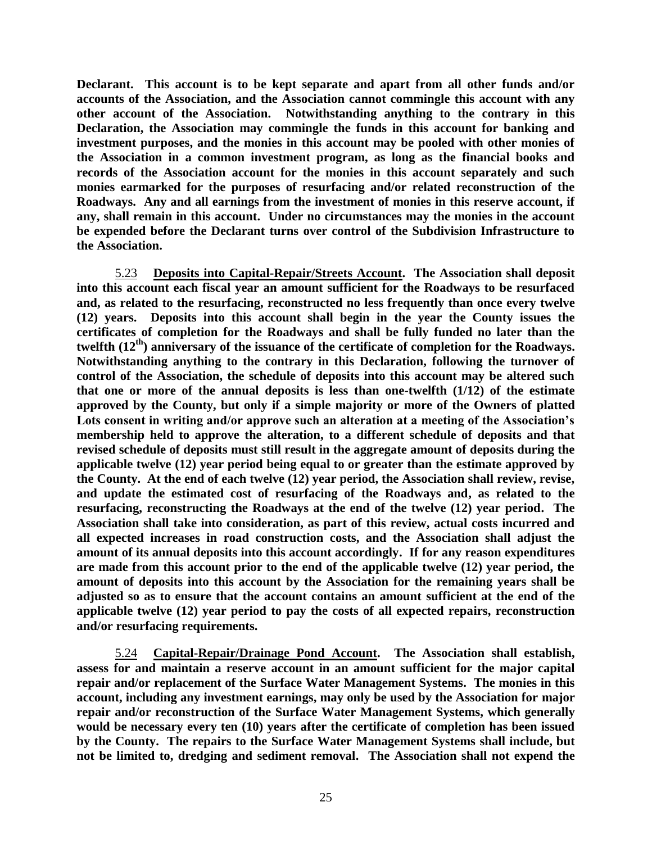**Declarant. This account is to be kept separate and apart from all other funds and/or accounts of the Association, and the Association cannot commingle this account with any other account of the Association. Notwithstanding anything to the contrary in this Declaration, the Association may commingle the funds in this account for banking and investment purposes, and the monies in this account may be pooled with other monies of the Association in a common investment program, as long as the financial books and records of the Association account for the monies in this account separately and such monies earmarked for the purposes of resurfacing and/or related reconstruction of the Roadways. Any and all earnings from the investment of monies in this reserve account, if any, shall remain in this account. Under no circumstances may the monies in the account be expended before the Declarant turns over control of the Subdivision Infrastructure to the Association.**

5.23 **Deposits into Capital-Repair/Streets Account. The Association shall deposit into this account each fiscal year an amount sufficient for the Roadways to be resurfaced and, as related to the resurfacing, reconstructed no less frequently than once every twelve (12) years. Deposits into this account shall begin in the year the County issues the certificates of completion for the Roadways and shall be fully funded no later than the twelfth (12th) anniversary of the issuance of the certificate of completion for the Roadways. Notwithstanding anything to the contrary in this Declaration, following the turnover of control of the Association, the schedule of deposits into this account may be altered such that one or more of the annual deposits is less than one-twelfth (1/12) of the estimate approved by the County, but only if a simple majority or more of the Owners of platted Lots consent in writing and/or approve such an alteration at a meeting of the Association's membership held to approve the alteration, to a different schedule of deposits and that revised schedule of deposits must still result in the aggregate amount of deposits during the applicable twelve (12) year period being equal to or greater than the estimate approved by the County. At the end of each twelve (12) year period, the Association shall review, revise, and update the estimated cost of resurfacing of the Roadways and, as related to the resurfacing, reconstructing the Roadways at the end of the twelve (12) year period. The Association shall take into consideration, as part of this review, actual costs incurred and all expected increases in road construction costs, and the Association shall adjust the amount of its annual deposits into this account accordingly. If for any reason expenditures are made from this account prior to the end of the applicable twelve (12) year period, the amount of deposits into this account by the Association for the remaining years shall be adjusted so as to ensure that the account contains an amount sufficient at the end of the applicable twelve (12) year period to pay the costs of all expected repairs, reconstruction and/or resurfacing requirements.**

5.24 **Capital-Repair/Drainage Pond Account. The Association shall establish, assess for and maintain a reserve account in an amount sufficient for the major capital repair and/or replacement of the Surface Water Management Systems. The monies in this account, including any investment earnings, may only be used by the Association for major repair and/or reconstruction of the Surface Water Management Systems, which generally would be necessary every ten (10) years after the certificate of completion has been issued by the County. The repairs to the Surface Water Management Systems shall include, but not be limited to, dredging and sediment removal. The Association shall not expend the**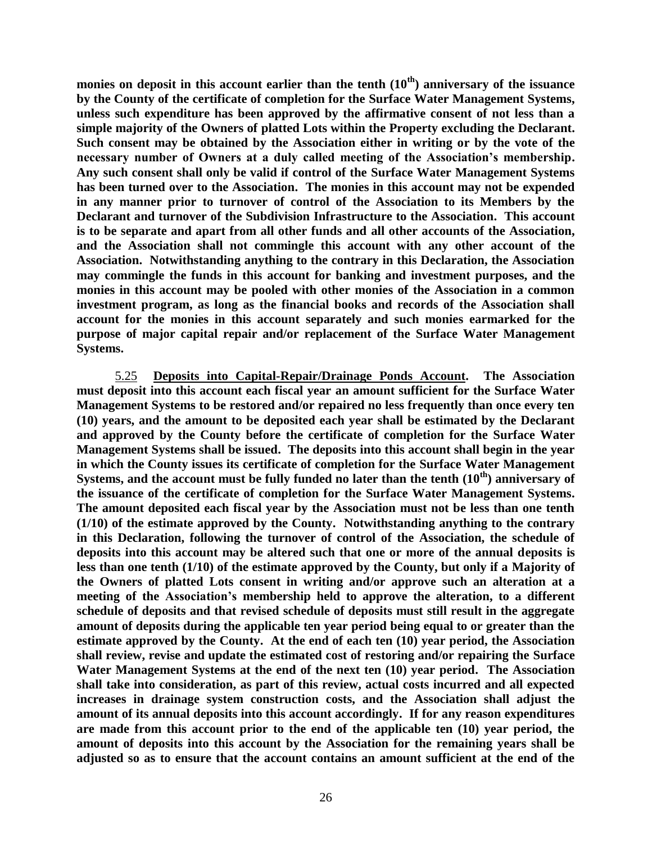**monies on deposit in this account earlier than the tenth (10th) anniversary of the issuance by the County of the certificate of completion for the Surface Water Management Systems, unless such expenditure has been approved by the affirmative consent of not less than a simple majority of the Owners of platted Lots within the Property excluding the Declarant. Such consent may be obtained by the Association either in writing or by the vote of the necessary number of Owners at a duly called meeting of the Association's membership. Any such consent shall only be valid if control of the Surface Water Management Systems has been turned over to the Association. The monies in this account may not be expended in any manner prior to turnover of control of the Association to its Members by the Declarant and turnover of the Subdivision Infrastructure to the Association. This account is to be separate and apart from all other funds and all other accounts of the Association, and the Association shall not commingle this account with any other account of the Association. Notwithstanding anything to the contrary in this Declaration, the Association may commingle the funds in this account for banking and investment purposes, and the monies in this account may be pooled with other monies of the Association in a common investment program, as long as the financial books and records of the Association shall account for the monies in this account separately and such monies earmarked for the purpose of major capital repair and/or replacement of the Surface Water Management Systems.**

5.25 **Deposits into Capital-Repair/Drainage Ponds Account. The Association must deposit into this account each fiscal year an amount sufficient for the Surface Water Management Systems to be restored and/or repaired no less frequently than once every ten (10) years, and the amount to be deposited each year shall be estimated by the Declarant and approved by the County before the certificate of completion for the Surface Water Management Systems shall be issued. The deposits into this account shall begin in the year in which the County issues its certificate of completion for the Surface Water Management Systems, and the account must be fully funded no later than the tenth (10th) anniversary of the issuance of the certificate of completion for the Surface Water Management Systems. The amount deposited each fiscal year by the Association must not be less than one tenth (1/10) of the estimate approved by the County. Notwithstanding anything to the contrary in this Declaration, following the turnover of control of the Association, the schedule of deposits into this account may be altered such that one or more of the annual deposits is less than one tenth (1/10) of the estimate approved by the County, but only if a Majority of the Owners of platted Lots consent in writing and/or approve such an alteration at a meeting of the Association's membership held to approve the alteration, to a different schedule of deposits and that revised schedule of deposits must still result in the aggregate amount of deposits during the applicable ten year period being equal to or greater than the estimate approved by the County. At the end of each ten (10) year period, the Association shall review, revise and update the estimated cost of restoring and/or repairing the Surface Water Management Systems at the end of the next ten (10) year period. The Association shall take into consideration, as part of this review, actual costs incurred and all expected increases in drainage system construction costs, and the Association shall adjust the amount of its annual deposits into this account accordingly. If for any reason expenditures are made from this account prior to the end of the applicable ten (10) year period, the amount of deposits into this account by the Association for the remaining years shall be adjusted so as to ensure that the account contains an amount sufficient at the end of the**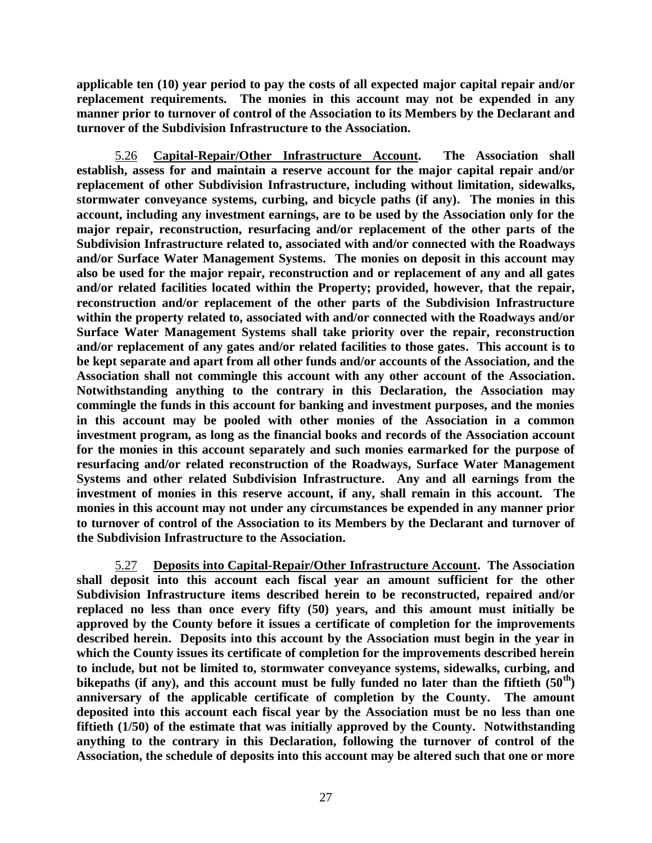**applicable ten (10) year period to pay the costs of all expected major capital repair and/or replacement requirements. The monies in this account may not be expended in any manner prior to turnover of control of the Association to its Members by the Declarant and turnover of the Subdivision Infrastructure to the Association.**

5.26 **Capital-Repair/Other Infrastructure Account. The Association shall establish, assess for and maintain a reserve account for the major capital repair and/or replacement of other Subdivision Infrastructure, including without limitation, sidewalks, stormwater conveyance systems, curbing, and bicycle paths (if any). The monies in this account, including any investment earnings, are to be used by the Association only for the major repair, reconstruction, resurfacing and/or replacement of the other parts of the Subdivision Infrastructure related to, associated with and/or connected with the Roadways and/or Surface Water Management Systems. The monies on deposit in this account may also be used for the major repair, reconstruction and or replacement of any and all gates and/or related facilities located within the Property; provided, however, that the repair, reconstruction and/or replacement of the other parts of the Subdivision Infrastructure within the property related to, associated with and/or connected with the Roadways and/or Surface Water Management Systems shall take priority over the repair, reconstruction and/or replacement of any gates and/or related facilities to those gates. This account is to be kept separate and apart from all other funds and/or accounts of the Association, and the Association shall not commingle this account with any other account of the Association. Notwithstanding anything to the contrary in this Declaration, the Association may commingle the funds in this account for banking and investment purposes, and the monies in this account may be pooled with other monies of the Association in a common investment program, as long as the financial books and records of the Association account for the monies in this account separately and such monies earmarked for the purpose of resurfacing and/or related reconstruction of the Roadways, Surface Water Management Systems and other related Subdivision Infrastructure. Any and all earnings from the investment of monies in this reserve account, if any, shall remain in this account. The monies in this account may not under any circumstances be expended in any manner prior to turnover of control of the Association to its Members by the Declarant and turnover of the Subdivision Infrastructure to the Association.**

5.27 **Deposits into Capital-Repair/Other Infrastructure Account. The Association shall deposit into this account each fiscal year an amount sufficient for the other Subdivision Infrastructure items described herein to be reconstructed, repaired and/or replaced no less than once every fifty (50) years, and this amount must initially be approved by the County before it issues a certificate of completion for the improvements described herein. Deposits into this account by the Association must begin in the year in which the County issues its certificate of completion for the improvements described herein to include, but not be limited to, stormwater conveyance systems, sidewalks, curbing, and bikepaths (if any), and this account must be fully funded no later than the fiftieth (50th) anniversary of the applicable certificate of completion by the County. The amount deposited into this account each fiscal year by the Association must be no less than one fiftieth (1/50) of the estimate that was initially approved by the County. Notwithstanding anything to the contrary in this Declaration, following the turnover of control of the Association, the schedule of deposits into this account may be altered such that one or more**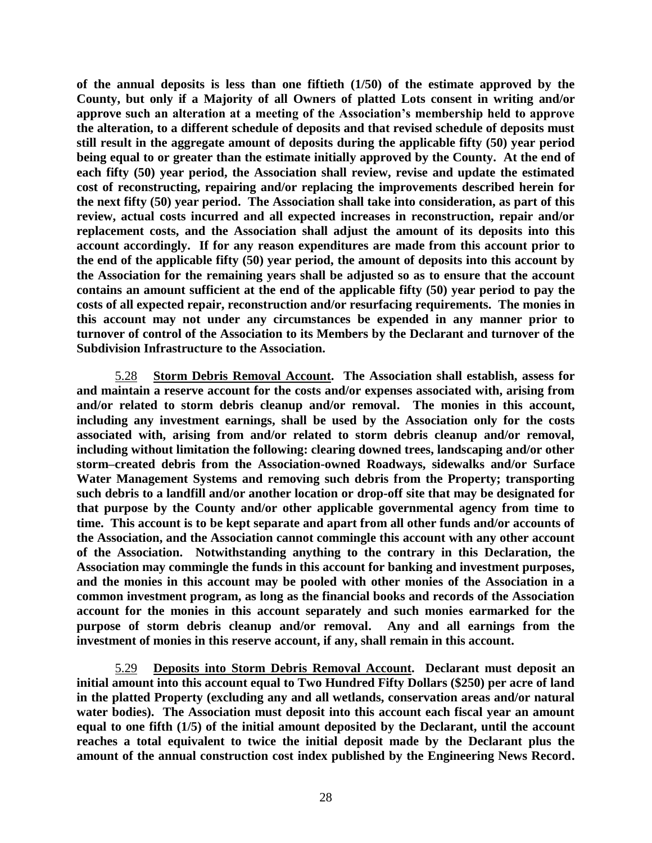**of the annual deposits is less than one fiftieth (1/50) of the estimate approved by the County, but only if a Majority of all Owners of platted Lots consent in writing and/or approve such an alteration at a meeting of the Association's membership held to approve the alteration, to a different schedule of deposits and that revised schedule of deposits must still result in the aggregate amount of deposits during the applicable fifty (50) year period being equal to or greater than the estimate initially approved by the County. At the end of each fifty (50) year period, the Association shall review, revise and update the estimated cost of reconstructing, repairing and/or replacing the improvements described herein for the next fifty (50) year period. The Association shall take into consideration, as part of this review, actual costs incurred and all expected increases in reconstruction, repair and/or replacement costs, and the Association shall adjust the amount of its deposits into this account accordingly. If for any reason expenditures are made from this account prior to the end of the applicable fifty (50) year period, the amount of deposits into this account by the Association for the remaining years shall be adjusted so as to ensure that the account contains an amount sufficient at the end of the applicable fifty (50) year period to pay the costs of all expected repair, reconstruction and/or resurfacing requirements. The monies in this account may not under any circumstances be expended in any manner prior to turnover of control of the Association to its Members by the Declarant and turnover of the Subdivision Infrastructure to the Association.**

5.28 **Storm Debris Removal Account. The Association shall establish, assess for and maintain a reserve account for the costs and/or expenses associated with, arising from and/or related to storm debris cleanup and/or removal. The monies in this account, including any investment earnings, shall be used by the Association only for the costs associated with, arising from and/or related to storm debris cleanup and/or removal, including without limitation the following: clearing downed trees, landscaping and/or other storm–created debris from the Association-owned Roadways, sidewalks and/or Surface Water Management Systems and removing such debris from the Property; transporting such debris to a landfill and/or another location or drop-off site that may be designated for that purpose by the County and/or other applicable governmental agency from time to time. This account is to be kept separate and apart from all other funds and/or accounts of the Association, and the Association cannot commingle this account with any other account of the Association. Notwithstanding anything to the contrary in this Declaration, the Association may commingle the funds in this account for banking and investment purposes, and the monies in this account may be pooled with other monies of the Association in a common investment program, as long as the financial books and records of the Association account for the monies in this account separately and such monies earmarked for the purpose of storm debris cleanup and/or removal. Any and all earnings from the investment of monies in this reserve account, if any, shall remain in this account.**

5.29 **Deposits into Storm Debris Removal Account. Declarant must deposit an initial amount into this account equal to Two Hundred Fifty Dollars (\$250) per acre of land in the platted Property (excluding any and all wetlands, conservation areas and/or natural water bodies). The Association must deposit into this account each fiscal year an amount equal to one fifth (1/5) of the initial amount deposited by the Declarant, until the account reaches a total equivalent to twice the initial deposit made by the Declarant plus the amount of the annual construction cost index published by the Engineering News Record.**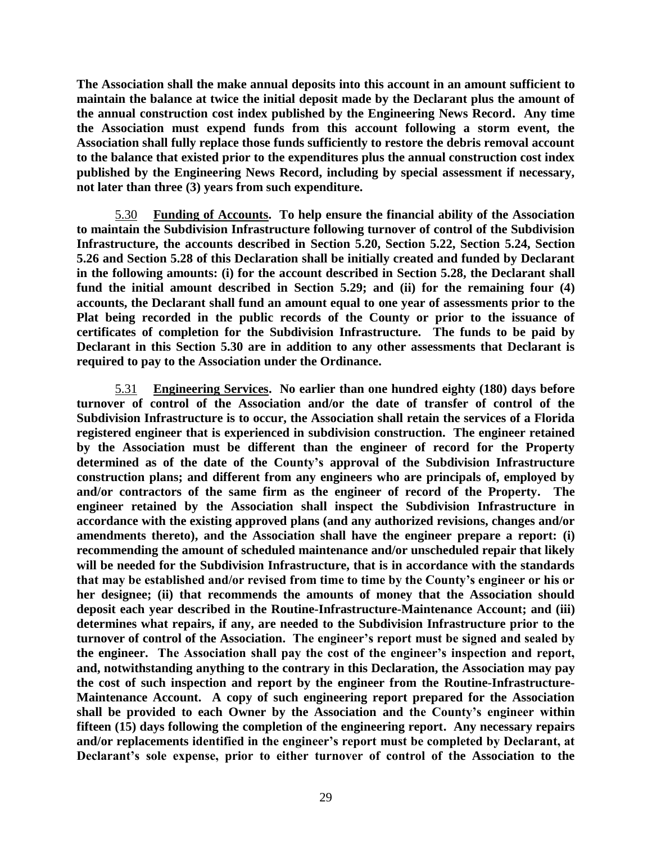**The Association shall the make annual deposits into this account in an amount sufficient to maintain the balance at twice the initial deposit made by the Declarant plus the amount of the annual construction cost index published by the Engineering News Record. Any time the Association must expend funds from this account following a storm event, the Association shall fully replace those funds sufficiently to restore the debris removal account to the balance that existed prior to the expenditures plus the annual construction cost index published by the Engineering News Record, including by special assessment if necessary, not later than three (3) years from such expenditure.**

5.30 **Funding of Accounts. To help ensure the financial ability of the Association to maintain the Subdivision Infrastructure following turnover of control of the Subdivision Infrastructure, the accounts described in Section 5.20, Section 5.22, Section 5.24, Section 5.26 and Section 5.28 of this Declaration shall be initially created and funded by Declarant in the following amounts: (i) for the account described in Section 5.28, the Declarant shall fund the initial amount described in Section 5.29; and (ii) for the remaining four (4) accounts, the Declarant shall fund an amount equal to one year of assessments prior to the Plat being recorded in the public records of the County or prior to the issuance of certificates of completion for the Subdivision Infrastructure. The funds to be paid by Declarant in this Section 5.30 are in addition to any other assessments that Declarant is required to pay to the Association under the Ordinance.**

5.31 **Engineering Services. No earlier than one hundred eighty (180) days before turnover of control of the Association and/or the date of transfer of control of the Subdivision Infrastructure is to occur, the Association shall retain the services of a Florida registered engineer that is experienced in subdivision construction. The engineer retained by the Association must be different than the engineer of record for the Property determined as of the date of the County's approval of the Subdivision Infrastructure construction plans; and different from any engineers who are principals of, employed by and/or contractors of the same firm as the engineer of record of the Property. The engineer retained by the Association shall inspect the Subdivision Infrastructure in accordance with the existing approved plans (and any authorized revisions, changes and/or amendments thereto), and the Association shall have the engineer prepare a report: (i) recommending the amount of scheduled maintenance and/or unscheduled repair that likely will be needed for the Subdivision Infrastructure, that is in accordance with the standards that may be established and/or revised from time to time by the County's engineer or his or her designee; (ii) that recommends the amounts of money that the Association should deposit each year described in the Routine-Infrastructure-Maintenance Account; and (iii) determines what repairs, if any, are needed to the Subdivision Infrastructure prior to the turnover of control of the Association. The engineer's report must be signed and sealed by the engineer. The Association shall pay the cost of the engineer's inspection and report, and, notwithstanding anything to the contrary in this Declaration, the Association may pay the cost of such inspection and report by the engineer from the Routine-Infrastructure-Maintenance Account. A copy of such engineering report prepared for the Association shall be provided to each Owner by the Association and the County's engineer within fifteen (15) days following the completion of the engineering report. Any necessary repairs and/or replacements identified in the engineer's report must be completed by Declarant, at Declarant's sole expense, prior to either turnover of control of the Association to the**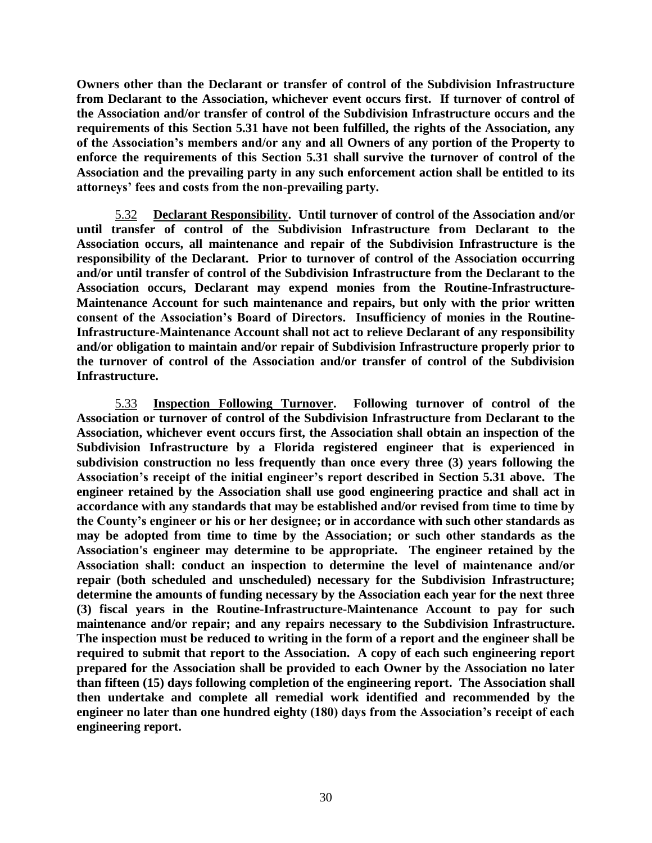**Owners other than the Declarant or transfer of control of the Subdivision Infrastructure from Declarant to the Association, whichever event occurs first. If turnover of control of the Association and/or transfer of control of the Subdivision Infrastructure occurs and the requirements of this Section 5.31 have not been fulfilled, the rights of the Association, any of the Association's members and/or any and all Owners of any portion of the Property to enforce the requirements of this Section 5.31 shall survive the turnover of control of the Association and the prevailing party in any such enforcement action shall be entitled to its attorneys' fees and costs from the non-prevailing party.**

5.32 **Declarant Responsibility. Until turnover of control of the Association and/or until transfer of control of the Subdivision Infrastructure from Declarant to the Association occurs, all maintenance and repair of the Subdivision Infrastructure is the responsibility of the Declarant. Prior to turnover of control of the Association occurring and/or until transfer of control of the Subdivision Infrastructure from the Declarant to the Association occurs, Declarant may expend monies from the Routine-Infrastructure-Maintenance Account for such maintenance and repairs, but only with the prior written consent of the Association's Board of Directors. Insufficiency of monies in the Routine-Infrastructure-Maintenance Account shall not act to relieve Declarant of any responsibility and/or obligation to maintain and/or repair of Subdivision Infrastructure properly prior to the turnover of control of the Association and/or transfer of control of the Subdivision Infrastructure.**

5.33 **Inspection Following Turnover. Following turnover of control of the Association or turnover of control of the Subdivision Infrastructure from Declarant to the Association, whichever event occurs first, the Association shall obtain an inspection of the Subdivision Infrastructure by a Florida registered engineer that is experienced in subdivision construction no less frequently than once every three (3) years following the Association's receipt of the initial engineer's report described in Section 5.31 above. The engineer retained by the Association shall use good engineering practice and shall act in accordance with any standards that may be established and/or revised from time to time by the County's engineer or his or her designee; or in accordance with such other standards as may be adopted from time to time by the Association; or such other standards as the Association's engineer may determine to be appropriate. The engineer retained by the Association shall: conduct an inspection to determine the level of maintenance and/or repair (both scheduled and unscheduled) necessary for the Subdivision Infrastructure; determine the amounts of funding necessary by the Association each year for the next three (3) fiscal years in the Routine-Infrastructure-Maintenance Account to pay for such maintenance and/or repair; and any repairs necessary to the Subdivision Infrastructure. The inspection must be reduced to writing in the form of a report and the engineer shall be required to submit that report to the Association. A copy of each such engineering report prepared for the Association shall be provided to each Owner by the Association no later than fifteen (15) days following completion of the engineering report. The Association shall then undertake and complete all remedial work identified and recommended by the engineer no later than one hundred eighty (180) days from the Association's receipt of each engineering report.**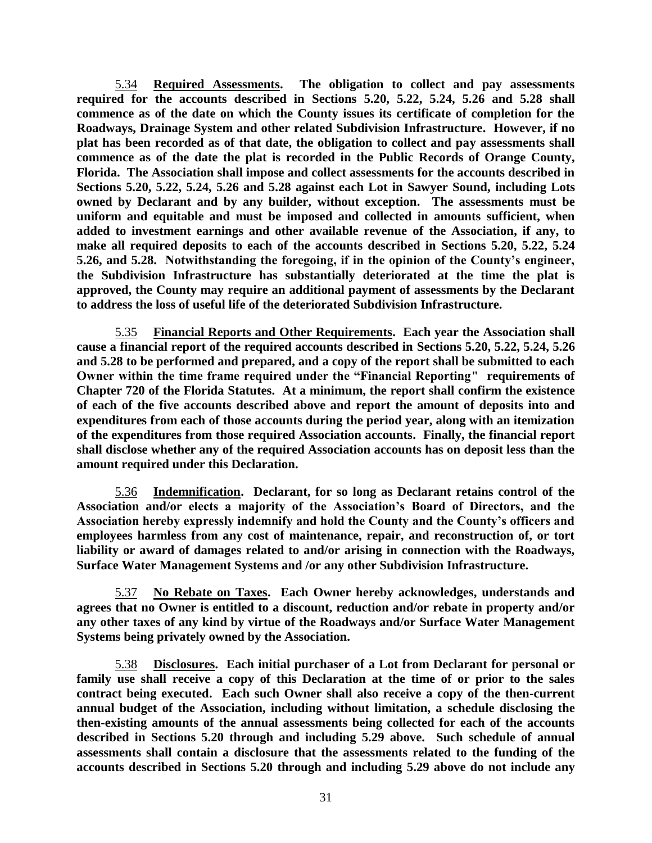5.34 **Required Assessments. The obligation to collect and pay assessments required for the accounts described in Sections 5.20, 5.22, 5.24, 5.26 and 5.28 shall commence as of the date on which the County issues its certificate of completion for the Roadways, Drainage System and other related Subdivision Infrastructure. However, if no plat has been recorded as of that date, the obligation to collect and pay assessments shall commence as of the date the plat is recorded in the Public Records of Orange County, Florida. The Association shall impose and collect assessments for the accounts described in Sections 5.20, 5.22, 5.24, 5.26 and 5.28 against each Lot in Sawyer Sound, including Lots owned by Declarant and by any builder, without exception. The assessments must be uniform and equitable and must be imposed and collected in amounts sufficient, when added to investment earnings and other available revenue of the Association, if any, to make all required deposits to each of the accounts described in Sections 5.20, 5.22, 5.24 5.26, and 5.28. Notwithstanding the foregoing, if in the opinion of the County's engineer, the Subdivision Infrastructure has substantially deteriorated at the time the plat is approved, the County may require an additional payment of assessments by the Declarant to address the loss of useful life of the deteriorated Subdivision Infrastructure.**

5.35 **Financial Reports and Other Requirements. Each year the Association shall cause a financial report of the required accounts described in Sections 5.20, 5.22, 5.24, 5.26 and 5.28 to be performed and prepared, and a copy of the report shall be submitted to each Owner within the time frame required under the "Financial Reporting" requirements of Chapter 720 of the Florida Statutes. At a minimum, the report shall confirm the existence of each of the five accounts described above and report the amount of deposits into and expenditures from each of those accounts during the period year, along with an itemization of the expenditures from those required Association accounts. Finally, the financial report shall disclose whether any of the required Association accounts has on deposit less than the amount required under this Declaration.** 

5.36 **Indemnification. Declarant, for so long as Declarant retains control of the Association and/or elects a majority of the Association's Board of Directors, and the Association hereby expressly indemnify and hold the County and the County's officers and employees harmless from any cost of maintenance, repair, and reconstruction of, or tort liability or award of damages related to and/or arising in connection with the Roadways, Surface Water Management Systems and /or any other Subdivision Infrastructure.**

5.37 **No Rebate on Taxes. Each Owner hereby acknowledges, understands and agrees that no Owner is entitled to a discount, reduction and/or rebate in property and/or any other taxes of any kind by virtue of the Roadways and/or Surface Water Management Systems being privately owned by the Association.**

5.38 **Disclosures. Each initial purchaser of a Lot from Declarant for personal or family use shall receive a copy of this Declaration at the time of or prior to the sales contract being executed. Each such Owner shall also receive a copy of the then-current annual budget of the Association, including without limitation, a schedule disclosing the then-existing amounts of the annual assessments being collected for each of the accounts described in Sections 5.20 through and including 5.29 above. Such schedule of annual assessments shall contain a disclosure that the assessments related to the funding of the accounts described in Sections 5.20 through and including 5.29 above do not include any**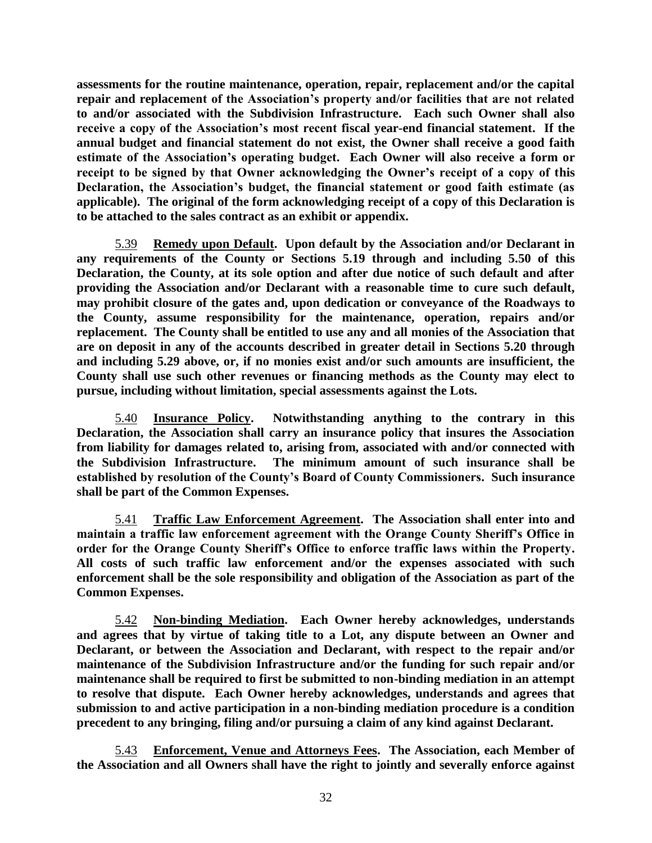**assessments for the routine maintenance, operation, repair, replacement and/or the capital repair and replacement of the Association's property and/or facilities that are not related to and/or associated with the Subdivision Infrastructure. Each such Owner shall also receive a copy of the Association's most recent fiscal year-end financial statement. If the annual budget and financial statement do not exist, the Owner shall receive a good faith estimate of the Association's operating budget. Each Owner will also receive a form or receipt to be signed by that Owner acknowledging the Owner's receipt of a copy of this Declaration, the Association's budget, the financial statement or good faith estimate (as applicable). The original of the form acknowledging receipt of a copy of this Declaration is to be attached to the sales contract as an exhibit or appendix.**

5.39 **Remedy upon Default. Upon default by the Association and/or Declarant in any requirements of the County or Sections 5.19 through and including 5.50 of this Declaration, the County, at its sole option and after due notice of such default and after providing the Association and/or Declarant with a reasonable time to cure such default, may prohibit closure of the gates and, upon dedication or conveyance of the Roadways to the County, assume responsibility for the maintenance, operation, repairs and/or replacement. The County shall be entitled to use any and all monies of the Association that are on deposit in any of the accounts described in greater detail in Sections 5.20 through and including 5.29 above, or, if no monies exist and/or such amounts are insufficient, the County shall use such other revenues or financing methods as the County may elect to pursue, including without limitation, special assessments against the Lots.**

5.40 **Insurance Policy. Notwithstanding anything to the contrary in this Declaration, the Association shall carry an insurance policy that insures the Association from liability for damages related to, arising from, associated with and/or connected with the Subdivision Infrastructure. The minimum amount of such insurance shall be established by resolution of the County's Board of County Commissioners. Such insurance shall be part of the Common Expenses.**

5.41 **Traffic Law Enforcement Agreement. The Association shall enter into and maintain a traffic law enforcement agreement with the Orange County Sheriff's Office in order for the Orange County Sheriff's Office to enforce traffic laws within the Property. All costs of such traffic law enforcement and/or the expenses associated with such enforcement shall be the sole responsibility and obligation of the Association as part of the Common Expenses.**

5.42 **Non-binding Mediation. Each Owner hereby acknowledges, understands and agrees that by virtue of taking title to a Lot, any dispute between an Owner and Declarant, or between the Association and Declarant, with respect to the repair and/or maintenance of the Subdivision Infrastructure and/or the funding for such repair and/or maintenance shall be required to first be submitted to non-binding mediation in an attempt to resolve that dispute. Each Owner hereby acknowledges, understands and agrees that submission to and active participation in a non-binding mediation procedure is a condition precedent to any bringing, filing and/or pursuing a claim of any kind against Declarant.**

5.43 **Enforcement, Venue and Attorneys Fees. The Association, each Member of the Association and all Owners shall have the right to jointly and severally enforce against**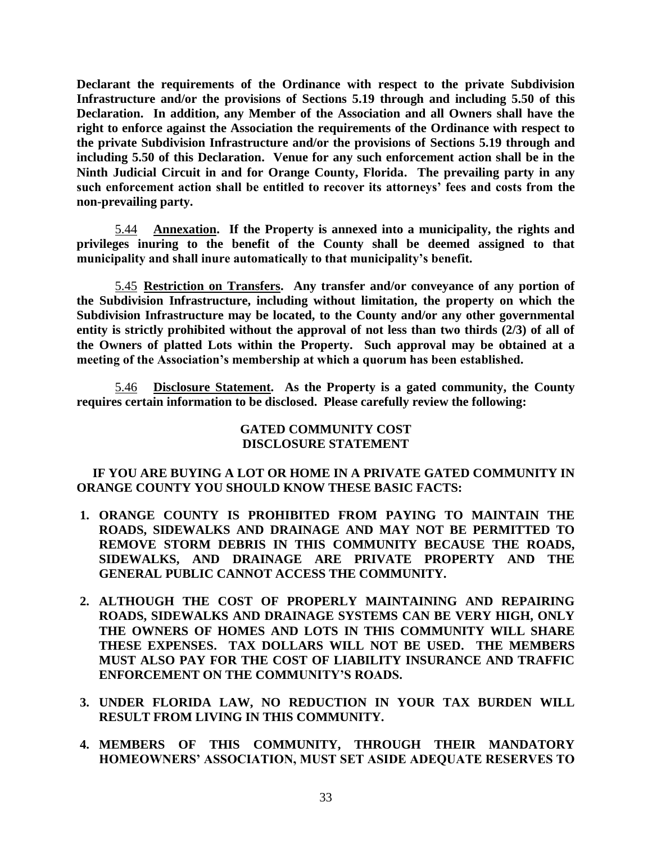**Declarant the requirements of the Ordinance with respect to the private Subdivision Infrastructure and/or the provisions of Sections 5.19 through and including 5.50 of this Declaration. In addition, any Member of the Association and all Owners shall have the right to enforce against the Association the requirements of the Ordinance with respect to the private Subdivision Infrastructure and/or the provisions of Sections 5.19 through and including 5.50 of this Declaration. Venue for any such enforcement action shall be in the Ninth Judicial Circuit in and for Orange County, Florida. The prevailing party in any such enforcement action shall be entitled to recover its attorneys' fees and costs from the non-prevailing party.**

5.44 **Annexation. If the Property is annexed into a municipality, the rights and privileges inuring to the benefit of the County shall be deemed assigned to that municipality and shall inure automatically to that municipality's benefit.**

5.45 **Restriction on Transfers. Any transfer and/or conveyance of any portion of the Subdivision Infrastructure, including without limitation, the property on which the Subdivision Infrastructure may be located, to the County and/or any other governmental entity is strictly prohibited without the approval of not less than two thirds (2/3) of all of the Owners of platted Lots within the Property. Such approval may be obtained at a meeting of the Association's membership at which a quorum has been established.** 

5.46 **Disclosure Statement. As the Property is a gated community, the County requires certain information to be disclosed. Please carefully review the following:**

### **GATED COMMUNITY COST DISCLOSURE STATEMENT**

# **IF YOU ARE BUYING A LOT OR HOME IN A PRIVATE GATED COMMUNITY IN ORANGE COUNTY YOU SHOULD KNOW THESE BASIC FACTS:**

- **1. ORANGE COUNTY IS PROHIBITED FROM PAYING TO MAINTAIN THE ROADS, SIDEWALKS AND DRAINAGE AND MAY NOT BE PERMITTED TO REMOVE STORM DEBRIS IN THIS COMMUNITY BECAUSE THE ROADS, SIDEWALKS, AND DRAINAGE ARE PRIVATE PROPERTY AND THE GENERAL PUBLIC CANNOT ACCESS THE COMMUNITY.**
- **2. ALTHOUGH THE COST OF PROPERLY MAINTAINING AND REPAIRING ROADS, SIDEWALKS AND DRAINAGE SYSTEMS CAN BE VERY HIGH, ONLY THE OWNERS OF HOMES AND LOTS IN THIS COMMUNITY WILL SHARE THESE EXPENSES. TAX DOLLARS WILL NOT BE USED. THE MEMBERS MUST ALSO PAY FOR THE COST OF LIABILITY INSURANCE AND TRAFFIC ENFORCEMENT ON THE COMMUNITY'S ROADS.**
- **3. UNDER FLORIDA LAW, NO REDUCTION IN YOUR TAX BURDEN WILL RESULT FROM LIVING IN THIS COMMUNITY.**
- **4. MEMBERS OF THIS COMMUNITY, THROUGH THEIR MANDATORY HOMEOWNERS' ASSOCIATION, MUST SET ASIDE ADEQUATE RESERVES TO**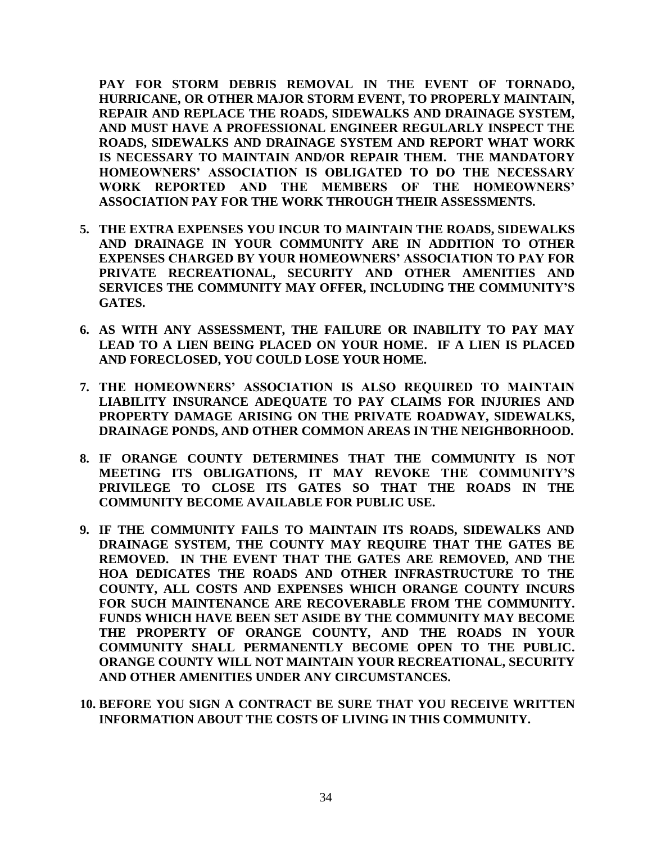**PAY FOR STORM DEBRIS REMOVAL IN THE EVENT OF TORNADO, HURRICANE, OR OTHER MAJOR STORM EVENT, TO PROPERLY MAINTAIN, REPAIR AND REPLACE THE ROADS, SIDEWALKS AND DRAINAGE SYSTEM, AND MUST HAVE A PROFESSIONAL ENGINEER REGULARLY INSPECT THE ROADS, SIDEWALKS AND DRAINAGE SYSTEM AND REPORT WHAT WORK IS NECESSARY TO MAINTAIN AND/OR REPAIR THEM. THE MANDATORY HOMEOWNERS' ASSOCIATION IS OBLIGATED TO DO THE NECESSARY WORK REPORTED AND THE MEMBERS OF THE HOMEOWNERS' ASSOCIATION PAY FOR THE WORK THROUGH THEIR ASSESSMENTS.**

- **5. THE EXTRA EXPENSES YOU INCUR TO MAINTAIN THE ROADS, SIDEWALKS AND DRAINAGE IN YOUR COMMUNITY ARE IN ADDITION TO OTHER EXPENSES CHARGED BY YOUR HOMEOWNERS' ASSOCIATION TO PAY FOR PRIVATE RECREATIONAL, SECURITY AND OTHER AMENITIES AND SERVICES THE COMMUNITY MAY OFFER, INCLUDING THE COMMUNITY'S GATES.**
- **6. AS WITH ANY ASSESSMENT, THE FAILURE OR INABILITY TO PAY MAY LEAD TO A LIEN BEING PLACED ON YOUR HOME. IF A LIEN IS PLACED AND FORECLOSED, YOU COULD LOSE YOUR HOME.**
- **7. THE HOMEOWNERS' ASSOCIATION IS ALSO REQUIRED TO MAINTAIN LIABILITY INSURANCE ADEQUATE TO PAY CLAIMS FOR INJURIES AND PROPERTY DAMAGE ARISING ON THE PRIVATE ROADWAY, SIDEWALKS, DRAINAGE PONDS, AND OTHER COMMON AREAS IN THE NEIGHBORHOOD.**
- **8. IF ORANGE COUNTY DETERMINES THAT THE COMMUNITY IS NOT MEETING ITS OBLIGATIONS, IT MAY REVOKE THE COMMUNITY'S PRIVILEGE TO CLOSE ITS GATES SO THAT THE ROADS IN THE COMMUNITY BECOME AVAILABLE FOR PUBLIC USE.**
- **9. IF THE COMMUNITY FAILS TO MAINTAIN ITS ROADS, SIDEWALKS AND DRAINAGE SYSTEM, THE COUNTY MAY REQUIRE THAT THE GATES BE REMOVED. IN THE EVENT THAT THE GATES ARE REMOVED, AND THE HOA DEDICATES THE ROADS AND OTHER INFRASTRUCTURE TO THE COUNTY, ALL COSTS AND EXPENSES WHICH ORANGE COUNTY INCURS FOR SUCH MAINTENANCE ARE RECOVERABLE FROM THE COMMUNITY. FUNDS WHICH HAVE BEEN SET ASIDE BY THE COMMUNITY MAY BECOME THE PROPERTY OF ORANGE COUNTY, AND THE ROADS IN YOUR COMMUNITY SHALL PERMANENTLY BECOME OPEN TO THE PUBLIC. ORANGE COUNTY WILL NOT MAINTAIN YOUR RECREATIONAL, SECURITY AND OTHER AMENITIES UNDER ANY CIRCUMSTANCES.**
- **10. BEFORE YOU SIGN A CONTRACT BE SURE THAT YOU RECEIVE WRITTEN INFORMATION ABOUT THE COSTS OF LIVING IN THIS COMMUNITY.**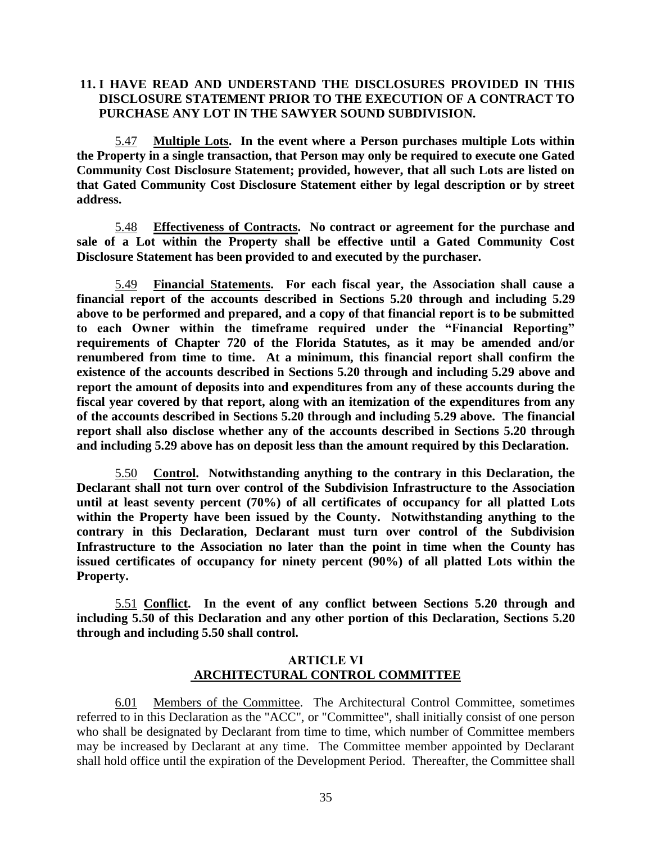# **11. I HAVE READ AND UNDERSTAND THE DISCLOSURES PROVIDED IN THIS DISCLOSURE STATEMENT PRIOR TO THE EXECUTION OF A CONTRACT TO PURCHASE ANY LOT IN THE SAWYER SOUND SUBDIVISION.**

5.47 **Multiple Lots. In the event where a Person purchases multiple Lots within the Property in a single transaction, that Person may only be required to execute one Gated Community Cost Disclosure Statement; provided, however, that all such Lots are listed on that Gated Community Cost Disclosure Statement either by legal description or by street address.**

5.48 **Effectiveness of Contracts. No contract or agreement for the purchase and sale of a Lot within the Property shall be effective until a Gated Community Cost Disclosure Statement has been provided to and executed by the purchaser.**

5.49 **Financial Statements. For each fiscal year, the Association shall cause a financial report of the accounts described in Sections 5.20 through and including 5.29 above to be performed and prepared, and a copy of that financial report is to be submitted to each Owner within the timeframe required under the "Financial Reporting" requirements of Chapter 720 of the Florida Statutes, as it may be amended and/or renumbered from time to time. At a minimum, this financial report shall confirm the existence of the accounts described in Sections 5.20 through and including 5.29 above and report the amount of deposits into and expenditures from any of these accounts during the fiscal year covered by that report, along with an itemization of the expenditures from any of the accounts described in Sections 5.20 through and including 5.29 above. The financial report shall also disclose whether any of the accounts described in Sections 5.20 through and including 5.29 above has on deposit less than the amount required by this Declaration.**

5.50 **Control. Notwithstanding anything to the contrary in this Declaration, the Declarant shall not turn over control of the Subdivision Infrastructure to the Association until at least seventy percent (70%) of all certificates of occupancy for all platted Lots within the Property have been issued by the County. Notwithstanding anything to the contrary in this Declaration, Declarant must turn over control of the Subdivision Infrastructure to the Association no later than the point in time when the County has issued certificates of occupancy for ninety percent (90%) of all platted Lots within the Property.**

5.51 **Conflict. In the event of any conflict between Sections 5.20 through and including 5.50 of this Declaration and any other portion of this Declaration, Sections 5.20 through and including 5.50 shall control.**

# **ARTICLE VI ARCHITECTURAL CONTROL COMMITTEE**

6.01 Members of the Committee. The Architectural Control Committee, sometimes referred to in this Declaration as the "ACC", or "Committee", shall initially consist of one person who shall be designated by Declarant from time to time, which number of Committee members may be increased by Declarant at any time. The Committee member appointed by Declarant shall hold office until the expiration of the Development Period. Thereafter, the Committee shall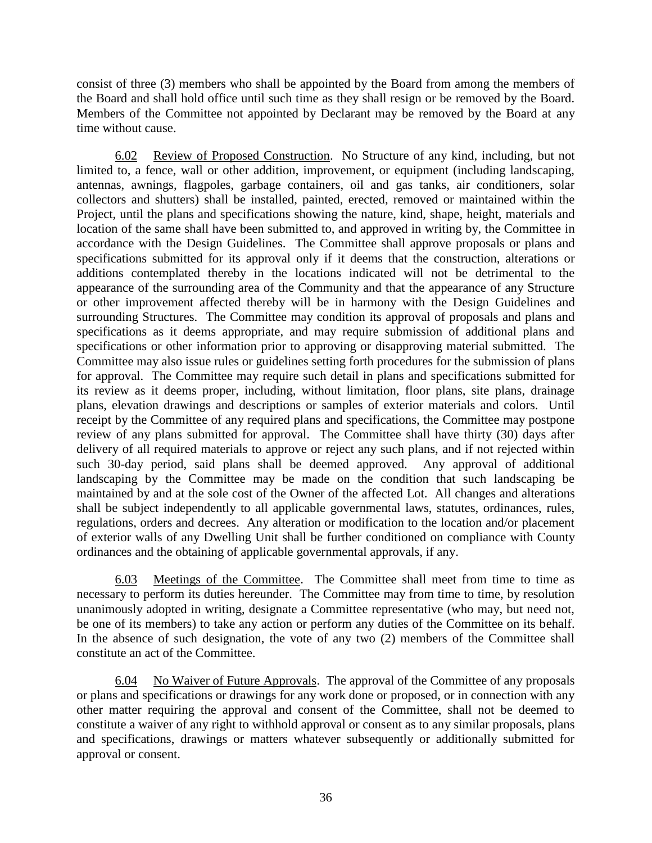consist of three (3) members who shall be appointed by the Board from among the members of the Board and shall hold office until such time as they shall resign or be removed by the Board. Members of the Committee not appointed by Declarant may be removed by the Board at any time without cause.

6.02 Review of Proposed Construction. No Structure of any kind, including, but not limited to, a fence, wall or other addition, improvement, or equipment (including landscaping, antennas, awnings, flagpoles, garbage containers, oil and gas tanks, air conditioners, solar collectors and shutters) shall be installed, painted, erected, removed or maintained within the Project, until the plans and specifications showing the nature, kind, shape, height, materials and location of the same shall have been submitted to, and approved in writing by, the Committee in accordance with the Design Guidelines. The Committee shall approve proposals or plans and specifications submitted for its approval only if it deems that the construction, alterations or additions contemplated thereby in the locations indicated will not be detrimental to the appearance of the surrounding area of the Community and that the appearance of any Structure or other improvement affected thereby will be in harmony with the Design Guidelines and surrounding Structures. The Committee may condition its approval of proposals and plans and specifications as it deems appropriate, and may require submission of additional plans and specifications or other information prior to approving or disapproving material submitted. The Committee may also issue rules or guidelines setting forth procedures for the submission of plans for approval. The Committee may require such detail in plans and specifications submitted for its review as it deems proper, including, without limitation, floor plans, site plans, drainage plans, elevation drawings and descriptions or samples of exterior materials and colors. Until receipt by the Committee of any required plans and specifications, the Committee may postpone review of any plans submitted for approval. The Committee shall have thirty (30) days after delivery of all required materials to approve or reject any such plans, and if not rejected within such 30-day period, said plans shall be deemed approved. Any approval of additional landscaping by the Committee may be made on the condition that such landscaping be maintained by and at the sole cost of the Owner of the affected Lot. All changes and alterations shall be subject independently to all applicable governmental laws, statutes, ordinances, rules, regulations, orders and decrees. Any alteration or modification to the location and/or placement of exterior walls of any Dwelling Unit shall be further conditioned on compliance with County ordinances and the obtaining of applicable governmental approvals, if any.

6.03 Meetings of the Committee. The Committee shall meet from time to time as necessary to perform its duties hereunder. The Committee may from time to time, by resolution unanimously adopted in writing, designate a Committee representative (who may, but need not, be one of its members) to take any action or perform any duties of the Committee on its behalf. In the absence of such designation, the vote of any two (2) members of the Committee shall constitute an act of the Committee.

6.04 No Waiver of Future Approvals. The approval of the Committee of any proposals or plans and specifications or drawings for any work done or proposed, or in connection with any other matter requiring the approval and consent of the Committee, shall not be deemed to constitute a waiver of any right to withhold approval or consent as to any similar proposals, plans and specifications, drawings or matters whatever subsequently or additionally submitted for approval or consent.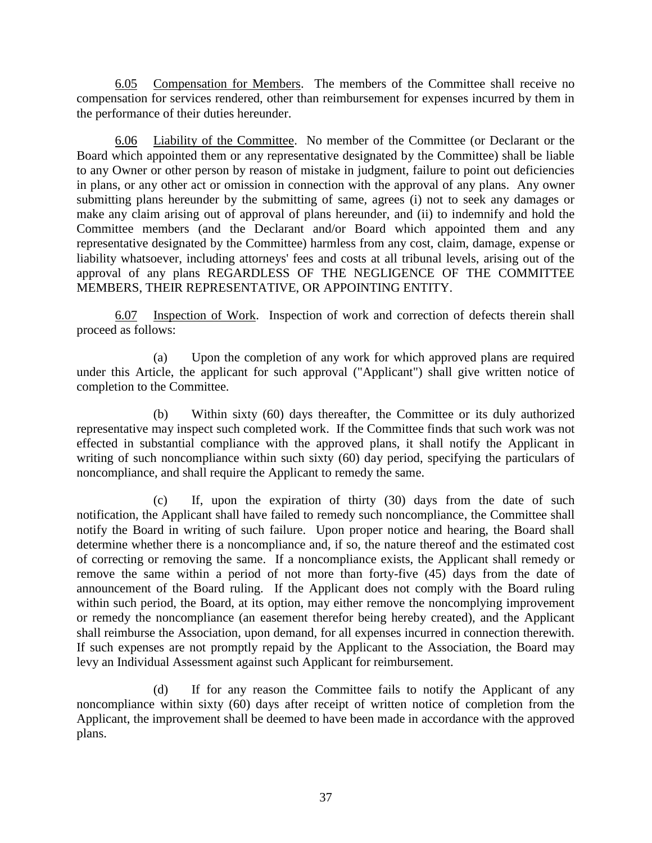6.05 Compensation for Members. The members of the Committee shall receive no compensation for services rendered, other than reimbursement for expenses incurred by them in the performance of their duties hereunder.

6.06 Liability of the Committee. No member of the Committee (or Declarant or the Board which appointed them or any representative designated by the Committee) shall be liable to any Owner or other person by reason of mistake in judgment, failure to point out deficiencies in plans, or any other act or omission in connection with the approval of any plans. Any owner submitting plans hereunder by the submitting of same, agrees (i) not to seek any damages or make any claim arising out of approval of plans hereunder, and (ii) to indemnify and hold the Committee members (and the Declarant and/or Board which appointed them and any representative designated by the Committee) harmless from any cost, claim, damage, expense or liability whatsoever, including attorneys' fees and costs at all tribunal levels, arising out of the approval of any plans REGARDLESS OF THE NEGLIGENCE OF THE COMMITTEE MEMBERS, THEIR REPRESENTATIVE, OR APPOINTING ENTITY.

6.07 Inspection of Work. Inspection of work and correction of defects therein shall proceed as follows:

(a) Upon the completion of any work for which approved plans are required under this Article, the applicant for such approval ("Applicant") shall give written notice of completion to the Committee.

(b) Within sixty (60) days thereafter, the Committee or its duly authorized representative may inspect such completed work. If the Committee finds that such work was not effected in substantial compliance with the approved plans, it shall notify the Applicant in writing of such noncompliance within such sixty (60) day period, specifying the particulars of noncompliance, and shall require the Applicant to remedy the same.

(c) If, upon the expiration of thirty (30) days from the date of such notification, the Applicant shall have failed to remedy such noncompliance, the Committee shall notify the Board in writing of such failure. Upon proper notice and hearing, the Board shall determine whether there is a noncompliance and, if so, the nature thereof and the estimated cost of correcting or removing the same. If a noncompliance exists, the Applicant shall remedy or remove the same within a period of not more than forty-five (45) days from the date of announcement of the Board ruling. If the Applicant does not comply with the Board ruling within such period, the Board, at its option, may either remove the noncomplying improvement or remedy the noncompliance (an easement therefor being hereby created), and the Applicant shall reimburse the Association, upon demand, for all expenses incurred in connection therewith. If such expenses are not promptly repaid by the Applicant to the Association, the Board may levy an Individual Assessment against such Applicant for reimbursement.

(d) If for any reason the Committee fails to notify the Applicant of any noncompliance within sixty (60) days after receipt of written notice of completion from the Applicant, the improvement shall be deemed to have been made in accordance with the approved plans.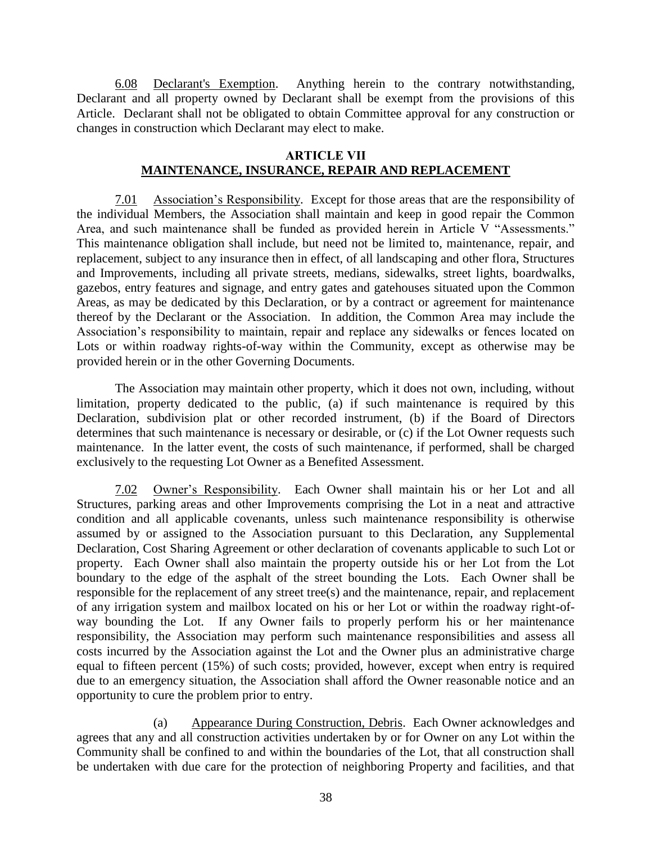6.08 Declarant's Exemption. Anything herein to the contrary notwithstanding, Declarant and all property owned by Declarant shall be exempt from the provisions of this Article. Declarant shall not be obligated to obtain Committee approval for any construction or changes in construction which Declarant may elect to make.

## **ARTICLE VII MAINTENANCE, INSURANCE, REPAIR AND REPLACEMENT**

7.01 Association's Responsibility. Except for those areas that are the responsibility of the individual Members, the Association shall maintain and keep in good repair the Common Area, and such maintenance shall be funded as provided herein in Article V "Assessments." This maintenance obligation shall include, but need not be limited to, maintenance, repair, and replacement, subject to any insurance then in effect, of all landscaping and other flora, Structures and Improvements, including all private streets, medians, sidewalks, street lights, boardwalks, gazebos, entry features and signage, and entry gates and gatehouses situated upon the Common Areas, as may be dedicated by this Declaration, or by a contract or agreement for maintenance thereof by the Declarant or the Association. In addition, the Common Area may include the Association's responsibility to maintain, repair and replace any sidewalks or fences located on Lots or within roadway rights-of-way within the Community, except as otherwise may be provided herein or in the other Governing Documents.

The Association may maintain other property, which it does not own, including, without limitation, property dedicated to the public, (a) if such maintenance is required by this Declaration, subdivision plat or other recorded instrument, (b) if the Board of Directors determines that such maintenance is necessary or desirable, or (c) if the Lot Owner requests such maintenance. In the latter event, the costs of such maintenance, if performed, shall be charged exclusively to the requesting Lot Owner as a Benefited Assessment.

7.02 Owner's Responsibility. Each Owner shall maintain his or her Lot and all Structures, parking areas and other Improvements comprising the Lot in a neat and attractive condition and all applicable covenants, unless such maintenance responsibility is otherwise assumed by or assigned to the Association pursuant to this Declaration, any Supplemental Declaration, Cost Sharing Agreement or other declaration of covenants applicable to such Lot or property. Each Owner shall also maintain the property outside his or her Lot from the Lot boundary to the edge of the asphalt of the street bounding the Lots. Each Owner shall be responsible for the replacement of any street tree(s) and the maintenance, repair, and replacement of any irrigation system and mailbox located on his or her Lot or within the roadway right-ofway bounding the Lot. If any Owner fails to properly perform his or her maintenance responsibility, the Association may perform such maintenance responsibilities and assess all costs incurred by the Association against the Lot and the Owner plus an administrative charge equal to fifteen percent (15%) of such costs; provided, however, except when entry is required due to an emergency situation, the Association shall afford the Owner reasonable notice and an opportunity to cure the problem prior to entry.

(a) Appearance During Construction, Debris. Each Owner acknowledges and agrees that any and all construction activities undertaken by or for Owner on any Lot within the Community shall be confined to and within the boundaries of the Lot, that all construction shall be undertaken with due care for the protection of neighboring Property and facilities, and that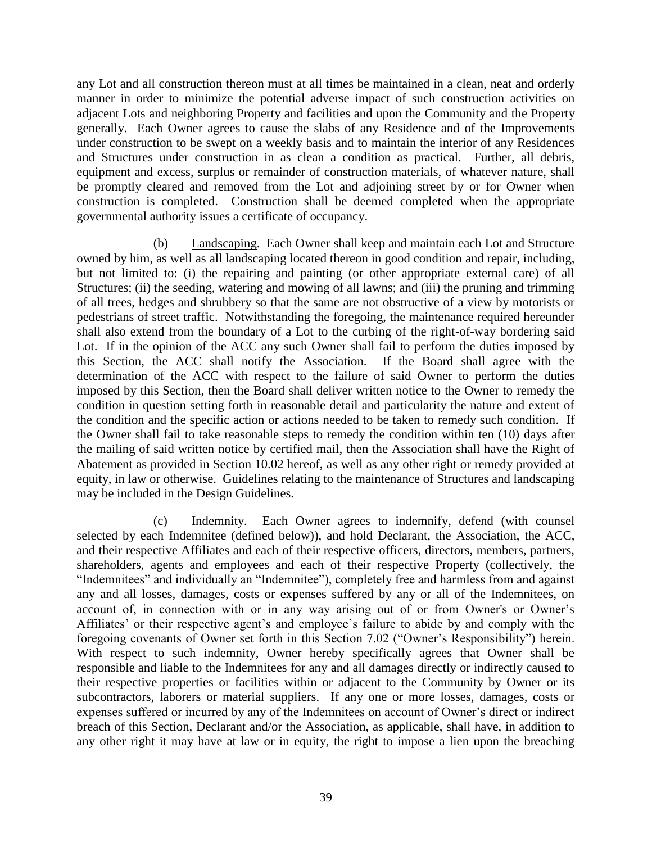any Lot and all construction thereon must at all times be maintained in a clean, neat and orderly manner in order to minimize the potential adverse impact of such construction activities on adjacent Lots and neighboring Property and facilities and upon the Community and the Property generally. Each Owner agrees to cause the slabs of any Residence and of the Improvements under construction to be swept on a weekly basis and to maintain the interior of any Residences and Structures under construction in as clean a condition as practical. Further, all debris, equipment and excess, surplus or remainder of construction materials, of whatever nature, shall be promptly cleared and removed from the Lot and adjoining street by or for Owner when construction is completed. Construction shall be deemed completed when the appropriate governmental authority issues a certificate of occupancy.

(b) Landscaping. Each Owner shall keep and maintain each Lot and Structure owned by him, as well as all landscaping located thereon in good condition and repair, including, but not limited to: (i) the repairing and painting (or other appropriate external care) of all Structures; (ii) the seeding, watering and mowing of all lawns; and (iii) the pruning and trimming of all trees, hedges and shrubbery so that the same are not obstructive of a view by motorists or pedestrians of street traffic. Notwithstanding the foregoing, the maintenance required hereunder shall also extend from the boundary of a Lot to the curbing of the right-of-way bordering said Lot. If in the opinion of the ACC any such Owner shall fail to perform the duties imposed by this Section, the ACC shall notify the Association. If the Board shall agree with the determination of the ACC with respect to the failure of said Owner to perform the duties imposed by this Section, then the Board shall deliver written notice to the Owner to remedy the condition in question setting forth in reasonable detail and particularity the nature and extent of the condition and the specific action or actions needed to be taken to remedy such condition. If the Owner shall fail to take reasonable steps to remedy the condition within ten (10) days after the mailing of said written notice by certified mail, then the Association shall have the Right of Abatement as provided in Section 10.02 hereof, as well as any other right or remedy provided at equity, in law or otherwise. Guidelines relating to the maintenance of Structures and landscaping may be included in the Design Guidelines.

(c) Indemnity. Each Owner agrees to indemnify, defend (with counsel selected by each Indemnitee (defined below)), and hold Declarant, the Association, the ACC, and their respective Affiliates and each of their respective officers, directors, members, partners, shareholders, agents and employees and each of their respective Property (collectively, the "Indemnitees" and individually an "Indemnitee"), completely free and harmless from and against any and all losses, damages, costs or expenses suffered by any or all of the Indemnitees, on account of, in connection with or in any way arising out of or from Owner's or Owner's Affiliates' or their respective agent's and employee's failure to abide by and comply with the foregoing covenants of Owner set forth in this Section 7.02 ("Owner's Responsibility") herein. With respect to such indemnity, Owner hereby specifically agrees that Owner shall be responsible and liable to the Indemnitees for any and all damages directly or indirectly caused to their respective properties or facilities within or adjacent to the Community by Owner or its subcontractors, laborers or material suppliers. If any one or more losses, damages, costs or expenses suffered or incurred by any of the Indemnitees on account of Owner's direct or indirect breach of this Section, Declarant and/or the Association, as applicable, shall have, in addition to any other right it may have at law or in equity, the right to impose a lien upon the breaching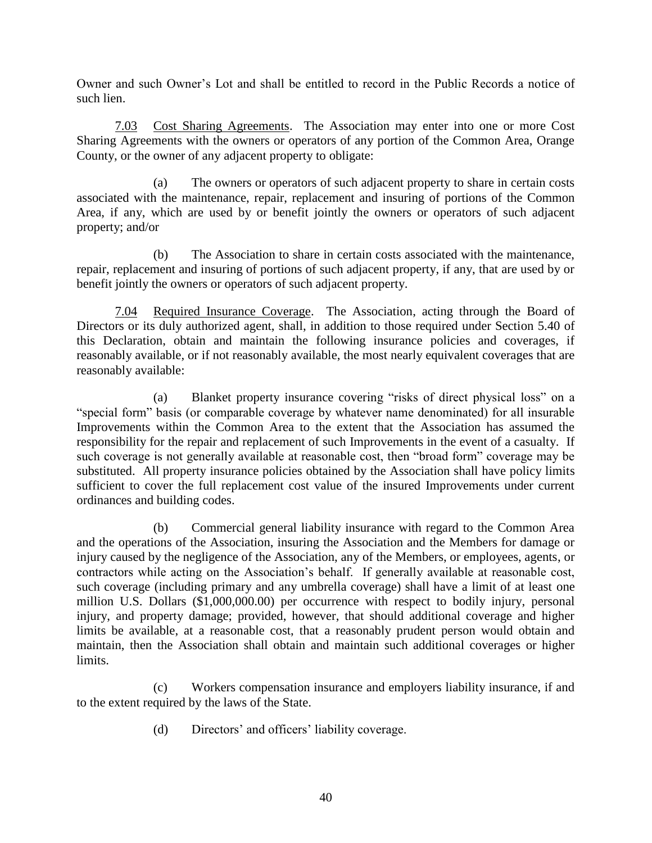Owner and such Owner's Lot and shall be entitled to record in the Public Records a notice of such lien.

7.03 Cost Sharing Agreements. The Association may enter into one or more Cost Sharing Agreements with the owners or operators of any portion of the Common Area, Orange County, or the owner of any adjacent property to obligate:

(a) The owners or operators of such adjacent property to share in certain costs associated with the maintenance, repair, replacement and insuring of portions of the Common Area, if any, which are used by or benefit jointly the owners or operators of such adjacent property; and/or

(b) The Association to share in certain costs associated with the maintenance, repair, replacement and insuring of portions of such adjacent property, if any, that are used by or benefit jointly the owners or operators of such adjacent property.

7.04 Required Insurance Coverage. The Association, acting through the Board of Directors or its duly authorized agent, shall, in addition to those required under Section 5.40 of this Declaration, obtain and maintain the following insurance policies and coverages, if reasonably available, or if not reasonably available, the most nearly equivalent coverages that are reasonably available:

(a) Blanket property insurance covering "risks of direct physical loss" on a "special form" basis (or comparable coverage by whatever name denominated) for all insurable Improvements within the Common Area to the extent that the Association has assumed the responsibility for the repair and replacement of such Improvements in the event of a casualty. If such coverage is not generally available at reasonable cost, then "broad form" coverage may be substituted. All property insurance policies obtained by the Association shall have policy limits sufficient to cover the full replacement cost value of the insured Improvements under current ordinances and building codes.

(b) Commercial general liability insurance with regard to the Common Area and the operations of the Association, insuring the Association and the Members for damage or injury caused by the negligence of the Association, any of the Members, or employees, agents, or contractors while acting on the Association's behalf. If generally available at reasonable cost, such coverage (including primary and any umbrella coverage) shall have a limit of at least one million U.S. Dollars (\$1,000,000.00) per occurrence with respect to bodily injury, personal injury, and property damage; provided, however, that should additional coverage and higher limits be available, at a reasonable cost, that a reasonably prudent person would obtain and maintain, then the Association shall obtain and maintain such additional coverages or higher limits.

(c) Workers compensation insurance and employers liability insurance, if and to the extent required by the laws of the State.

(d) Directors' and officers' liability coverage.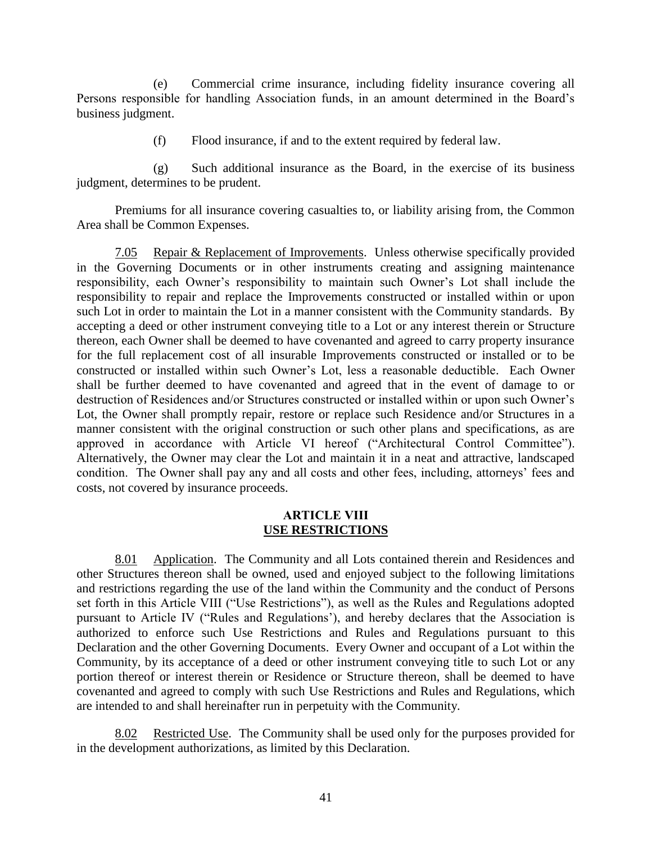(e) Commercial crime insurance, including fidelity insurance covering all Persons responsible for handling Association funds, in an amount determined in the Board's business judgment.

(f) Flood insurance, if and to the extent required by federal law.

(g) Such additional insurance as the Board, in the exercise of its business judgment, determines to be prudent.

Premiums for all insurance covering casualties to, or liability arising from, the Common Area shall be Common Expenses.

7.05 Repair & Replacement of Improvements. Unless otherwise specifically provided in the Governing Documents or in other instruments creating and assigning maintenance responsibility, each Owner's responsibility to maintain such Owner's Lot shall include the responsibility to repair and replace the Improvements constructed or installed within or upon such Lot in order to maintain the Lot in a manner consistent with the Community standards. By accepting a deed or other instrument conveying title to a Lot or any interest therein or Structure thereon, each Owner shall be deemed to have covenanted and agreed to carry property insurance for the full replacement cost of all insurable Improvements constructed or installed or to be constructed or installed within such Owner's Lot, less a reasonable deductible. Each Owner shall be further deemed to have covenanted and agreed that in the event of damage to or destruction of Residences and/or Structures constructed or installed within or upon such Owner's Lot, the Owner shall promptly repair, restore or replace such Residence and/or Structures in a manner consistent with the original construction or such other plans and specifications, as are approved in accordance with Article VI hereof ("Architectural Control Committee"). Alternatively, the Owner may clear the Lot and maintain it in a neat and attractive, landscaped condition. The Owner shall pay any and all costs and other fees, including, attorneys' fees and costs, not covered by insurance proceeds.

#### **ARTICLE VIII USE RESTRICTIONS**

8.01 Application. The Community and all Lots contained therein and Residences and other Structures thereon shall be owned, used and enjoyed subject to the following limitations and restrictions regarding the use of the land within the Community and the conduct of Persons set forth in this Article VIII ("Use Restrictions"), as well as the Rules and Regulations adopted pursuant to Article IV ("Rules and Regulations'), and hereby declares that the Association is authorized to enforce such Use Restrictions and Rules and Regulations pursuant to this Declaration and the other Governing Documents. Every Owner and occupant of a Lot within the Community, by its acceptance of a deed or other instrument conveying title to such Lot or any portion thereof or interest therein or Residence or Structure thereon, shall be deemed to have covenanted and agreed to comply with such Use Restrictions and Rules and Regulations, which are intended to and shall hereinafter run in perpetuity with the Community.

Restricted Use. The Community shall be used only for the purposes provided for in the development authorizations, as limited by this Declaration.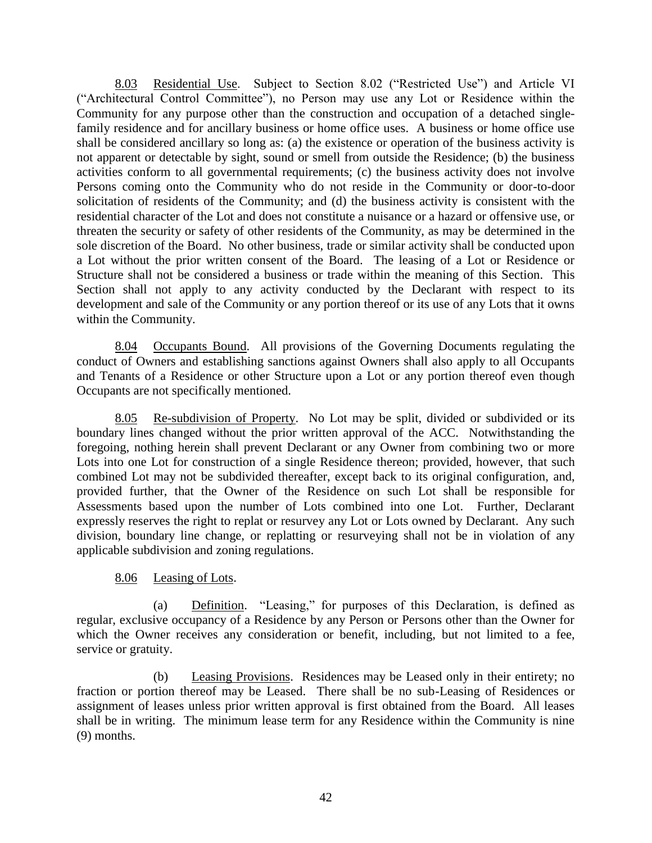8.03 Residential Use. Subject to Section 8.02 ("Restricted Use") and Article VI ("Architectural Control Committee"), no Person may use any Lot or Residence within the Community for any purpose other than the construction and occupation of a detached singlefamily residence and for ancillary business or home office uses. A business or home office use shall be considered ancillary so long as: (a) the existence or operation of the business activity is not apparent or detectable by sight, sound or smell from outside the Residence; (b) the business activities conform to all governmental requirements; (c) the business activity does not involve Persons coming onto the Community who do not reside in the Community or door-to-door solicitation of residents of the Community; and (d) the business activity is consistent with the residential character of the Lot and does not constitute a nuisance or a hazard or offensive use, or threaten the security or safety of other residents of the Community, as may be determined in the sole discretion of the Board. No other business, trade or similar activity shall be conducted upon a Lot without the prior written consent of the Board. The leasing of a Lot or Residence or Structure shall not be considered a business or trade within the meaning of this Section. This Section shall not apply to any activity conducted by the Declarant with respect to its development and sale of the Community or any portion thereof or its use of any Lots that it owns within the Community.

8.04 Occupants Bound. All provisions of the Governing Documents regulating the conduct of Owners and establishing sanctions against Owners shall also apply to all Occupants and Tenants of a Residence or other Structure upon a Lot or any portion thereof even though Occupants are not specifically mentioned.

8.05 Re-subdivision of Property. No Lot may be split, divided or subdivided or its boundary lines changed without the prior written approval of the ACC. Notwithstanding the foregoing, nothing herein shall prevent Declarant or any Owner from combining two or more Lots into one Lot for construction of a single Residence thereon; provided, however, that such combined Lot may not be subdivided thereafter, except back to its original configuration, and, provided further, that the Owner of the Residence on such Lot shall be responsible for Assessments based upon the number of Lots combined into one Lot. Further, Declarant expressly reserves the right to replat or resurvey any Lot or Lots owned by Declarant. Any such division, boundary line change, or replatting or resurveying shall not be in violation of any applicable subdivision and zoning regulations.

# 8.06 Leasing of Lots.

(a) Definition. "Leasing," for purposes of this Declaration, is defined as regular, exclusive occupancy of a Residence by any Person or Persons other than the Owner for which the Owner receives any consideration or benefit, including, but not limited to a fee, service or gratuity.

(b) Leasing Provisions. Residences may be Leased only in their entirety; no fraction or portion thereof may be Leased. There shall be no sub-Leasing of Residences or assignment of leases unless prior written approval is first obtained from the Board. All leases shall be in writing. The minimum lease term for any Residence within the Community is nine (9) months.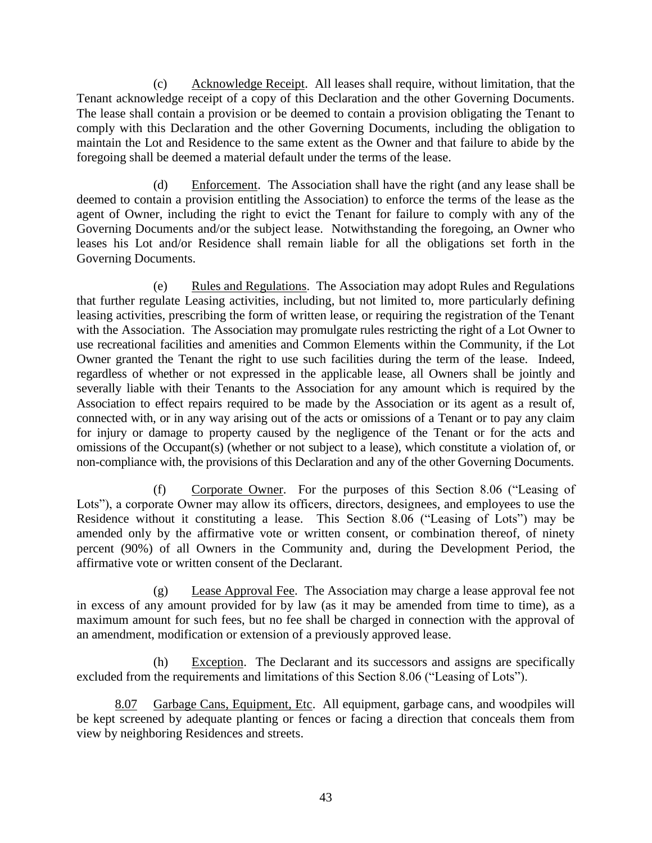(c) Acknowledge Receipt. All leases shall require, without limitation, that the Tenant acknowledge receipt of a copy of this Declaration and the other Governing Documents. The lease shall contain a provision or be deemed to contain a provision obligating the Tenant to comply with this Declaration and the other Governing Documents, including the obligation to maintain the Lot and Residence to the same extent as the Owner and that failure to abide by the foregoing shall be deemed a material default under the terms of the lease.

(d) Enforcement. The Association shall have the right (and any lease shall be deemed to contain a provision entitling the Association) to enforce the terms of the lease as the agent of Owner, including the right to evict the Tenant for failure to comply with any of the Governing Documents and/or the subject lease. Notwithstanding the foregoing, an Owner who leases his Lot and/or Residence shall remain liable for all the obligations set forth in the Governing Documents.

(e) Rules and Regulations. The Association may adopt Rules and Regulations that further regulate Leasing activities, including, but not limited to, more particularly defining leasing activities, prescribing the form of written lease, or requiring the registration of the Tenant with the Association. The Association may promulgate rules restricting the right of a Lot Owner to use recreational facilities and amenities and Common Elements within the Community, if the Lot Owner granted the Tenant the right to use such facilities during the term of the lease. Indeed, regardless of whether or not expressed in the applicable lease, all Owners shall be jointly and severally liable with their Tenants to the Association for any amount which is required by the Association to effect repairs required to be made by the Association or its agent as a result of, connected with, or in any way arising out of the acts or omissions of a Tenant or to pay any claim for injury or damage to property caused by the negligence of the Tenant or for the acts and omissions of the Occupant(s) (whether or not subject to a lease), which constitute a violation of, or non-compliance with, the provisions of this Declaration and any of the other Governing Documents.

(f) Corporate Owner. For the purposes of this Section 8.06 ("Leasing of Lots"), a corporate Owner may allow its officers, directors, designees, and employees to use the Residence without it constituting a lease. This Section 8.06 ("Leasing of Lots") may be amended only by the affirmative vote or written consent, or combination thereof, of ninety percent (90%) of all Owners in the Community and, during the Development Period, the affirmative vote or written consent of the Declarant.

(g) Lease Approval Fee. The Association may charge a lease approval fee not in excess of any amount provided for by law (as it may be amended from time to time), as a maximum amount for such fees, but no fee shall be charged in connection with the approval of an amendment, modification or extension of a previously approved lease.

(h) Exception. The Declarant and its successors and assigns are specifically excluded from the requirements and limitations of this Section 8.06 ("Leasing of Lots").

8.07 Garbage Cans, Equipment, Etc. All equipment, garbage cans, and woodpiles will be kept screened by adequate planting or fences or facing a direction that conceals them from view by neighboring Residences and streets.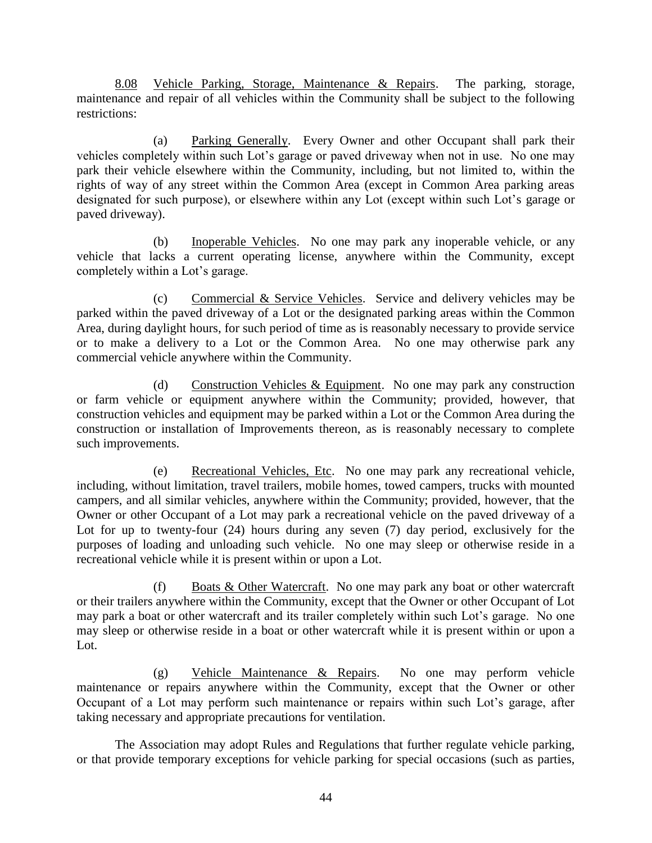8.08 Vehicle Parking, Storage, Maintenance & Repairs. The parking, storage, maintenance and repair of all vehicles within the Community shall be subject to the following restrictions:

(a) Parking Generally. Every Owner and other Occupant shall park their vehicles completely within such Lot's garage or paved driveway when not in use. No one may park their vehicle elsewhere within the Community, including, but not limited to, within the rights of way of any street within the Common Area (except in Common Area parking areas designated for such purpose), or elsewhere within any Lot (except within such Lot's garage or paved driveway).

(b) Inoperable Vehicles. No one may park any inoperable vehicle, or any vehicle that lacks a current operating license, anywhere within the Community, except completely within a Lot's garage.

(c) Commercial & Service Vehicles. Service and delivery vehicles may be parked within the paved driveway of a Lot or the designated parking areas within the Common Area, during daylight hours, for such period of time as is reasonably necessary to provide service or to make a delivery to a Lot or the Common Area. No one may otherwise park any commercial vehicle anywhere within the Community.

(d) Construction Vehicles & Equipment. No one may park any construction or farm vehicle or equipment anywhere within the Community; provided, however, that construction vehicles and equipment may be parked within a Lot or the Common Area during the construction or installation of Improvements thereon, as is reasonably necessary to complete such improvements.

(e) Recreational Vehicles, Etc. No one may park any recreational vehicle, including, without limitation, travel trailers, mobile homes, towed campers, trucks with mounted campers, and all similar vehicles, anywhere within the Community; provided, however, that the Owner or other Occupant of a Lot may park a recreational vehicle on the paved driveway of a Lot for up to twenty-four (24) hours during any seven (7) day period, exclusively for the purposes of loading and unloading such vehicle. No one may sleep or otherwise reside in a recreational vehicle while it is present within or upon a Lot.

(f) Boats & Other Watercraft. No one may park any boat or other watercraft or their trailers anywhere within the Community, except that the Owner or other Occupant of Lot may park a boat or other watercraft and its trailer completely within such Lot's garage. No one may sleep or otherwise reside in a boat or other watercraft while it is present within or upon a Lot.

(g) Vehicle Maintenance & Repairs. No one may perform vehicle maintenance or repairs anywhere within the Community, except that the Owner or other Occupant of a Lot may perform such maintenance or repairs within such Lot's garage, after taking necessary and appropriate precautions for ventilation.

The Association may adopt Rules and Regulations that further regulate vehicle parking, or that provide temporary exceptions for vehicle parking for special occasions (such as parties,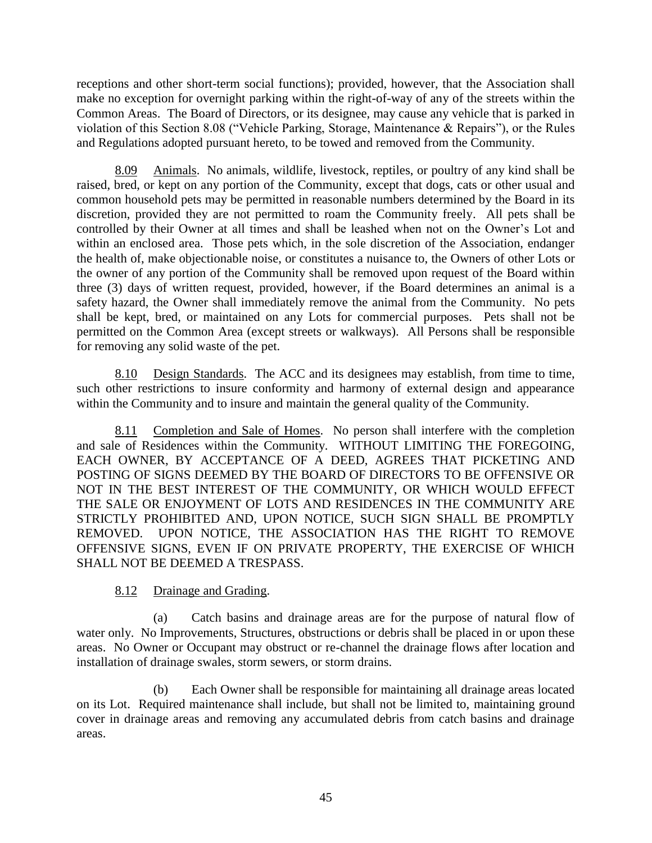receptions and other short-term social functions); provided, however, that the Association shall make no exception for overnight parking within the right-of-way of any of the streets within the Common Areas. The Board of Directors, or its designee, may cause any vehicle that is parked in violation of this Section 8.08 ("Vehicle Parking, Storage, Maintenance & Repairs"), or the Rules and Regulations adopted pursuant hereto, to be towed and removed from the Community.

8.09 Animals. No animals, wildlife, livestock, reptiles, or poultry of any kind shall be raised, bred, or kept on any portion of the Community, except that dogs, cats or other usual and common household pets may be permitted in reasonable numbers determined by the Board in its discretion, provided they are not permitted to roam the Community freely. All pets shall be controlled by their Owner at all times and shall be leashed when not on the Owner's Lot and within an enclosed area. Those pets which, in the sole discretion of the Association, endanger the health of, make objectionable noise, or constitutes a nuisance to, the Owners of other Lots or the owner of any portion of the Community shall be removed upon request of the Board within three (3) days of written request, provided, however, if the Board determines an animal is a safety hazard, the Owner shall immediately remove the animal from the Community. No pets shall be kept, bred, or maintained on any Lots for commercial purposes. Pets shall not be permitted on the Common Area (except streets or walkways). All Persons shall be responsible for removing any solid waste of the pet.

8.10 Design Standards. The ACC and its designees may establish, from time to time, such other restrictions to insure conformity and harmony of external design and appearance within the Community and to insure and maintain the general quality of the Community.

8.11 Completion and Sale of Homes. No person shall interfere with the completion and sale of Residences within the Community. WITHOUT LIMITING THE FOREGOING, EACH OWNER, BY ACCEPTANCE OF A DEED, AGREES THAT PICKETING AND POSTING OF SIGNS DEEMED BY THE BOARD OF DIRECTORS TO BE OFFENSIVE OR NOT IN THE BEST INTEREST OF THE COMMUNITY, OR WHICH WOULD EFFECT THE SALE OR ENJOYMENT OF LOTS AND RESIDENCES IN THE COMMUNITY ARE STRICTLY PROHIBITED AND, UPON NOTICE, SUCH SIGN SHALL BE PROMPTLY REMOVED. UPON NOTICE, THE ASSOCIATION HAS THE RIGHT TO REMOVE OFFENSIVE SIGNS, EVEN IF ON PRIVATE PROPERTY, THE EXERCISE OF WHICH SHALL NOT BE DEEMED A TRESPASS.

# 8.12 Drainage and Grading.

(a) Catch basins and drainage areas are for the purpose of natural flow of water only. No Improvements, Structures, obstructions or debris shall be placed in or upon these areas. No Owner or Occupant may obstruct or re-channel the drainage flows after location and installation of drainage swales, storm sewers, or storm drains.

(b) Each Owner shall be responsible for maintaining all drainage areas located on its Lot. Required maintenance shall include, but shall not be limited to, maintaining ground cover in drainage areas and removing any accumulated debris from catch basins and drainage areas.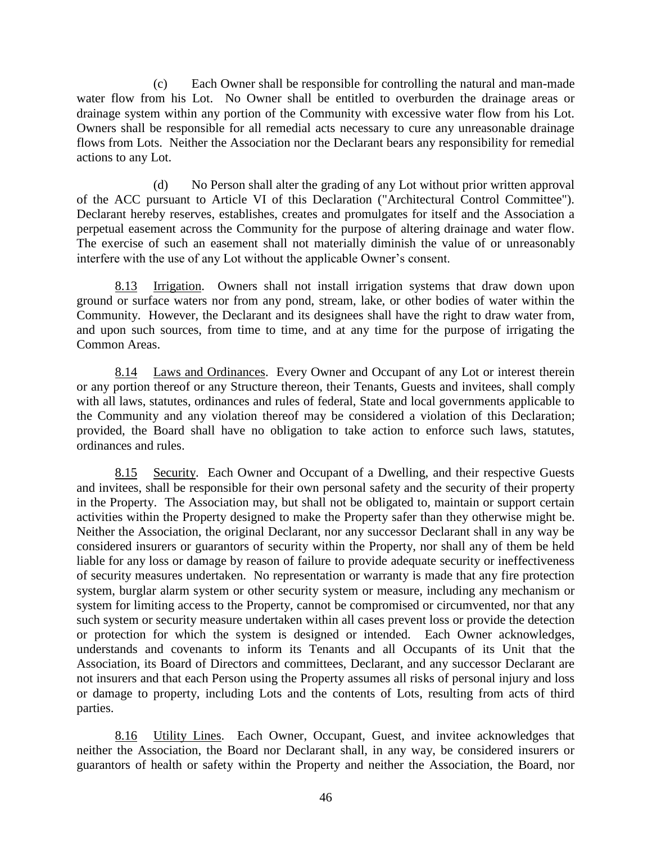(c) Each Owner shall be responsible for controlling the natural and man-made water flow from his Lot. No Owner shall be entitled to overburden the drainage areas or drainage system within any portion of the Community with excessive water flow from his Lot. Owners shall be responsible for all remedial acts necessary to cure any unreasonable drainage flows from Lots. Neither the Association nor the Declarant bears any responsibility for remedial actions to any Lot.

(d) No Person shall alter the grading of any Lot without prior written approval of the ACC pursuant to Article VI of this Declaration ("Architectural Control Committee"). Declarant hereby reserves, establishes, creates and promulgates for itself and the Association a perpetual easement across the Community for the purpose of altering drainage and water flow. The exercise of such an easement shall not materially diminish the value of or unreasonably interfere with the use of any Lot without the applicable Owner's consent.

8.13 Irrigation. Owners shall not install irrigation systems that draw down upon ground or surface waters nor from any pond, stream, lake, or other bodies of water within the Community. However, the Declarant and its designees shall have the right to draw water from, and upon such sources, from time to time, and at any time for the purpose of irrigating the Common Areas.

8.14 Laws and Ordinances. Every Owner and Occupant of any Lot or interest therein or any portion thereof or any Structure thereon, their Tenants, Guests and invitees, shall comply with all laws, statutes, ordinances and rules of federal, State and local governments applicable to the Community and any violation thereof may be considered a violation of this Declaration; provided, the Board shall have no obligation to take action to enforce such laws, statutes, ordinances and rules.

8.15 Security. Each Owner and Occupant of a Dwelling, and their respective Guests and invitees, shall be responsible for their own personal safety and the security of their property in the Property. The Association may, but shall not be obligated to, maintain or support certain activities within the Property designed to make the Property safer than they otherwise might be. Neither the Association, the original Declarant, nor any successor Declarant shall in any way be considered insurers or guarantors of security within the Property, nor shall any of them be held liable for any loss or damage by reason of failure to provide adequate security or ineffectiveness of security measures undertaken. No representation or warranty is made that any fire protection system, burglar alarm system or other security system or measure, including any mechanism or system for limiting access to the Property, cannot be compromised or circumvented, nor that any such system or security measure undertaken within all cases prevent loss or provide the detection or protection for which the system is designed or intended. Each Owner acknowledges, understands and covenants to inform its Tenants and all Occupants of its Unit that the Association, its Board of Directors and committees, Declarant, and any successor Declarant are not insurers and that each Person using the Property assumes all risks of personal injury and loss or damage to property, including Lots and the contents of Lots, resulting from acts of third parties.

8.16 Utility Lines. Each Owner, Occupant, Guest, and invitee acknowledges that neither the Association, the Board nor Declarant shall, in any way, be considered insurers or guarantors of health or safety within the Property and neither the Association, the Board, nor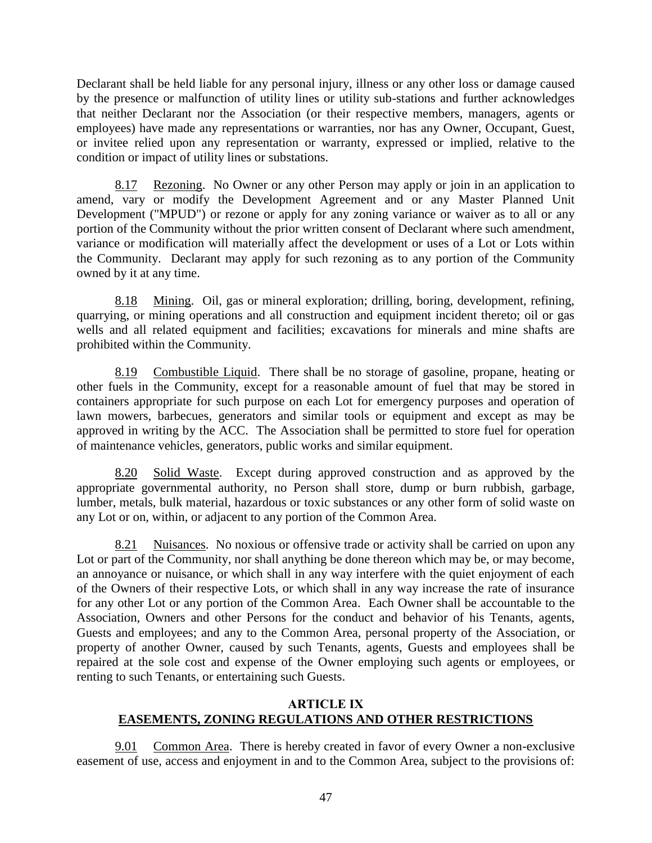Declarant shall be held liable for any personal injury, illness or any other loss or damage caused by the presence or malfunction of utility lines or utility sub-stations and further acknowledges that neither Declarant nor the Association (or their respective members, managers, agents or employees) have made any representations or warranties, nor has any Owner, Occupant, Guest, or invitee relied upon any representation or warranty, expressed or implied, relative to the condition or impact of utility lines or substations.

8.17 Rezoning. No Owner or any other Person may apply or join in an application to amend, vary or modify the Development Agreement and or any Master Planned Unit Development ("MPUD") or rezone or apply for any zoning variance or waiver as to all or any portion of the Community without the prior written consent of Declarant where such amendment, variance or modification will materially affect the development or uses of a Lot or Lots within the Community. Declarant may apply for such rezoning as to any portion of the Community owned by it at any time.

8.18 Mining. Oil, gas or mineral exploration; drilling, boring, development, refining, quarrying, or mining operations and all construction and equipment incident thereto; oil or gas wells and all related equipment and facilities; excavations for minerals and mine shafts are prohibited within the Community.

8.19 Combustible Liquid. There shall be no storage of gasoline, propane, heating or other fuels in the Community, except for a reasonable amount of fuel that may be stored in containers appropriate for such purpose on each Lot for emergency purposes and operation of lawn mowers, barbecues, generators and similar tools or equipment and except as may be approved in writing by the ACC. The Association shall be permitted to store fuel for operation of maintenance vehicles, generators, public works and similar equipment.

8.20 Solid Waste. Except during approved construction and as approved by the appropriate governmental authority, no Person shall store, dump or burn rubbish, garbage, lumber, metals, bulk material, hazardous or toxic substances or any other form of solid waste on any Lot or on, within, or adjacent to any portion of the Common Area.

8.21 Nuisances. No noxious or offensive trade or activity shall be carried on upon any Lot or part of the Community, nor shall anything be done thereon which may be, or may become, an annoyance or nuisance, or which shall in any way interfere with the quiet enjoyment of each of the Owners of their respective Lots, or which shall in any way increase the rate of insurance for any other Lot or any portion of the Common Area. Each Owner shall be accountable to the Association, Owners and other Persons for the conduct and behavior of his Tenants, agents, Guests and employees; and any to the Common Area, personal property of the Association, or property of another Owner, caused by such Tenants, agents, Guests and employees shall be repaired at the sole cost and expense of the Owner employing such agents or employees, or renting to such Tenants, or entertaining such Guests.

### **ARTICLE IX EASEMENTS, ZONING REGULATIONS AND OTHER RESTRICTIONS**

9.01 Common Area. There is hereby created in favor of every Owner a non-exclusive easement of use, access and enjoyment in and to the Common Area, subject to the provisions of: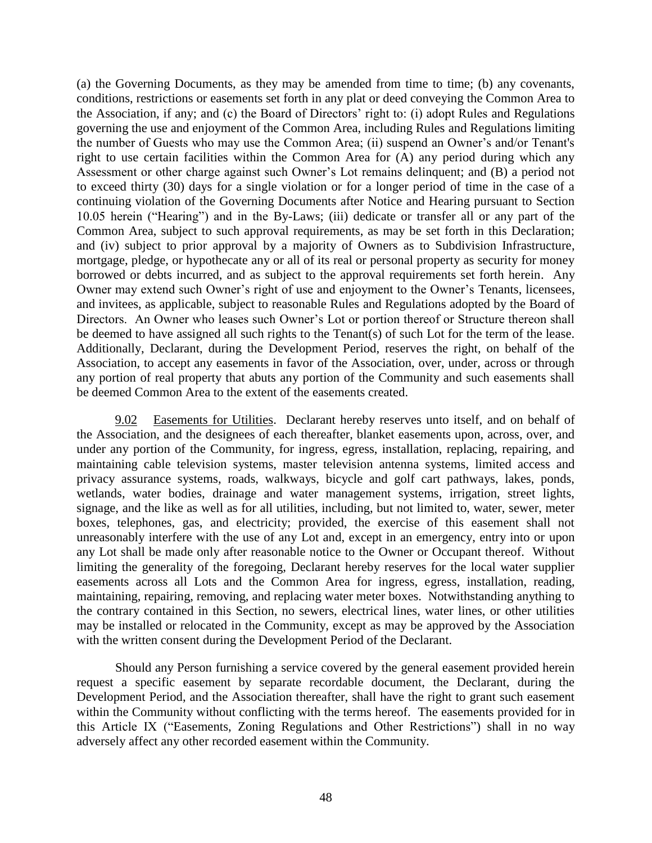(a) the Governing Documents, as they may be amended from time to time; (b) any covenants, conditions, restrictions or easements set forth in any plat or deed conveying the Common Area to the Association, if any; and (c) the Board of Directors' right to: (i) adopt Rules and Regulations governing the use and enjoyment of the Common Area, including Rules and Regulations limiting the number of Guests who may use the Common Area; (ii) suspend an Owner's and/or Tenant's right to use certain facilities within the Common Area for (A) any period during which any Assessment or other charge against such Owner's Lot remains delinquent; and (B) a period not to exceed thirty (30) days for a single violation or for a longer period of time in the case of a continuing violation of the Governing Documents after Notice and Hearing pursuant to Section 10.05 herein ("Hearing") and in the By-Laws; (iii) dedicate or transfer all or any part of the Common Area, subject to such approval requirements, as may be set forth in this Declaration; and (iv) subject to prior approval by a majority of Owners as to Subdivision Infrastructure, mortgage, pledge, or hypothecate any or all of its real or personal property as security for money borrowed or debts incurred, and as subject to the approval requirements set forth herein. Any Owner may extend such Owner's right of use and enjoyment to the Owner's Tenants, licensees, and invitees, as applicable, subject to reasonable Rules and Regulations adopted by the Board of Directors. An Owner who leases such Owner's Lot or portion thereof or Structure thereon shall be deemed to have assigned all such rights to the Tenant(s) of such Lot for the term of the lease. Additionally, Declarant, during the Development Period, reserves the right, on behalf of the Association, to accept any easements in favor of the Association, over, under, across or through any portion of real property that abuts any portion of the Community and such easements shall be deemed Common Area to the extent of the easements created.

9.02 Easements for Utilities. Declarant hereby reserves unto itself, and on behalf of the Association, and the designees of each thereafter, blanket easements upon, across, over, and under any portion of the Community, for ingress, egress, installation, replacing, repairing, and maintaining cable television systems, master television antenna systems, limited access and privacy assurance systems, roads, walkways, bicycle and golf cart pathways, lakes, ponds, wetlands, water bodies, drainage and water management systems, irrigation, street lights, signage, and the like as well as for all utilities, including, but not limited to, water, sewer, meter boxes, telephones, gas, and electricity; provided, the exercise of this easement shall not unreasonably interfere with the use of any Lot and, except in an emergency, entry into or upon any Lot shall be made only after reasonable notice to the Owner or Occupant thereof. Without limiting the generality of the foregoing, Declarant hereby reserves for the local water supplier easements across all Lots and the Common Area for ingress, egress, installation, reading, maintaining, repairing, removing, and replacing water meter boxes. Notwithstanding anything to the contrary contained in this Section, no sewers, electrical lines, water lines, or other utilities may be installed or relocated in the Community, except as may be approved by the Association with the written consent during the Development Period of the Declarant.

Should any Person furnishing a service covered by the general easement provided herein request a specific easement by separate recordable document, the Declarant, during the Development Period, and the Association thereafter, shall have the right to grant such easement within the Community without conflicting with the terms hereof. The easements provided for in this Article IX ("Easements, Zoning Regulations and Other Restrictions") shall in no way adversely affect any other recorded easement within the Community.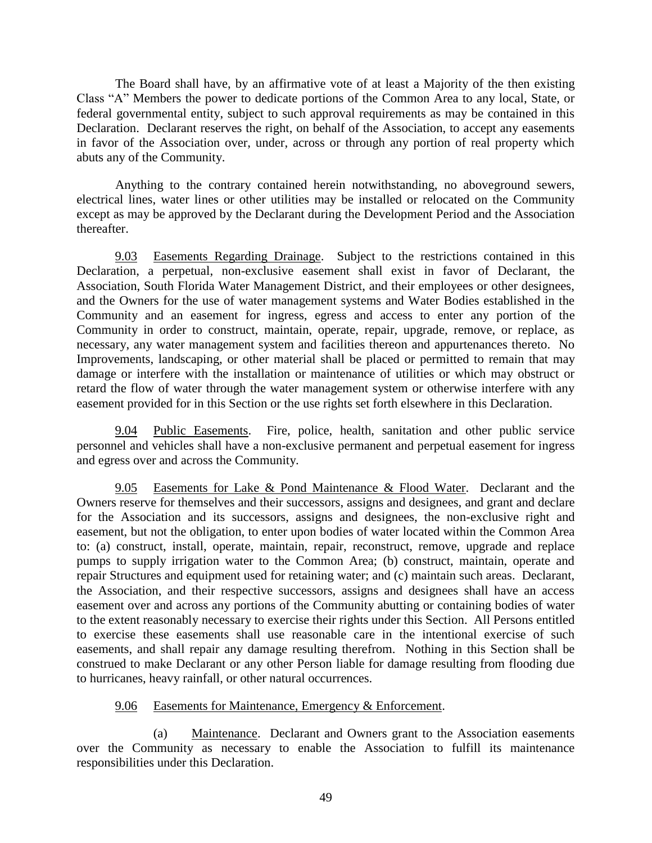The Board shall have, by an affirmative vote of at least a Majority of the then existing Class "A" Members the power to dedicate portions of the Common Area to any local, State, or federal governmental entity, subject to such approval requirements as may be contained in this Declaration. Declarant reserves the right, on behalf of the Association, to accept any easements in favor of the Association over, under, across or through any portion of real property which abuts any of the Community.

Anything to the contrary contained herein notwithstanding, no aboveground sewers, electrical lines, water lines or other utilities may be installed or relocated on the Community except as may be approved by the Declarant during the Development Period and the Association thereafter.

9.03 Easements Regarding Drainage. Subject to the restrictions contained in this Declaration, a perpetual, non-exclusive easement shall exist in favor of Declarant, the Association, South Florida Water Management District, and their employees or other designees, and the Owners for the use of water management systems and Water Bodies established in the Community and an easement for ingress, egress and access to enter any portion of the Community in order to construct, maintain, operate, repair, upgrade, remove, or replace, as necessary, any water management system and facilities thereon and appurtenances thereto. No Improvements, landscaping, or other material shall be placed or permitted to remain that may damage or interfere with the installation or maintenance of utilities or which may obstruct or retard the flow of water through the water management system or otherwise interfere with any easement provided for in this Section or the use rights set forth elsewhere in this Declaration.

9.04 Public Easements. Fire, police, health, sanitation and other public service personnel and vehicles shall have a non-exclusive permanent and perpetual easement for ingress and egress over and across the Community.

Easements for Lake & Pond Maintenance & Flood Water. Declarant and the Owners reserve for themselves and their successors, assigns and designees, and grant and declare for the Association and its successors, assigns and designees, the non-exclusive right and easement, but not the obligation, to enter upon bodies of water located within the Common Area to: (a) construct, install, operate, maintain, repair, reconstruct, remove, upgrade and replace pumps to supply irrigation water to the Common Area; (b) construct, maintain, operate and repair Structures and equipment used for retaining water; and (c) maintain such areas. Declarant, the Association, and their respective successors, assigns and designees shall have an access easement over and across any portions of the Community abutting or containing bodies of water to the extent reasonably necessary to exercise their rights under this Section. All Persons entitled to exercise these easements shall use reasonable care in the intentional exercise of such easements, and shall repair any damage resulting therefrom. Nothing in this Section shall be construed to make Declarant or any other Person liable for damage resulting from flooding due to hurricanes, heavy rainfall, or other natural occurrences.

### 9.06 Easements for Maintenance, Emergency & Enforcement.

(a) Maintenance. Declarant and Owners grant to the Association easements over the Community as necessary to enable the Association to fulfill its maintenance responsibilities under this Declaration.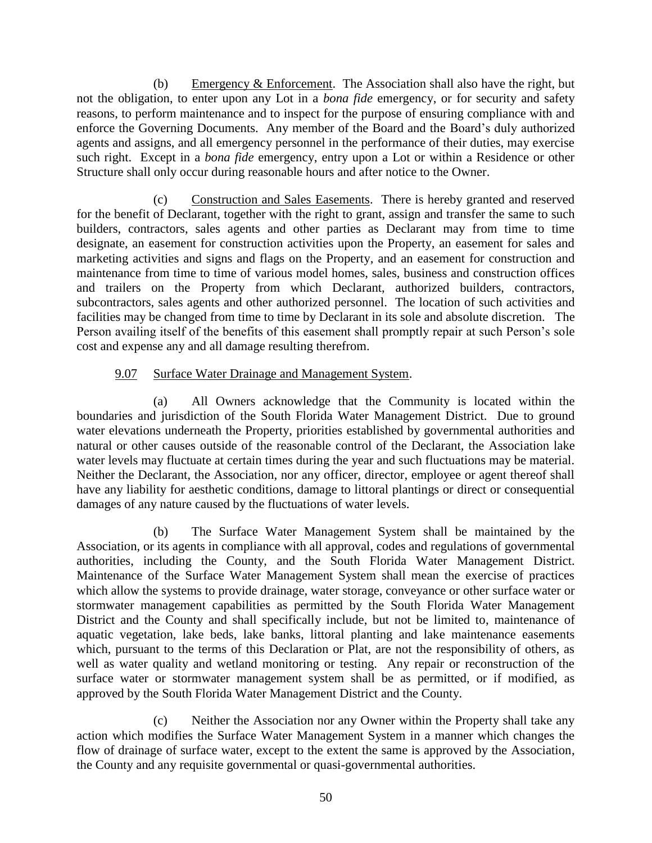(b) Emergency & Enforcement. The Association shall also have the right, but not the obligation, to enter upon any Lot in a *bona fide* emergency, or for security and safety reasons, to perform maintenance and to inspect for the purpose of ensuring compliance with and enforce the Governing Documents. Any member of the Board and the Board's duly authorized agents and assigns, and all emergency personnel in the performance of their duties, may exercise such right. Except in a *bona fide* emergency, entry upon a Lot or within a Residence or other Structure shall only occur during reasonable hours and after notice to the Owner.

(c) Construction and Sales Easements. There is hereby granted and reserved for the benefit of Declarant, together with the right to grant, assign and transfer the same to such builders, contractors, sales agents and other parties as Declarant may from time to time designate, an easement for construction activities upon the Property, an easement for sales and marketing activities and signs and flags on the Property, and an easement for construction and maintenance from time to time of various model homes, sales, business and construction offices and trailers on the Property from which Declarant, authorized builders, contractors, subcontractors, sales agents and other authorized personnel. The location of such activities and facilities may be changed from time to time by Declarant in its sole and absolute discretion. The Person availing itself of the benefits of this easement shall promptly repair at such Person's sole cost and expense any and all damage resulting therefrom.

# 9.07 Surface Water Drainage and Management System.

(a) All Owners acknowledge that the Community is located within the boundaries and jurisdiction of the South Florida Water Management District. Due to ground water elevations underneath the Property, priorities established by governmental authorities and natural or other causes outside of the reasonable control of the Declarant, the Association lake water levels may fluctuate at certain times during the year and such fluctuations may be material. Neither the Declarant, the Association, nor any officer, director, employee or agent thereof shall have any liability for aesthetic conditions, damage to littoral plantings or direct or consequential damages of any nature caused by the fluctuations of water levels.

(b) The Surface Water Management System shall be maintained by the Association, or its agents in compliance with all approval, codes and regulations of governmental authorities, including the County, and the South Florida Water Management District. Maintenance of the Surface Water Management System shall mean the exercise of practices which allow the systems to provide drainage, water storage, conveyance or other surface water or stormwater management capabilities as permitted by the South Florida Water Management District and the County and shall specifically include, but not be limited to, maintenance of aquatic vegetation, lake beds, lake banks, littoral planting and lake maintenance easements which, pursuant to the terms of this Declaration or Plat, are not the responsibility of others, as well as water quality and wetland monitoring or testing. Any repair or reconstruction of the surface water or stormwater management system shall be as permitted, or if modified, as approved by the South Florida Water Management District and the County.

(c) Neither the Association nor any Owner within the Property shall take any action which modifies the Surface Water Management System in a manner which changes the flow of drainage of surface water, except to the extent the same is approved by the Association, the County and any requisite governmental or quasi-governmental authorities.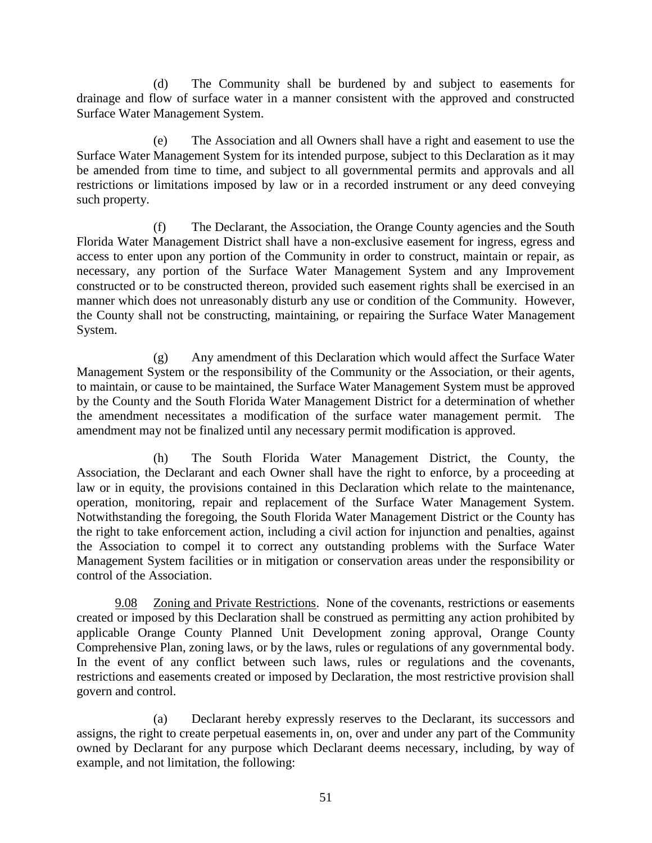(d) The Community shall be burdened by and subject to easements for drainage and flow of surface water in a manner consistent with the approved and constructed Surface Water Management System.

(e) The Association and all Owners shall have a right and easement to use the Surface Water Management System for its intended purpose, subject to this Declaration as it may be amended from time to time, and subject to all governmental permits and approvals and all restrictions or limitations imposed by law or in a recorded instrument or any deed conveying such property.

(f) The Declarant, the Association, the Orange County agencies and the South Florida Water Management District shall have a non-exclusive easement for ingress, egress and access to enter upon any portion of the Community in order to construct, maintain or repair, as necessary, any portion of the Surface Water Management System and any Improvement constructed or to be constructed thereon, provided such easement rights shall be exercised in an manner which does not unreasonably disturb any use or condition of the Community. However, the County shall not be constructing, maintaining, or repairing the Surface Water Management System.

(g) Any amendment of this Declaration which would affect the Surface Water Management System or the responsibility of the Community or the Association, or their agents, to maintain, or cause to be maintained, the Surface Water Management System must be approved by the County and the South Florida Water Management District for a determination of whether the amendment necessitates a modification of the surface water management permit. The amendment may not be finalized until any necessary permit modification is approved.

(h) The South Florida Water Management District, the County, the Association, the Declarant and each Owner shall have the right to enforce, by a proceeding at law or in equity, the provisions contained in this Declaration which relate to the maintenance, operation, monitoring, repair and replacement of the Surface Water Management System. Notwithstanding the foregoing, the South Florida Water Management District or the County has the right to take enforcement action, including a civil action for injunction and penalties, against the Association to compel it to correct any outstanding problems with the Surface Water Management System facilities or in mitigation or conservation areas under the responsibility or control of the Association.

9.08 Zoning and Private Restrictions. None of the covenants, restrictions or easements created or imposed by this Declaration shall be construed as permitting any action prohibited by applicable Orange County Planned Unit Development zoning approval, Orange County Comprehensive Plan, zoning laws, or by the laws, rules or regulations of any governmental body. In the event of any conflict between such laws, rules or regulations and the covenants, restrictions and easements created or imposed by Declaration, the most restrictive provision shall govern and control.

(a) Declarant hereby expressly reserves to the Declarant, its successors and assigns, the right to create perpetual easements in, on, over and under any part of the Community owned by Declarant for any purpose which Declarant deems necessary, including, by way of example, and not limitation, the following: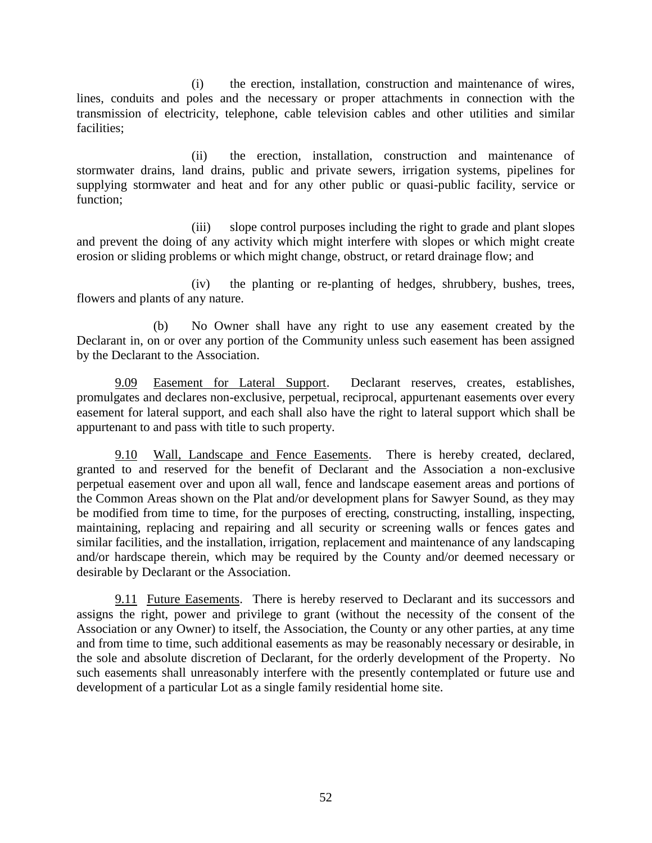(i) the erection, installation, construction and maintenance of wires, lines, conduits and poles and the necessary or proper attachments in connection with the transmission of electricity, telephone, cable television cables and other utilities and similar facilities;

(ii) the erection, installation, construction and maintenance of stormwater drains, land drains, public and private sewers, irrigation systems, pipelines for supplying stormwater and heat and for any other public or quasi-public facility, service or function;

(iii) slope control purposes including the right to grade and plant slopes and prevent the doing of any activity which might interfere with slopes or which might create erosion or sliding problems or which might change, obstruct, or retard drainage flow; and

(iv) the planting or re-planting of hedges, shrubbery, bushes, trees, flowers and plants of any nature.

(b) No Owner shall have any right to use any easement created by the Declarant in, on or over any portion of the Community unless such easement has been assigned by the Declarant to the Association.

9.09 Easement for Lateral Support. Declarant reserves, creates, establishes, promulgates and declares non-exclusive, perpetual, reciprocal, appurtenant easements over every easement for lateral support, and each shall also have the right to lateral support which shall be appurtenant to and pass with title to such property.

9.10 Wall, Landscape and Fence Easements. There is hereby created, declared, granted to and reserved for the benefit of Declarant and the Association a non-exclusive perpetual easement over and upon all wall, fence and landscape easement areas and portions of the Common Areas shown on the Plat and/or development plans for Sawyer Sound, as they may be modified from time to time, for the purposes of erecting, constructing, installing, inspecting, maintaining, replacing and repairing and all security or screening walls or fences gates and similar facilities, and the installation, irrigation, replacement and maintenance of any landscaping and/or hardscape therein, which may be required by the County and/or deemed necessary or desirable by Declarant or the Association.

9.11 Future Easements. There is hereby reserved to Declarant and its successors and assigns the right, power and privilege to grant (without the necessity of the consent of the Association or any Owner) to itself, the Association, the County or any other parties, at any time and from time to time, such additional easements as may be reasonably necessary or desirable, in the sole and absolute discretion of Declarant, for the orderly development of the Property. No such easements shall unreasonably interfere with the presently contemplated or future use and development of a particular Lot as a single family residential home site.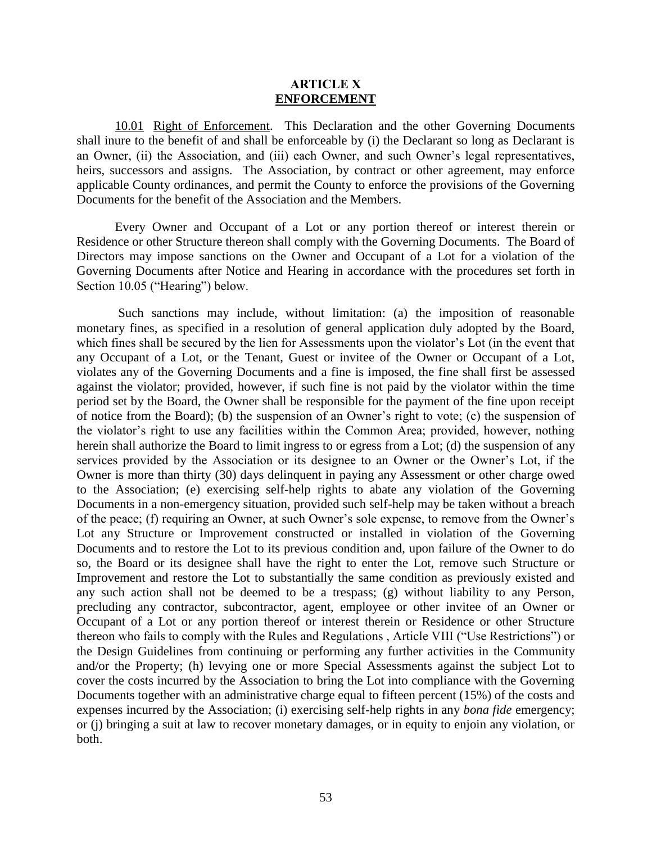#### **ARTICLE X ENFORCEMENT**

10.01 Right of Enforcement. This Declaration and the other Governing Documents shall inure to the benefit of and shall be enforceable by (i) the Declarant so long as Declarant is an Owner, (ii) the Association, and (iii) each Owner, and such Owner's legal representatives, heirs, successors and assigns. The Association, by contract or other agreement, may enforce applicable County ordinances, and permit the County to enforce the provisions of the Governing Documents for the benefit of the Association and the Members.

Every Owner and Occupant of a Lot or any portion thereof or interest therein or Residence or other Structure thereon shall comply with the Governing Documents. The Board of Directors may impose sanctions on the Owner and Occupant of a Lot for a violation of the Governing Documents after Notice and Hearing in accordance with the procedures set forth in Section 10.05 ("Hearing") below.

Such sanctions may include, without limitation: (a) the imposition of reasonable monetary fines, as specified in a resolution of general application duly adopted by the Board, which fines shall be secured by the lien for Assessments upon the violator's Lot (in the event that any Occupant of a Lot, or the Tenant, Guest or invitee of the Owner or Occupant of a Lot, violates any of the Governing Documents and a fine is imposed, the fine shall first be assessed against the violator; provided, however, if such fine is not paid by the violator within the time period set by the Board, the Owner shall be responsible for the payment of the fine upon receipt of notice from the Board); (b) the suspension of an Owner's right to vote; (c) the suspension of the violator's right to use any facilities within the Common Area; provided, however, nothing herein shall authorize the Board to limit ingress to or egress from a Lot; (d) the suspension of any services provided by the Association or its designee to an Owner or the Owner's Lot, if the Owner is more than thirty (30) days delinquent in paying any Assessment or other charge owed to the Association; (e) exercising self-help rights to abate any violation of the Governing Documents in a non-emergency situation, provided such self-help may be taken without a breach of the peace; (f) requiring an Owner, at such Owner's sole expense, to remove from the Owner's Lot any Structure or Improvement constructed or installed in violation of the Governing Documents and to restore the Lot to its previous condition and, upon failure of the Owner to do so, the Board or its designee shall have the right to enter the Lot, remove such Structure or Improvement and restore the Lot to substantially the same condition as previously existed and any such action shall not be deemed to be a trespass; (g) without liability to any Person, precluding any contractor, subcontractor, agent, employee or other invitee of an Owner or Occupant of a Lot or any portion thereof or interest therein or Residence or other Structure thereon who fails to comply with the Rules and Regulations , Article VIII ("Use Restrictions") or the Design Guidelines from continuing or performing any further activities in the Community and/or the Property; (h) levying one or more Special Assessments against the subject Lot to cover the costs incurred by the Association to bring the Lot into compliance with the Governing Documents together with an administrative charge equal to fifteen percent (15%) of the costs and expenses incurred by the Association; (i) exercising self-help rights in any *bona fide* emergency; or (j) bringing a suit at law to recover monetary damages, or in equity to enjoin any violation, or both.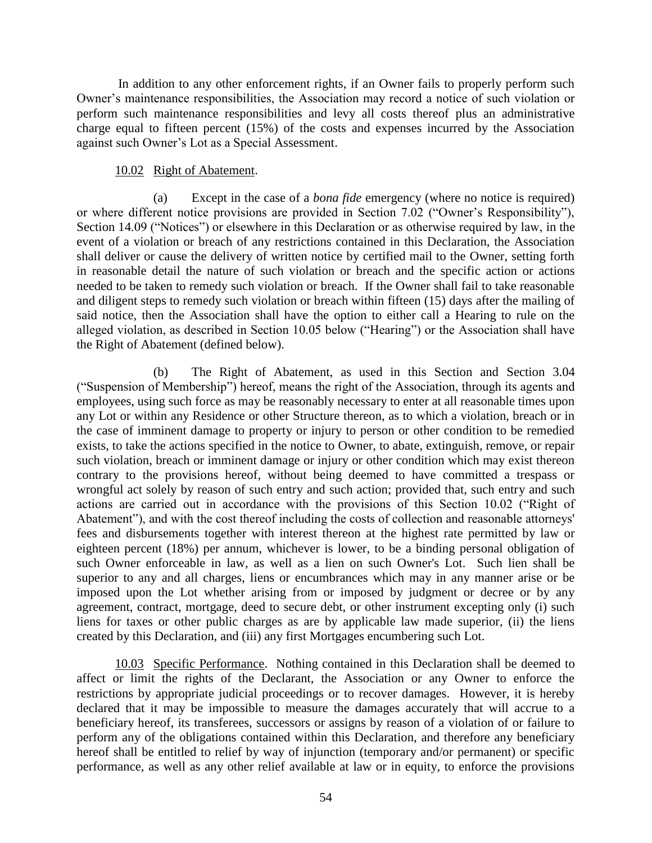In addition to any other enforcement rights, if an Owner fails to properly perform such Owner's maintenance responsibilities, the Association may record a notice of such violation or perform such maintenance responsibilities and levy all costs thereof plus an administrative charge equal to fifteen percent (15%) of the costs and expenses incurred by the Association against such Owner's Lot as a Special Assessment.

### 10.02 Right of Abatement.

(a) Except in the case of a *bona fide* emergency (where no notice is required) or where different notice provisions are provided in Section 7.02 ("Owner's Responsibility"), Section 14.09 ("Notices") or elsewhere in this Declaration or as otherwise required by law, in the event of a violation or breach of any restrictions contained in this Declaration, the Association shall deliver or cause the delivery of written notice by certified mail to the Owner, setting forth in reasonable detail the nature of such violation or breach and the specific action or actions needed to be taken to remedy such violation or breach. If the Owner shall fail to take reasonable and diligent steps to remedy such violation or breach within fifteen (15) days after the mailing of said notice, then the Association shall have the option to either call a Hearing to rule on the alleged violation, as described in Section 10.05 below ("Hearing") or the Association shall have the Right of Abatement (defined below).

(b) The Right of Abatement, as used in this Section and Section 3.04 ("Suspension of Membership") hereof, means the right of the Association, through its agents and employees, using such force as may be reasonably necessary to enter at all reasonable times upon any Lot or within any Residence or other Structure thereon, as to which a violation, breach or in the case of imminent damage to property or injury to person or other condition to be remedied exists, to take the actions specified in the notice to Owner, to abate, extinguish, remove, or repair such violation, breach or imminent damage or injury or other condition which may exist thereon contrary to the provisions hereof, without being deemed to have committed a trespass or wrongful act solely by reason of such entry and such action; provided that, such entry and such actions are carried out in accordance with the provisions of this Section 10.02 ("Right of Abatement"), and with the cost thereof including the costs of collection and reasonable attorneys' fees and disbursements together with interest thereon at the highest rate permitted by law or eighteen percent (18%) per annum, whichever is lower, to be a binding personal obligation of such Owner enforceable in law, as well as a lien on such Owner's Lot. Such lien shall be superior to any and all charges, liens or encumbrances which may in any manner arise or be imposed upon the Lot whether arising from or imposed by judgment or decree or by any agreement, contract, mortgage, deed to secure debt, or other instrument excepting only (i) such liens for taxes or other public charges as are by applicable law made superior, (ii) the liens created by this Declaration, and (iii) any first Mortgages encumbering such Lot.

10.03 Specific Performance. Nothing contained in this Declaration shall be deemed to affect or limit the rights of the Declarant, the Association or any Owner to enforce the restrictions by appropriate judicial proceedings or to recover damages. However, it is hereby declared that it may be impossible to measure the damages accurately that will accrue to a beneficiary hereof, its transferees, successors or assigns by reason of a violation of or failure to perform any of the obligations contained within this Declaration, and therefore any beneficiary hereof shall be entitled to relief by way of injunction (temporary and/or permanent) or specific performance, as well as any other relief available at law or in equity, to enforce the provisions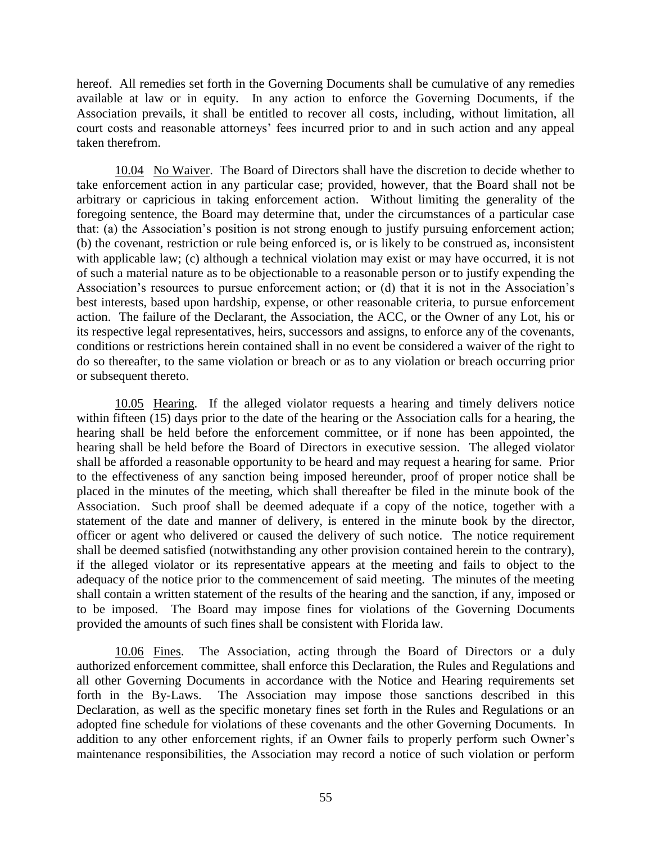hereof. All remedies set forth in the Governing Documents shall be cumulative of any remedies available at law or in equity. In any action to enforce the Governing Documents, if the Association prevails, it shall be entitled to recover all costs, including, without limitation, all court costs and reasonable attorneys' fees incurred prior to and in such action and any appeal taken therefrom.

10.04 No Waiver. The Board of Directors shall have the discretion to decide whether to take enforcement action in any particular case; provided, however, that the Board shall not be arbitrary or capricious in taking enforcement action. Without limiting the generality of the foregoing sentence, the Board may determine that, under the circumstances of a particular case that: (a) the Association's position is not strong enough to justify pursuing enforcement action; (b) the covenant, restriction or rule being enforced is, or is likely to be construed as, inconsistent with applicable law; (c) although a technical violation may exist or may have occurred, it is not of such a material nature as to be objectionable to a reasonable person or to justify expending the Association's resources to pursue enforcement action; or (d) that it is not in the Association's best interests, based upon hardship, expense, or other reasonable criteria, to pursue enforcement action. The failure of the Declarant, the Association, the ACC, or the Owner of any Lot, his or its respective legal representatives, heirs, successors and assigns, to enforce any of the covenants, conditions or restrictions herein contained shall in no event be considered a waiver of the right to do so thereafter, to the same violation or breach or as to any violation or breach occurring prior or subsequent thereto.

10.05 Hearing. If the alleged violator requests a hearing and timely delivers notice within fifteen (15) days prior to the date of the hearing or the Association calls for a hearing, the hearing shall be held before the enforcement committee, or if none has been appointed, the hearing shall be held before the Board of Directors in executive session. The alleged violator shall be afforded a reasonable opportunity to be heard and may request a hearing for same. Prior to the effectiveness of any sanction being imposed hereunder, proof of proper notice shall be placed in the minutes of the meeting, which shall thereafter be filed in the minute book of the Association. Such proof shall be deemed adequate if a copy of the notice, together with a statement of the date and manner of delivery, is entered in the minute book by the director, officer or agent who delivered or caused the delivery of such notice. The notice requirement shall be deemed satisfied (notwithstanding any other provision contained herein to the contrary), if the alleged violator or its representative appears at the meeting and fails to object to the adequacy of the notice prior to the commencement of said meeting. The minutes of the meeting shall contain a written statement of the results of the hearing and the sanction, if any, imposed or to be imposed. The Board may impose fines for violations of the Governing Documents provided the amounts of such fines shall be consistent with Florida law.

10.06 Fines. The Association, acting through the Board of Directors or a duly authorized enforcement committee, shall enforce this Declaration, the Rules and Regulations and all other Governing Documents in accordance with the Notice and Hearing requirements set forth in the By-Laws. The Association may impose those sanctions described in this Declaration, as well as the specific monetary fines set forth in the Rules and Regulations or an adopted fine schedule for violations of these covenants and the other Governing Documents. In addition to any other enforcement rights, if an Owner fails to properly perform such Owner's maintenance responsibilities, the Association may record a notice of such violation or perform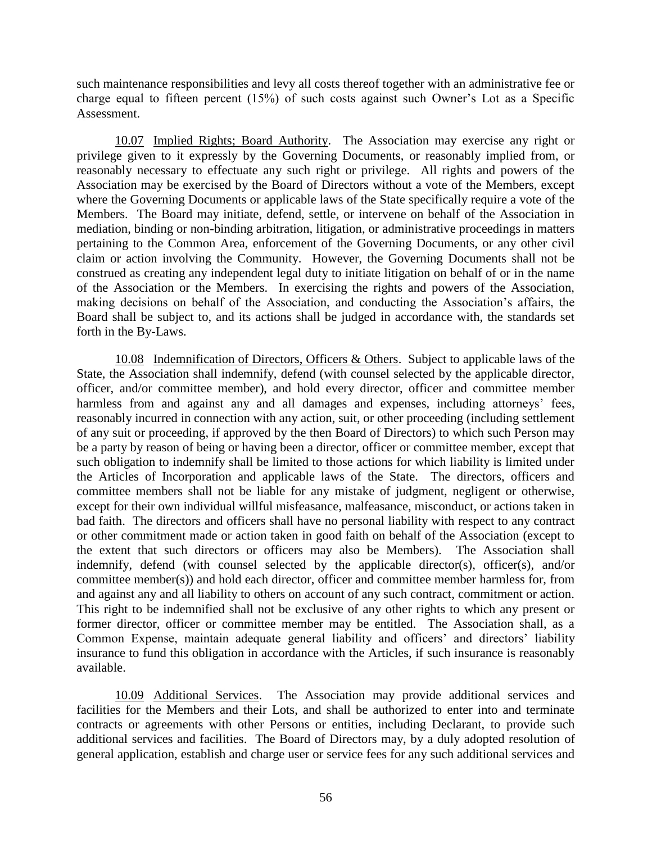such maintenance responsibilities and levy all costs thereof together with an administrative fee or charge equal to fifteen percent (15%) of such costs against such Owner's Lot as a Specific Assessment.

10.07 Implied Rights; Board Authority. The Association may exercise any right or privilege given to it expressly by the Governing Documents, or reasonably implied from, or reasonably necessary to effectuate any such right or privilege. All rights and powers of the Association may be exercised by the Board of Directors without a vote of the Members, except where the Governing Documents or applicable laws of the State specifically require a vote of the Members. The Board may initiate, defend, settle, or intervene on behalf of the Association in mediation, binding or non-binding arbitration, litigation, or administrative proceedings in matters pertaining to the Common Area, enforcement of the Governing Documents, or any other civil claim or action involving the Community. However, the Governing Documents shall not be construed as creating any independent legal duty to initiate litigation on behalf of or in the name of the Association or the Members. In exercising the rights and powers of the Association, making decisions on behalf of the Association, and conducting the Association's affairs, the Board shall be subject to, and its actions shall be judged in accordance with, the standards set forth in the By-Laws.

10.08 Indemnification of Directors, Officers & Others. Subject to applicable laws of the State, the Association shall indemnify, defend (with counsel selected by the applicable director, officer, and/or committee member), and hold every director, officer and committee member harmless from and against any and all damages and expenses, including attorneys' fees, reasonably incurred in connection with any action, suit, or other proceeding (including settlement of any suit or proceeding, if approved by the then Board of Directors) to which such Person may be a party by reason of being or having been a director, officer or committee member, except that such obligation to indemnify shall be limited to those actions for which liability is limited under the Articles of Incorporation and applicable laws of the State. The directors, officers and committee members shall not be liable for any mistake of judgment, negligent or otherwise, except for their own individual willful misfeasance, malfeasance, misconduct, or actions taken in bad faith. The directors and officers shall have no personal liability with respect to any contract or other commitment made or action taken in good faith on behalf of the Association (except to the extent that such directors or officers may also be Members). The Association shall indemnify, defend (with counsel selected by the applicable director(s), officer(s), and/or committee member(s)) and hold each director, officer and committee member harmless for, from and against any and all liability to others on account of any such contract, commitment or action. This right to be indemnified shall not be exclusive of any other rights to which any present or former director, officer or committee member may be entitled. The Association shall, as a Common Expense, maintain adequate general liability and officers' and directors' liability insurance to fund this obligation in accordance with the Articles, if such insurance is reasonably available.

10.09 Additional Services. The Association may provide additional services and facilities for the Members and their Lots, and shall be authorized to enter into and terminate contracts or agreements with other Persons or entities, including Declarant, to provide such additional services and facilities. The Board of Directors may, by a duly adopted resolution of general application, establish and charge user or service fees for any such additional services and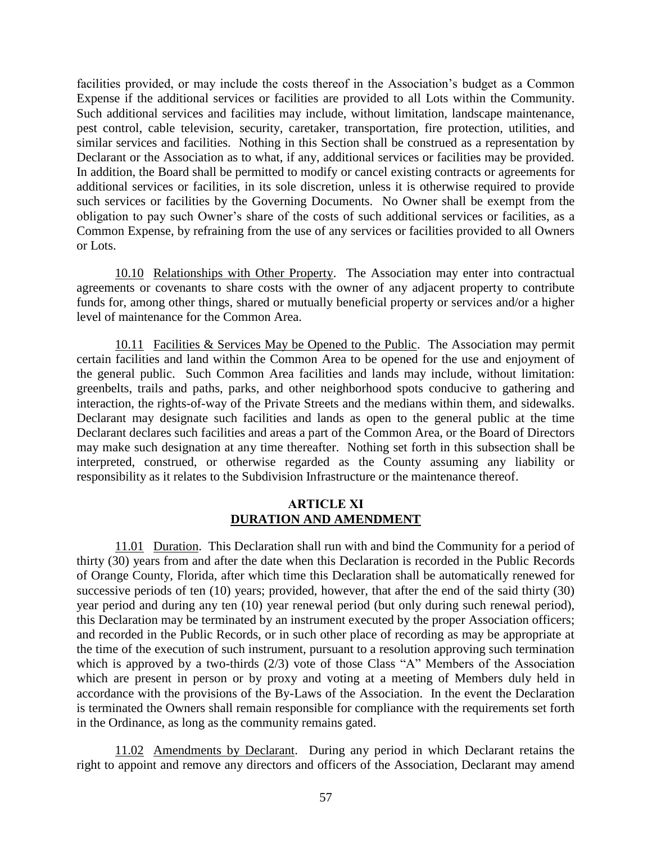facilities provided, or may include the costs thereof in the Association's budget as a Common Expense if the additional services or facilities are provided to all Lots within the Community. Such additional services and facilities may include, without limitation, landscape maintenance, pest control, cable television, security, caretaker, transportation, fire protection, utilities, and similar services and facilities. Nothing in this Section shall be construed as a representation by Declarant or the Association as to what, if any, additional services or facilities may be provided. In addition, the Board shall be permitted to modify or cancel existing contracts or agreements for additional services or facilities, in its sole discretion, unless it is otherwise required to provide such services or facilities by the Governing Documents. No Owner shall be exempt from the obligation to pay such Owner's share of the costs of such additional services or facilities, as a Common Expense, by refraining from the use of any services or facilities provided to all Owners or Lots.

10.10 Relationships with Other Property. The Association may enter into contractual agreements or covenants to share costs with the owner of any adjacent property to contribute funds for, among other things, shared or mutually beneficial property or services and/or a higher level of maintenance for the Common Area.

10.11 Facilities & Services May be Opened to the Public. The Association may permit certain facilities and land within the Common Area to be opened for the use and enjoyment of the general public. Such Common Area facilities and lands may include, without limitation: greenbelts, trails and paths, parks, and other neighborhood spots conducive to gathering and interaction, the rights-of-way of the Private Streets and the medians within them, and sidewalks. Declarant may designate such facilities and lands as open to the general public at the time Declarant declares such facilities and areas a part of the Common Area, or the Board of Directors may make such designation at any time thereafter. Nothing set forth in this subsection shall be interpreted, construed, or otherwise regarded as the County assuming any liability or responsibility as it relates to the Subdivision Infrastructure or the maintenance thereof.

#### **ARTICLE XI DURATION AND AMENDMENT**

11.01 Duration. This Declaration shall run with and bind the Community for a period of thirty (30) years from and after the date when this Declaration is recorded in the Public Records of Orange County, Florida, after which time this Declaration shall be automatically renewed for successive periods of ten (10) years; provided, however, that after the end of the said thirty (30) year period and during any ten (10) year renewal period (but only during such renewal period), this Declaration may be terminated by an instrument executed by the proper Association officers; and recorded in the Public Records, or in such other place of recording as may be appropriate at the time of the execution of such instrument, pursuant to a resolution approving such termination which is approved by a two-thirds (2/3) vote of those Class "A" Members of the Association which are present in person or by proxy and voting at a meeting of Members duly held in accordance with the provisions of the By-Laws of the Association. In the event the Declaration is terminated the Owners shall remain responsible for compliance with the requirements set forth in the Ordinance, as long as the community remains gated.

11.02 Amendments by Declarant. During any period in which Declarant retains the right to appoint and remove any directors and officers of the Association, Declarant may amend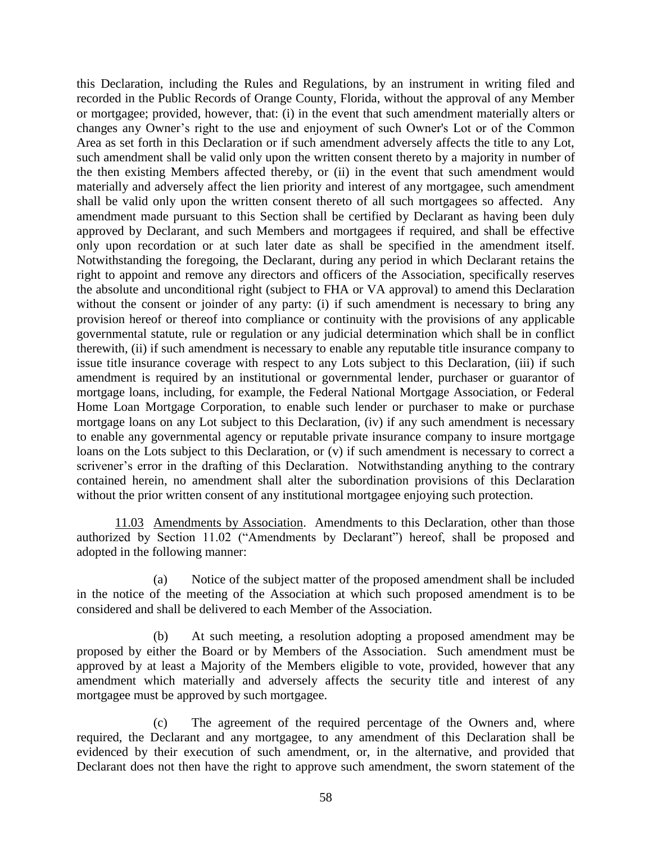this Declaration, including the Rules and Regulations, by an instrument in writing filed and recorded in the Public Records of Orange County, Florida, without the approval of any Member or mortgagee; provided, however, that: (i) in the event that such amendment materially alters or changes any Owner's right to the use and enjoyment of such Owner's Lot or of the Common Area as set forth in this Declaration or if such amendment adversely affects the title to any Lot, such amendment shall be valid only upon the written consent thereto by a majority in number of the then existing Members affected thereby, or (ii) in the event that such amendment would materially and adversely affect the lien priority and interest of any mortgagee, such amendment shall be valid only upon the written consent thereto of all such mortgagees so affected. Any amendment made pursuant to this Section shall be certified by Declarant as having been duly approved by Declarant, and such Members and mortgagees if required, and shall be effective only upon recordation or at such later date as shall be specified in the amendment itself. Notwithstanding the foregoing, the Declarant, during any period in which Declarant retains the right to appoint and remove any directors and officers of the Association, specifically reserves the absolute and unconditional right (subject to FHA or VA approval) to amend this Declaration without the consent or joinder of any party: (i) if such amendment is necessary to bring any provision hereof or thereof into compliance or continuity with the provisions of any applicable governmental statute, rule or regulation or any judicial determination which shall be in conflict therewith, (ii) if such amendment is necessary to enable any reputable title insurance company to issue title insurance coverage with respect to any Lots subject to this Declaration, (iii) if such amendment is required by an institutional or governmental lender, purchaser or guarantor of mortgage loans, including, for example, the Federal National Mortgage Association, or Federal Home Loan Mortgage Corporation, to enable such lender or purchaser to make or purchase mortgage loans on any Lot subject to this Declaration, (iv) if any such amendment is necessary to enable any governmental agency or reputable private insurance company to insure mortgage loans on the Lots subject to this Declaration, or (v) if such amendment is necessary to correct a scrivener's error in the drafting of this Declaration. Notwithstanding anything to the contrary contained herein, no amendment shall alter the subordination provisions of this Declaration without the prior written consent of any institutional mortgagee enjoying such protection.

11.03 Amendments by Association. Amendments to this Declaration, other than those authorized by Section 11.02 ("Amendments by Declarant") hereof, shall be proposed and adopted in the following manner:

(a) Notice of the subject matter of the proposed amendment shall be included in the notice of the meeting of the Association at which such proposed amendment is to be considered and shall be delivered to each Member of the Association.

(b) At such meeting, a resolution adopting a proposed amendment may be proposed by either the Board or by Members of the Association. Such amendment must be approved by at least a Majority of the Members eligible to vote, provided, however that any amendment which materially and adversely affects the security title and interest of any mortgagee must be approved by such mortgagee.

(c) The agreement of the required percentage of the Owners and, where required, the Declarant and any mortgagee, to any amendment of this Declaration shall be evidenced by their execution of such amendment, or, in the alternative, and provided that Declarant does not then have the right to approve such amendment, the sworn statement of the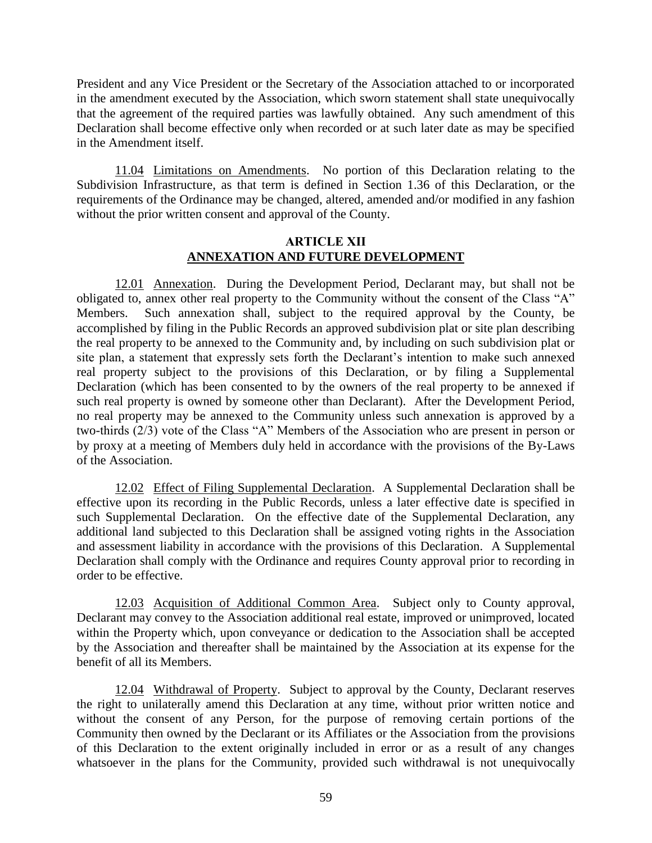President and any Vice President or the Secretary of the Association attached to or incorporated in the amendment executed by the Association, which sworn statement shall state unequivocally that the agreement of the required parties was lawfully obtained. Any such amendment of this Declaration shall become effective only when recorded or at such later date as may be specified in the Amendment itself.

11.04 Limitations on Amendments. No portion of this Declaration relating to the Subdivision Infrastructure, as that term is defined in Section 1.36 of this Declaration, or the requirements of the Ordinance may be changed, altered, amended and/or modified in any fashion without the prior written consent and approval of the County.

# **ARTICLE XII ANNEXATION AND FUTURE DEVELOPMENT**

12.01 Annexation. During the Development Period, Declarant may, but shall not be obligated to, annex other real property to the Community without the consent of the Class "A" Members. Such annexation shall, subject to the required approval by the County, be accomplished by filing in the Public Records an approved subdivision plat or site plan describing the real property to be annexed to the Community and, by including on such subdivision plat or site plan, a statement that expressly sets forth the Declarant's intention to make such annexed real property subject to the provisions of this Declaration, or by filing a Supplemental Declaration (which has been consented to by the owners of the real property to be annexed if such real property is owned by someone other than Declarant). After the Development Period, no real property may be annexed to the Community unless such annexation is approved by a two-thirds (2/3) vote of the Class "A" Members of the Association who are present in person or by proxy at a meeting of Members duly held in accordance with the provisions of the By-Laws of the Association.

12.02 Effect of Filing Supplemental Declaration. A Supplemental Declaration shall be effective upon its recording in the Public Records, unless a later effective date is specified in such Supplemental Declaration. On the effective date of the Supplemental Declaration, any additional land subjected to this Declaration shall be assigned voting rights in the Association and assessment liability in accordance with the provisions of this Declaration. A Supplemental Declaration shall comply with the Ordinance and requires County approval prior to recording in order to be effective.

12.03 Acquisition of Additional Common Area. Subject only to County approval, Declarant may convey to the Association additional real estate, improved or unimproved, located within the Property which, upon conveyance or dedication to the Association shall be accepted by the Association and thereafter shall be maintained by the Association at its expense for the benefit of all its Members.

12.04 Withdrawal of Property. Subject to approval by the County, Declarant reserves the right to unilaterally amend this Declaration at any time, without prior written notice and without the consent of any Person, for the purpose of removing certain portions of the Community then owned by the Declarant or its Affiliates or the Association from the provisions of this Declaration to the extent originally included in error or as a result of any changes whatsoever in the plans for the Community, provided such withdrawal is not unequivocally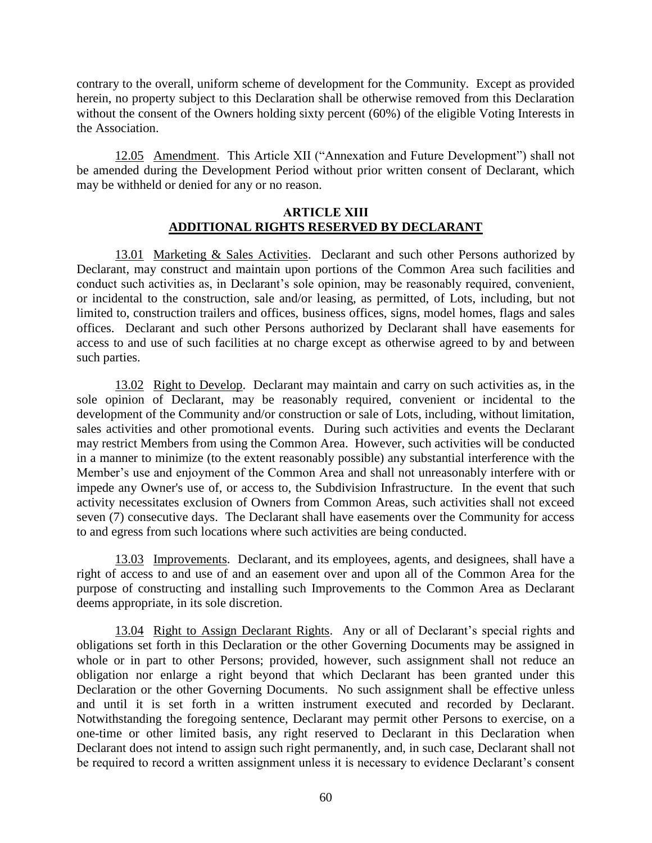contrary to the overall, uniform scheme of development for the Community. Except as provided herein, no property subject to this Declaration shall be otherwise removed from this Declaration without the consent of the Owners holding sixty percent (60%) of the eligible Voting Interests in the Association.

12.05 Amendment. This Article XII ("Annexation and Future Development") shall not be amended during the Development Period without prior written consent of Declarant, which may be withheld or denied for any or no reason.

### **ARTICLE XIII ADDITIONAL RIGHTS RESERVED BY DECLARANT**

13.01 Marketing & Sales Activities. Declarant and such other Persons authorized by Declarant, may construct and maintain upon portions of the Common Area such facilities and conduct such activities as, in Declarant's sole opinion, may be reasonably required, convenient, or incidental to the construction, sale and/or leasing, as permitted, of Lots, including, but not limited to, construction trailers and offices, business offices, signs, model homes, flags and sales offices. Declarant and such other Persons authorized by Declarant shall have easements for access to and use of such facilities at no charge except as otherwise agreed to by and between such parties.

13.02 Right to Develop. Declarant may maintain and carry on such activities as, in the sole opinion of Declarant, may be reasonably required, convenient or incidental to the development of the Community and/or construction or sale of Lots, including, without limitation, sales activities and other promotional events. During such activities and events the Declarant may restrict Members from using the Common Area. However, such activities will be conducted in a manner to minimize (to the extent reasonably possible) any substantial interference with the Member's use and enjoyment of the Common Area and shall not unreasonably interfere with or impede any Owner's use of, or access to, the Subdivision Infrastructure. In the event that such activity necessitates exclusion of Owners from Common Areas, such activities shall not exceed seven (7) consecutive days. The Declarant shall have easements over the Community for access to and egress from such locations where such activities are being conducted.

13.03 Improvements. Declarant, and its employees, agents, and designees, shall have a right of access to and use of and an easement over and upon all of the Common Area for the purpose of constructing and installing such Improvements to the Common Area as Declarant deems appropriate, in its sole discretion.

13.04 Right to Assign Declarant Rights. Any or all of Declarant's special rights and obligations set forth in this Declaration or the other Governing Documents may be assigned in whole or in part to other Persons; provided, however, such assignment shall not reduce an obligation nor enlarge a right beyond that which Declarant has been granted under this Declaration or the other Governing Documents. No such assignment shall be effective unless and until it is set forth in a written instrument executed and recorded by Declarant. Notwithstanding the foregoing sentence, Declarant may permit other Persons to exercise, on a one-time or other limited basis, any right reserved to Declarant in this Declaration when Declarant does not intend to assign such right permanently, and, in such case, Declarant shall not be required to record a written assignment unless it is necessary to evidence Declarant's consent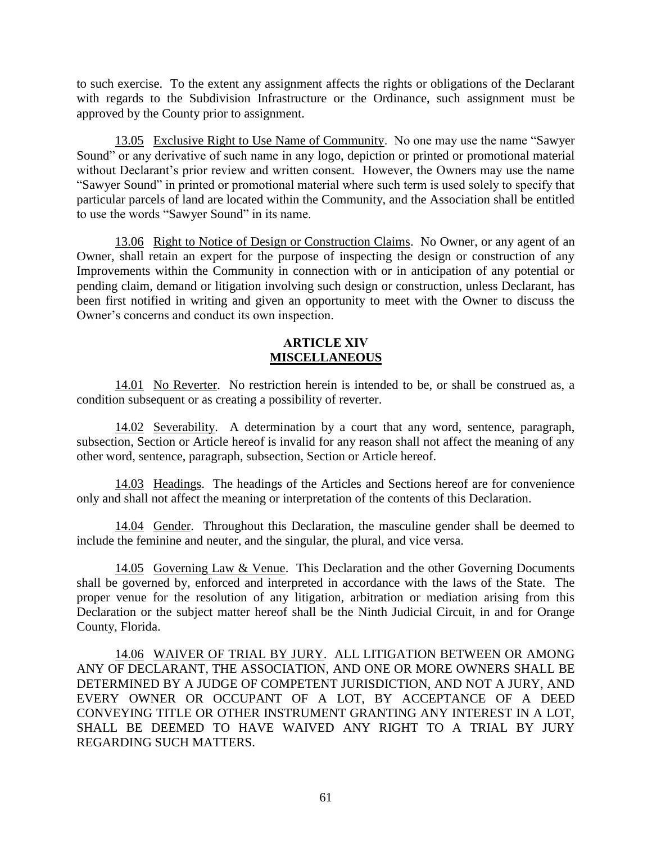to such exercise. To the extent any assignment affects the rights or obligations of the Declarant with regards to the Subdivision Infrastructure or the Ordinance, such assignment must be approved by the County prior to assignment.

13.05 Exclusive Right to Use Name of Community. No one may use the name "Sawyer Sound" or any derivative of such name in any logo, depiction or printed or promotional material without Declarant's prior review and written consent. However, the Owners may use the name "Sawyer Sound" in printed or promotional material where such term is used solely to specify that particular parcels of land are located within the Community, and the Association shall be entitled to use the words "Sawyer Sound" in its name.

13.06 Right to Notice of Design or Construction Claims. No Owner, or any agent of an Owner, shall retain an expert for the purpose of inspecting the design or construction of any Improvements within the Community in connection with or in anticipation of any potential or pending claim, demand or litigation involving such design or construction, unless Declarant, has been first notified in writing and given an opportunity to meet with the Owner to discuss the Owner's concerns and conduct its own inspection.

### **ARTICLE XIV MISCELLANEOUS**

14.01 No Reverter. No restriction herein is intended to be, or shall be construed as, a condition subsequent or as creating a possibility of reverter.

14.02 Severability. A determination by a court that any word, sentence, paragraph, subsection, Section or Article hereof is invalid for any reason shall not affect the meaning of any other word, sentence, paragraph, subsection, Section or Article hereof.

14.03 Headings. The headings of the Articles and Sections hereof are for convenience only and shall not affect the meaning or interpretation of the contents of this Declaration.

14.04 Gender. Throughout this Declaration, the masculine gender shall be deemed to include the feminine and neuter, and the singular, the plural, and vice versa.

14.05 Governing Law & Venue. This Declaration and the other Governing Documents shall be governed by, enforced and interpreted in accordance with the laws of the State. The proper venue for the resolution of any litigation, arbitration or mediation arising from this Declaration or the subject matter hereof shall be the Ninth Judicial Circuit, in and for Orange County, Florida.

14.06 WAIVER OF TRIAL BY JURY. ALL LITIGATION BETWEEN OR AMONG ANY OF DECLARANT, THE ASSOCIATION, AND ONE OR MORE OWNERS SHALL BE DETERMINED BY A JUDGE OF COMPETENT JURISDICTION, AND NOT A JURY, AND EVERY OWNER OR OCCUPANT OF A LOT, BY ACCEPTANCE OF A DEED CONVEYING TITLE OR OTHER INSTRUMENT GRANTING ANY INTEREST IN A LOT, SHALL BE DEEMED TO HAVE WAIVED ANY RIGHT TO A TRIAL BY JURY REGARDING SUCH MATTERS.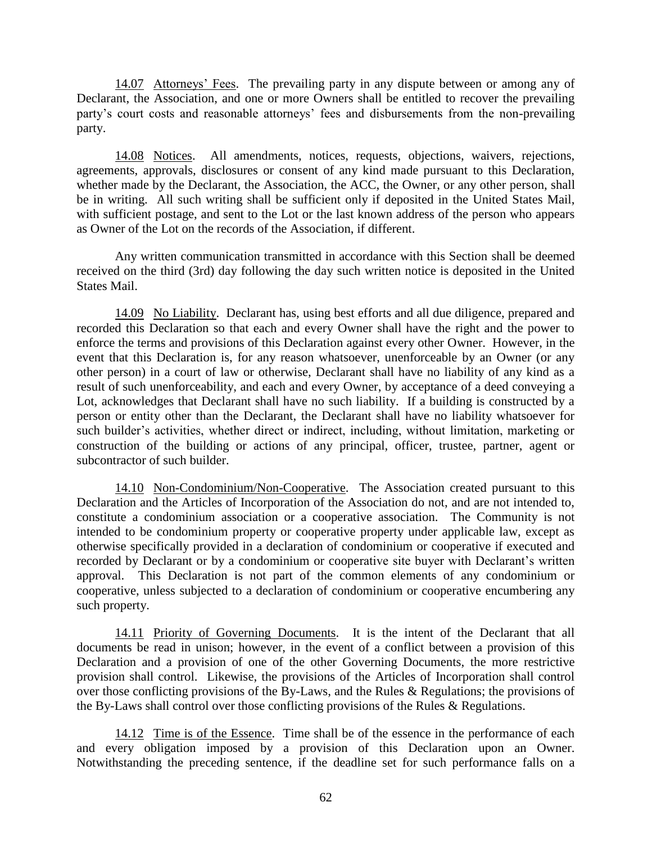14.07 Attorneys' Fees. The prevailing party in any dispute between or among any of Declarant, the Association, and one or more Owners shall be entitled to recover the prevailing party's court costs and reasonable attorneys' fees and disbursements from the non-prevailing party.

14.08 Notices. All amendments, notices, requests, objections, waivers, rejections, agreements, approvals, disclosures or consent of any kind made pursuant to this Declaration, whether made by the Declarant, the Association, the ACC, the Owner, or any other person, shall be in writing. All such writing shall be sufficient only if deposited in the United States Mail, with sufficient postage, and sent to the Lot or the last known address of the person who appears as Owner of the Lot on the records of the Association, if different.

Any written communication transmitted in accordance with this Section shall be deemed received on the third (3rd) day following the day such written notice is deposited in the United States Mail.

14.09 No Liability. Declarant has, using best efforts and all due diligence, prepared and recorded this Declaration so that each and every Owner shall have the right and the power to enforce the terms and provisions of this Declaration against every other Owner. However, in the event that this Declaration is, for any reason whatsoever, unenforceable by an Owner (or any other person) in a court of law or otherwise, Declarant shall have no liability of any kind as a result of such unenforceability, and each and every Owner, by acceptance of a deed conveying a Lot, acknowledges that Declarant shall have no such liability. If a building is constructed by a person or entity other than the Declarant, the Declarant shall have no liability whatsoever for such builder's activities, whether direct or indirect, including, without limitation, marketing or construction of the building or actions of any principal, officer, trustee, partner, agent or subcontractor of such builder.

14.10 Non-Condominium/Non-Cooperative. The Association created pursuant to this Declaration and the Articles of Incorporation of the Association do not, and are not intended to, constitute a condominium association or a cooperative association. The Community is not intended to be condominium property or cooperative property under applicable law, except as otherwise specifically provided in a declaration of condominium or cooperative if executed and recorded by Declarant or by a condominium or cooperative site buyer with Declarant's written approval. This Declaration is not part of the common elements of any condominium or cooperative, unless subjected to a declaration of condominium or cooperative encumbering any such property.

14.11 Priority of Governing Documents. It is the intent of the Declarant that all documents be read in unison; however, in the event of a conflict between a provision of this Declaration and a provision of one of the other Governing Documents, the more restrictive provision shall control. Likewise, the provisions of the Articles of Incorporation shall control over those conflicting provisions of the By-Laws, and the Rules & Regulations; the provisions of the By-Laws shall control over those conflicting provisions of the Rules & Regulations.

14.12 Time is of the Essence. Time shall be of the essence in the performance of each and every obligation imposed by a provision of this Declaration upon an Owner. Notwithstanding the preceding sentence, if the deadline set for such performance falls on a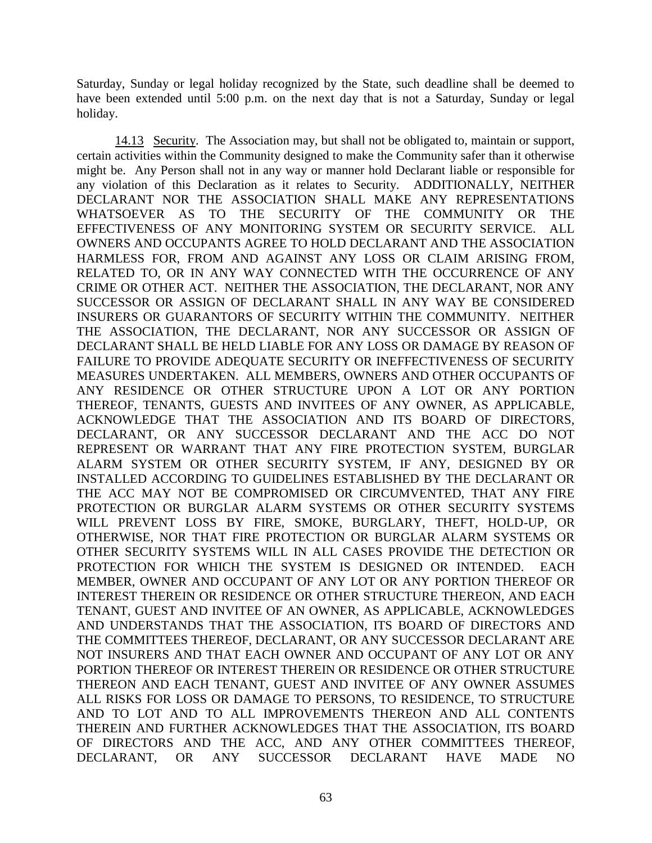Saturday, Sunday or legal holiday recognized by the State, such deadline shall be deemed to have been extended until 5:00 p.m. on the next day that is not a Saturday, Sunday or legal holiday.

14.13 Security. The Association may, but shall not be obligated to, maintain or support, certain activities within the Community designed to make the Community safer than it otherwise might be. Any Person shall not in any way or manner hold Declarant liable or responsible for any violation of this Declaration as it relates to Security. ADDITIONALLY, NEITHER DECLARANT NOR THE ASSOCIATION SHALL MAKE ANY REPRESENTATIONS WHATSOEVER AS TO THE SECURITY OF THE COMMUNITY OR THE EFFECTIVENESS OF ANY MONITORING SYSTEM OR SECURITY SERVICE. ALL OWNERS AND OCCUPANTS AGREE TO HOLD DECLARANT AND THE ASSOCIATION HARMLESS FOR, FROM AND AGAINST ANY LOSS OR CLAIM ARISING FROM, RELATED TO, OR IN ANY WAY CONNECTED WITH THE OCCURRENCE OF ANY CRIME OR OTHER ACT. NEITHER THE ASSOCIATION, THE DECLARANT, NOR ANY SUCCESSOR OR ASSIGN OF DECLARANT SHALL IN ANY WAY BE CONSIDERED INSURERS OR GUARANTORS OF SECURITY WITHIN THE COMMUNITY. NEITHER THE ASSOCIATION, THE DECLARANT, NOR ANY SUCCESSOR OR ASSIGN OF DECLARANT SHALL BE HELD LIABLE FOR ANY LOSS OR DAMAGE BY REASON OF FAILURE TO PROVIDE ADEQUATE SECURITY OR INEFFECTIVENESS OF SECURITY MEASURES UNDERTAKEN. ALL MEMBERS, OWNERS AND OTHER OCCUPANTS OF ANY RESIDENCE OR OTHER STRUCTURE UPON A LOT OR ANY PORTION THEREOF, TENANTS, GUESTS AND INVITEES OF ANY OWNER, AS APPLICABLE, ACKNOWLEDGE THAT THE ASSOCIATION AND ITS BOARD OF DIRECTORS, DECLARANT, OR ANY SUCCESSOR DECLARANT AND THE ACC DO NOT REPRESENT OR WARRANT THAT ANY FIRE PROTECTION SYSTEM, BURGLAR ALARM SYSTEM OR OTHER SECURITY SYSTEM, IF ANY, DESIGNED BY OR INSTALLED ACCORDING TO GUIDELINES ESTABLISHED BY THE DECLARANT OR THE ACC MAY NOT BE COMPROMISED OR CIRCUMVENTED, THAT ANY FIRE PROTECTION OR BURGLAR ALARM SYSTEMS OR OTHER SECURITY SYSTEMS WILL PREVENT LOSS BY FIRE, SMOKE, BURGLARY, THEFT, HOLD-UP, OR OTHERWISE, NOR THAT FIRE PROTECTION OR BURGLAR ALARM SYSTEMS OR OTHER SECURITY SYSTEMS WILL IN ALL CASES PROVIDE THE DETECTION OR PROTECTION FOR WHICH THE SYSTEM IS DESIGNED OR INTENDED. EACH MEMBER, OWNER AND OCCUPANT OF ANY LOT OR ANY PORTION THEREOF OR INTEREST THEREIN OR RESIDENCE OR OTHER STRUCTURE THEREON, AND EACH TENANT, GUEST AND INVITEE OF AN OWNER, AS APPLICABLE, ACKNOWLEDGES AND UNDERSTANDS THAT THE ASSOCIATION, ITS BOARD OF DIRECTORS AND THE COMMITTEES THEREOF, DECLARANT, OR ANY SUCCESSOR DECLARANT ARE NOT INSURERS AND THAT EACH OWNER AND OCCUPANT OF ANY LOT OR ANY PORTION THEREOF OR INTEREST THEREIN OR RESIDENCE OR OTHER STRUCTURE THEREON AND EACH TENANT, GUEST AND INVITEE OF ANY OWNER ASSUMES ALL RISKS FOR LOSS OR DAMAGE TO PERSONS, TO RESIDENCE, TO STRUCTURE AND TO LOT AND TO ALL IMPROVEMENTS THEREON AND ALL CONTENTS THEREIN AND FURTHER ACKNOWLEDGES THAT THE ASSOCIATION, ITS BOARD OF DIRECTORS AND THE ACC, AND ANY OTHER COMMITTEES THEREOF, DECLARANT, OR ANY SUCCESSOR DECLARANT HAVE MADE NO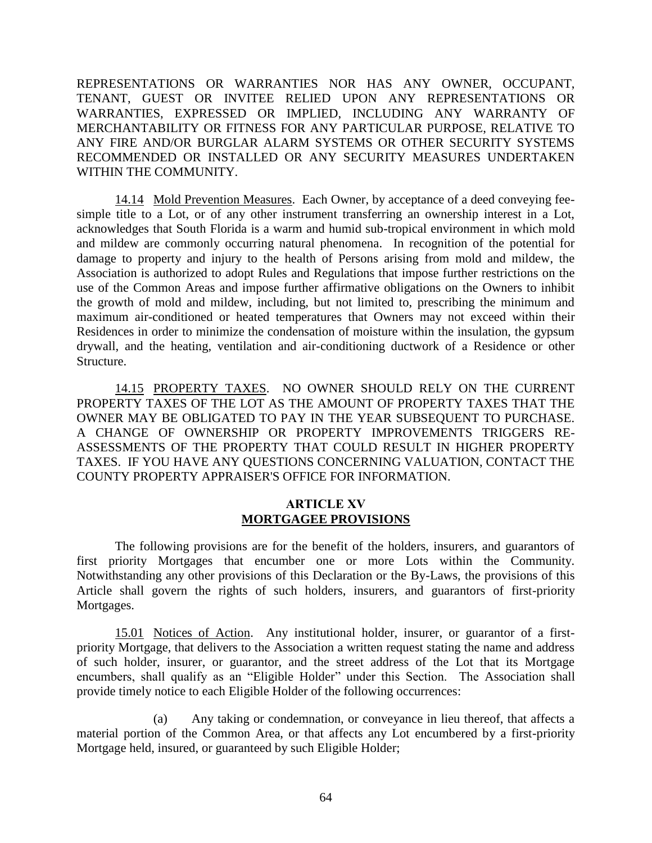REPRESENTATIONS OR WARRANTIES NOR HAS ANY OWNER, OCCUPANT, TENANT, GUEST OR INVITEE RELIED UPON ANY REPRESENTATIONS OR WARRANTIES, EXPRESSED OR IMPLIED, INCLUDING ANY WARRANTY OF MERCHANTABILITY OR FITNESS FOR ANY PARTICULAR PURPOSE, RELATIVE TO ANY FIRE AND/OR BURGLAR ALARM SYSTEMS OR OTHER SECURITY SYSTEMS RECOMMENDED OR INSTALLED OR ANY SECURITY MEASURES UNDERTAKEN WITHIN THE COMMUNITY.

14.14 Mold Prevention Measures. Each Owner, by acceptance of a deed conveying feesimple title to a Lot, or of any other instrument transferring an ownership interest in a Lot, acknowledges that South Florida is a warm and humid sub-tropical environment in which mold and mildew are commonly occurring natural phenomena. In recognition of the potential for damage to property and injury to the health of Persons arising from mold and mildew, the Association is authorized to adopt Rules and Regulations that impose further restrictions on the use of the Common Areas and impose further affirmative obligations on the Owners to inhibit the growth of mold and mildew, including, but not limited to, prescribing the minimum and maximum air-conditioned or heated temperatures that Owners may not exceed within their Residences in order to minimize the condensation of moisture within the insulation, the gypsum drywall, and the heating, ventilation and air-conditioning ductwork of a Residence or other Structure.

14.15 PROPERTY TAXES. NO OWNER SHOULD RELY ON THE CURRENT PROPERTY TAXES OF THE LOT AS THE AMOUNT OF PROPERTY TAXES THAT THE OWNER MAY BE OBLIGATED TO PAY IN THE YEAR SUBSEQUENT TO PURCHASE. A CHANGE OF OWNERSHIP OR PROPERTY IMPROVEMENTS TRIGGERS RE-ASSESSMENTS OF THE PROPERTY THAT COULD RESULT IN HIGHER PROPERTY TAXES. IF YOU HAVE ANY QUESTIONS CONCERNING VALUATION, CONTACT THE COUNTY PROPERTY APPRAISER'S OFFICE FOR INFORMATION.

### **ARTICLE XV MORTGAGEE PROVISIONS**

The following provisions are for the benefit of the holders, insurers, and guarantors of first priority Mortgages that encumber one or more Lots within the Community. Notwithstanding any other provisions of this Declaration or the By-Laws, the provisions of this Article shall govern the rights of such holders, insurers, and guarantors of first-priority Mortgages.

15.01 Notices of Action. Any institutional holder, insurer, or guarantor of a firstpriority Mortgage, that delivers to the Association a written request stating the name and address of such holder, insurer, or guarantor, and the street address of the Lot that its Mortgage encumbers, shall qualify as an "Eligible Holder" under this Section. The Association shall provide timely notice to each Eligible Holder of the following occurrences:

(a) Any taking or condemnation, or conveyance in lieu thereof, that affects a material portion of the Common Area, or that affects any Lot encumbered by a first-priority Mortgage held, insured, or guaranteed by such Eligible Holder;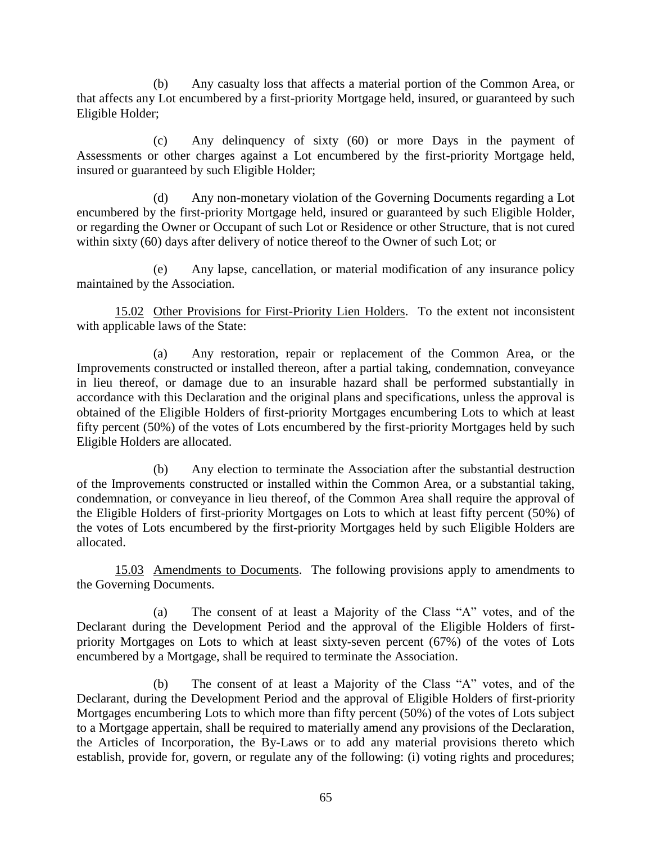(b) Any casualty loss that affects a material portion of the Common Area, or that affects any Lot encumbered by a first-priority Mortgage held, insured, or guaranteed by such Eligible Holder;

(c) Any delinquency of sixty (60) or more Days in the payment of Assessments or other charges against a Lot encumbered by the first-priority Mortgage held, insured or guaranteed by such Eligible Holder;

(d) Any non-monetary violation of the Governing Documents regarding a Lot encumbered by the first-priority Mortgage held, insured or guaranteed by such Eligible Holder, or regarding the Owner or Occupant of such Lot or Residence or other Structure, that is not cured within sixty (60) days after delivery of notice thereof to the Owner of such Lot; or

(e) Any lapse, cancellation, or material modification of any insurance policy maintained by the Association.

15.02 Other Provisions for First-Priority Lien Holders. To the extent not inconsistent with applicable laws of the State:

(a) Any restoration, repair or replacement of the Common Area, or the Improvements constructed or installed thereon, after a partial taking, condemnation, conveyance in lieu thereof, or damage due to an insurable hazard shall be performed substantially in accordance with this Declaration and the original plans and specifications, unless the approval is obtained of the Eligible Holders of first-priority Mortgages encumbering Lots to which at least fifty percent (50%) of the votes of Lots encumbered by the first-priority Mortgages held by such Eligible Holders are allocated.

(b) Any election to terminate the Association after the substantial destruction of the Improvements constructed or installed within the Common Area, or a substantial taking, condemnation, or conveyance in lieu thereof, of the Common Area shall require the approval of the Eligible Holders of first-priority Mortgages on Lots to which at least fifty percent (50%) of the votes of Lots encumbered by the first-priority Mortgages held by such Eligible Holders are allocated.

15.03 Amendments to Documents. The following provisions apply to amendments to the Governing Documents.

(a) The consent of at least a Majority of the Class "A" votes, and of the Declarant during the Development Period and the approval of the Eligible Holders of firstpriority Mortgages on Lots to which at least sixty-seven percent (67%) of the votes of Lots encumbered by a Mortgage, shall be required to terminate the Association.

(b) The consent of at least a Majority of the Class "A" votes, and of the Declarant, during the Development Period and the approval of Eligible Holders of first-priority Mortgages encumbering Lots to which more than fifty percent (50%) of the votes of Lots subject to a Mortgage appertain, shall be required to materially amend any provisions of the Declaration, the Articles of Incorporation, the By-Laws or to add any material provisions thereto which establish, provide for, govern, or regulate any of the following: (i) voting rights and procedures;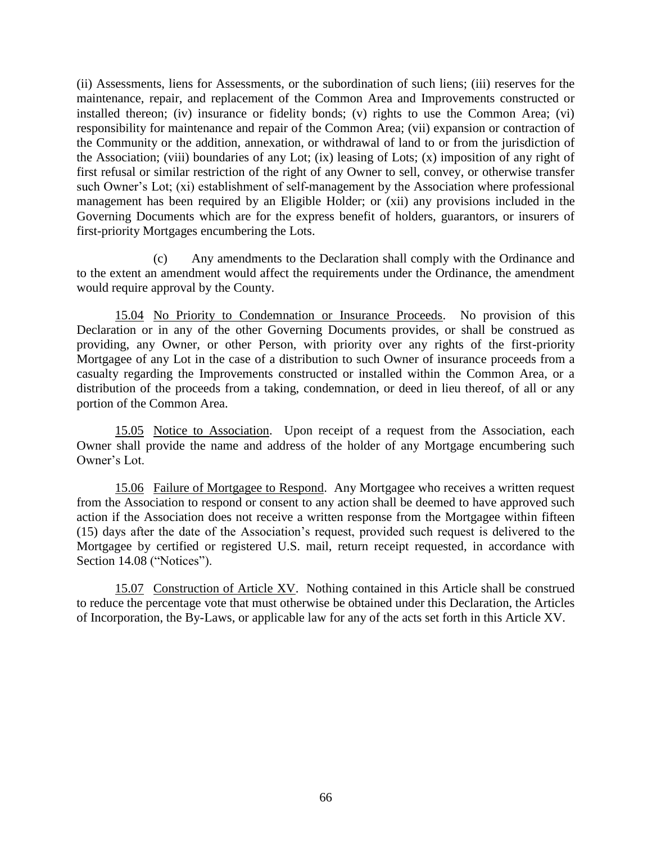(ii) Assessments, liens for Assessments, or the subordination of such liens; (iii) reserves for the maintenance, repair, and replacement of the Common Area and Improvements constructed or installed thereon; (iv) insurance or fidelity bonds; (v) rights to use the Common Area; (vi) responsibility for maintenance and repair of the Common Area; (vii) expansion or contraction of the Community or the addition, annexation, or withdrawal of land to or from the jurisdiction of the Association; (viii) boundaries of any Lot; (ix) leasing of Lots; (x) imposition of any right of first refusal or similar restriction of the right of any Owner to sell, convey, or otherwise transfer such Owner's Lot; (xi) establishment of self-management by the Association where professional management has been required by an Eligible Holder; or (xii) any provisions included in the Governing Documents which are for the express benefit of holders, guarantors, or insurers of first-priority Mortgages encumbering the Lots.

(c) Any amendments to the Declaration shall comply with the Ordinance and to the extent an amendment would affect the requirements under the Ordinance, the amendment would require approval by the County.

15.04 No Priority to Condemnation or Insurance Proceeds. No provision of this Declaration or in any of the other Governing Documents provides, or shall be construed as providing, any Owner, or other Person, with priority over any rights of the first-priority Mortgagee of any Lot in the case of a distribution to such Owner of insurance proceeds from a casualty regarding the Improvements constructed or installed within the Common Area, or a distribution of the proceeds from a taking, condemnation, or deed in lieu thereof, of all or any portion of the Common Area.

15.05 Notice to Association. Upon receipt of a request from the Association, each Owner shall provide the name and address of the holder of any Mortgage encumbering such Owner's Lot.

15.06 Failure of Mortgagee to Respond. Any Mortgagee who receives a written request from the Association to respond or consent to any action shall be deemed to have approved such action if the Association does not receive a written response from the Mortgagee within fifteen (15) days after the date of the Association's request, provided such request is delivered to the Mortgagee by certified or registered U.S. mail, return receipt requested, in accordance with Section 14.08 ("Notices").

15.07 Construction of Article XV. Nothing contained in this Article shall be construed to reduce the percentage vote that must otherwise be obtained under this Declaration, the Articles of Incorporation, the By-Laws, or applicable law for any of the acts set forth in this Article XV.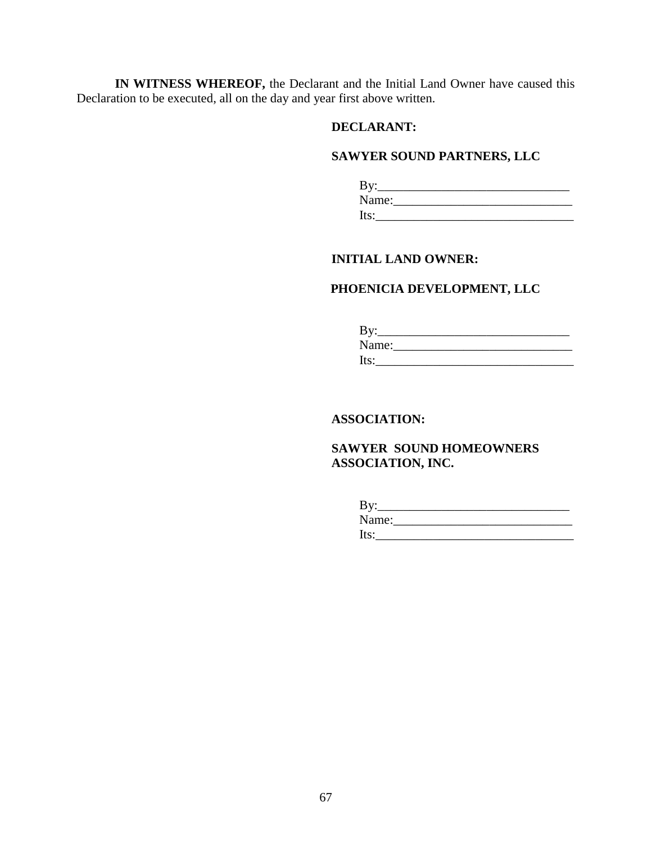**IN WITNESS WHEREOF,** the Declarant and the Initial Land Owner have caused this Declaration to be executed, all on the day and year first above written.

## **DECLARANT:**

# **SAWYER SOUND PARTNERS, LLC**

| $\mathbf{By:}$ |  |  |
|----------------|--|--|
| Name:          |  |  |
| Its:           |  |  |

# **INITIAL LAND OWNER:**

# **PHOENICIA DEVELOPMENT, LLC**

| $\rm\,By:$ |  |  |
|------------|--|--|
| Name:      |  |  |
| Its:       |  |  |

# **ASSOCIATION:**

**SAWYER SOUND HOMEOWNERS ASSOCIATION, INC.** 

| By:   |  |  |
|-------|--|--|
| Name: |  |  |
| lts:  |  |  |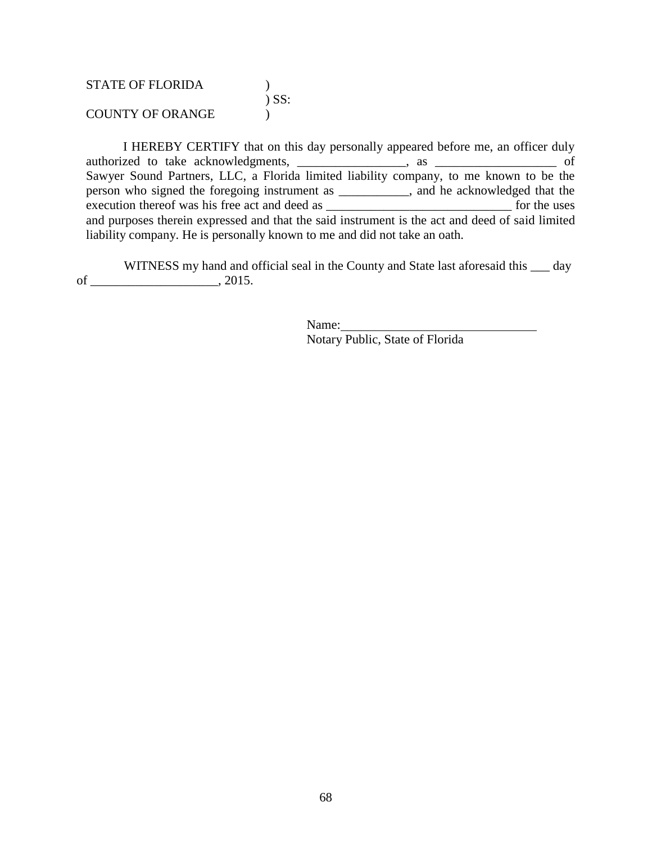STATE OF FLORIDA (1) ) SS: COUNTY OF ORANGE  $\qquad$  )

I HEREBY CERTIFY that on this day personally appeared before me, an officer duly authorized to take acknowledgments, \_\_\_\_\_\_\_\_\_\_\_\_\_\_\_\_\_, as \_\_\_\_\_\_\_\_\_\_\_\_\_\_\_\_\_\_\_ of Sawyer Sound Partners, LLC, a Florida limited liability company, to me known to be the person who signed the foregoing instrument as \_\_\_\_\_\_\_\_\_\_\_, and he acknowledged that the execution thereof was his free act and deed as \_\_\_\_\_\_\_\_\_\_\_\_\_\_\_\_\_\_\_\_\_\_\_\_\_\_\_\_\_ for the uses and purposes therein expressed and that the said instrument is the act and deed of said limited liability company. He is personally known to me and did not take an oath.

WITNESS my hand and official seal in the County and State last aforesaid this  $\_\_$  day of \_\_\_\_\_\_\_\_\_\_\_\_\_\_\_\_\_\_\_\_, 2015.

> Name: Notary Public, State of Florida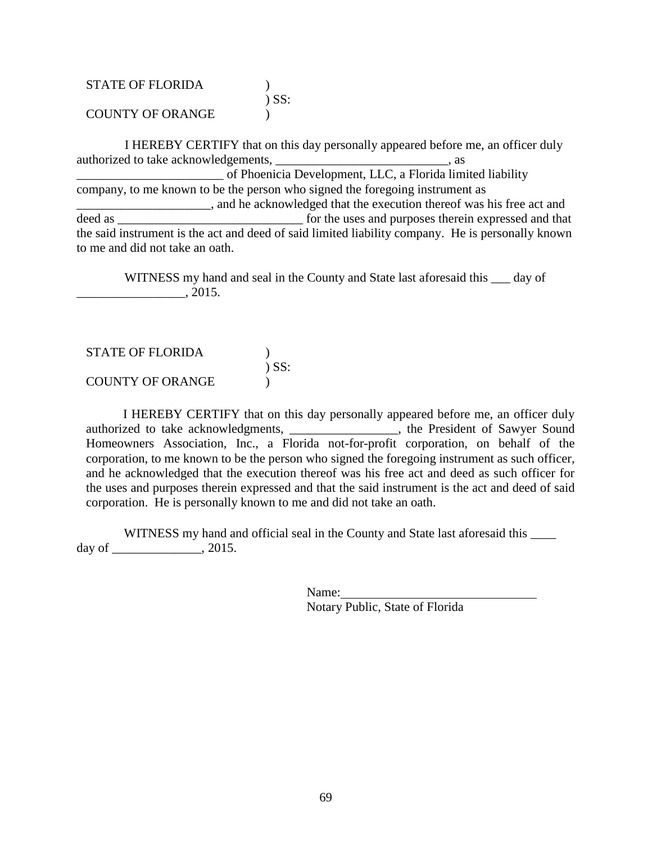| <b>STATE OF FLORIDA</b> |            |
|-------------------------|------------|
|                         | $\sum$ SS: |
| <b>COUNTY OF ORANGE</b> |            |

 I HEREBY CERTIFY that on this day personally appeared before me, an officer duly authorized to take acknowledgements,  $\qquad \qquad \text{as}$ \_\_\_\_\_\_\_\_\_\_\_\_\_\_\_\_\_\_\_\_\_\_\_ of Phoenicia Development, LLC, a Florida limited liability company, to me known to be the person who signed the foregoing instrument as **EXECUTE:** and he acknowledged that the execution thereof was his free act and deed as  $\Box$  for the uses and purposes therein expressed and that the said instrument is the act and deed of said limited liability company. He is personally known to me and did not take an oath.

 WITNESS my hand and seal in the County and State last aforesaid this \_\_\_ day of \_\_\_\_\_\_\_\_\_\_\_\_\_\_\_\_\_, 2015.

STATE OF FLORIDA ) ) SS: COUNTY OF ORANGE )

I HEREBY CERTIFY that on this day personally appeared before me, an officer duly authorized to take acknowledgments, \_\_\_\_\_\_\_\_\_\_\_\_\_\_\_\_, the President of Sawyer Sound Homeowners Association, Inc., a Florida not-for-profit corporation, on behalf of the corporation, to me known to be the person who signed the foregoing instrument as such officer, and he acknowledged that the execution thereof was his free act and deed as such officer for the uses and purposes therein expressed and that the said instrument is the act and deed of said corporation. He is personally known to me and did not take an oath.

WITNESS my hand and official seal in the County and State last aforesaid this day of \_\_\_\_\_\_\_\_\_\_\_\_\_\_, 2015.

Name:

Notary Public, State of Florida